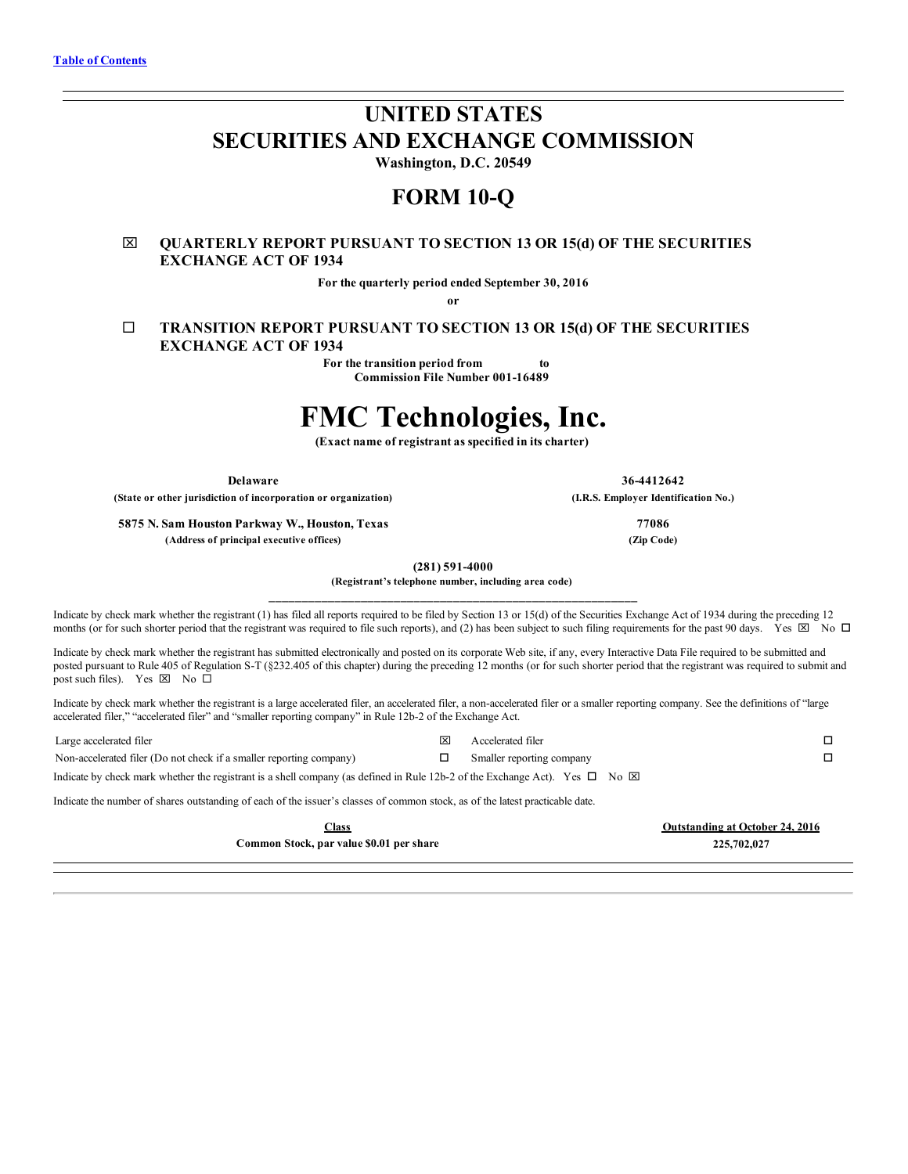# **UNITED STATES SECURITIES AND EXCHANGE COMMISSION**

**Washington, D.C. 20549**

## **FORM 10-Q**

## x **QUARTERLY REPORT PURSUANT TO SECTION 13 OR 15(d) OF THE SECURITIES EXCHANGE ACT OF 1934**

**For the quarterly period ended September 30, 2016**

**or**

## ¨ **TRANSITION REPORT PURSUANT TO SECTION 13 OR 15(d) OF THE SECURITIES EXCHANGE ACT OF 1934**

**For the transition period from to Commission File Number 001-16489**

# **FMC Technologies, Inc.**

**(Exact name of registrant as specified in its charter)**

**Delaware 36-4412642**

**(State or other jurisdiction of incorporation or organization) (I.R.S. Employer Identification No.)**

**5875 N. Sam Houston Parkway W., Houston, Texas 77086**

**(Address of principal executive offices) (Zip Code)**

**(281) 591-4000 (Registrant's telephone number, including area code) \_\_\_\_\_\_\_\_\_\_\_\_\_\_\_\_\_\_\_\_\_\_\_\_\_\_\_\_\_\_\_\_\_\_\_\_\_\_\_\_\_\_\_\_\_\_\_\_\_\_\_\_\_\_\_\_**

Indicate by check mark whether the registrant (1) has filed all reports required to be filed by Section 13 or 15(d) of the Securities Exchange Act of 1934 during the preceding 12 months (or for such shorter period that the registrant was required to file such reports), and (2) has been subject to such filing requirements for the past 90 days. Yes  $\boxtimes$  No  $\Box$ 

Indicate by check mark whether the registrant has submitted electronically and posted on its corporate Web site, if any, every Interactive Data File required to be submitted and posted pursuant to Rule 405 of Regulation S-T (§232.405 of this chapter) during the preceding 12 months (or for such shorter period that the registrant was required to submit and post such files). Yes  $\boxtimes$  No  $\Box$ 

Indicate by check mark whether the registrant is a large accelerated filer, an accelerated filer, a non-accelerated filer or a smaller reporting company. See the definitions of "large accelerated filer," "accelerated filer" and "smaller reporting company" in Rule 12b-2 of the Exchange Act.

Large accelerated filer  $\Box$  Accelerated filer  $\Box$ 

Non-accelerated filer (Do not check if a smaller reporting company)  $\Box$  Smaller reporting company  $\Box$ 

Indicate by check mark whether the registrant is a shell company (as defined in Rule 12b-2 of the Exchange Act). Yes  $\Box$  No  $\boxtimes$ 

Indicate the number of shares outstanding of each of the issuer's classes of common stock, as of the latest practicable date.

**Class Outstanding at October 24, 2016 Common Stock, par value \$0.01 per share 225,702,027**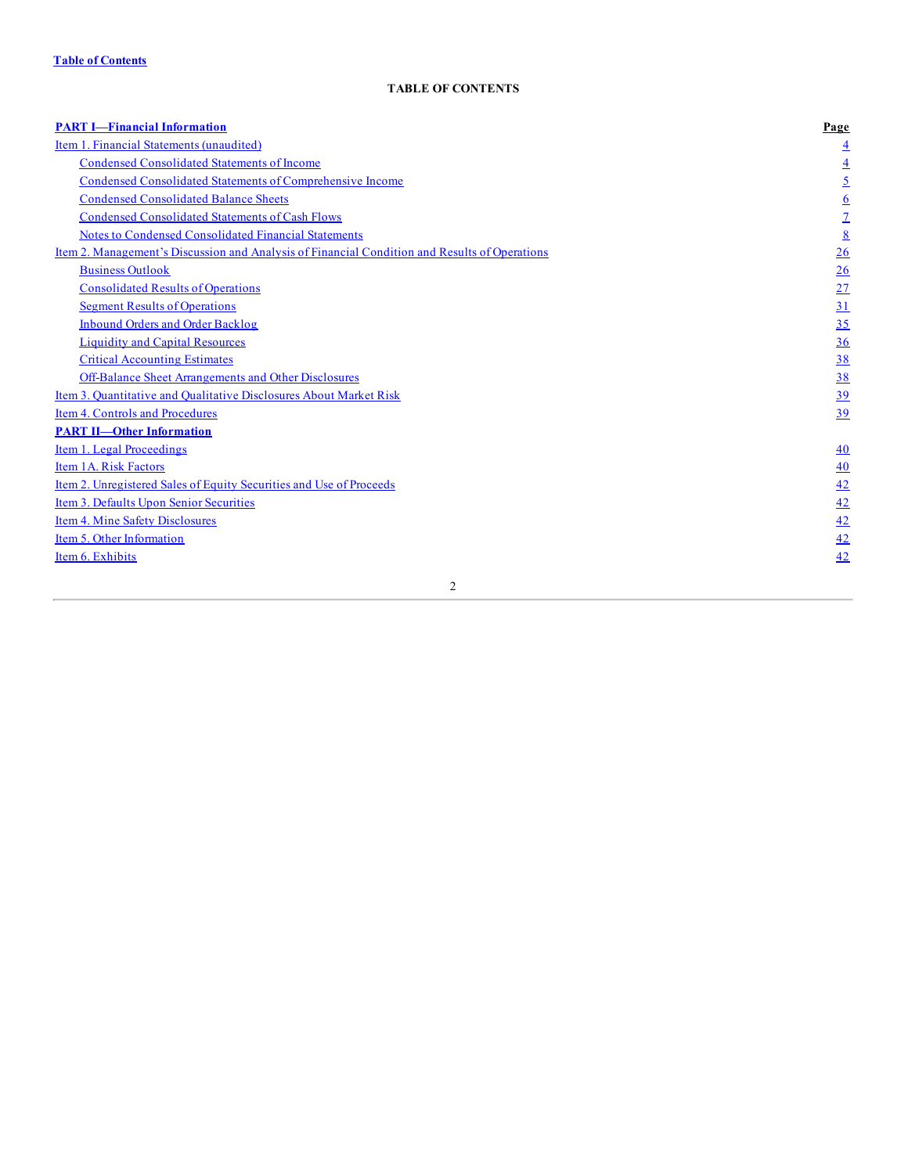## **TABLE OF CONTENTS**

<span id="page-1-0"></span>

| <b>PART I-Financial Information</b>                                                           | Page             |
|-----------------------------------------------------------------------------------------------|------------------|
| Item 1. Financial Statements (unaudited)                                                      | $\overline{4}$   |
| <b>Condensed Consolidated Statements of Income</b>                                            | $\overline{4}$   |
| Condensed Consolidated Statements of Comprehensive Income                                     | $\overline{2}$   |
| <b>Condensed Consolidated Balance Sheets</b>                                                  | $\underline{6}$  |
| <b>Condensed Consolidated Statements of Cash Flows</b>                                        | $\overline{1}$   |
| Notes to Condensed Consolidated Financial Statements                                          | $\frac{8}{5}$    |
| Item 2. Management's Discussion and Analysis of Financial Condition and Results of Operations | 26               |
| <b>Business Outlook</b>                                                                       | 26               |
| <b>Consolidated Results of Operations</b>                                                     | $\overline{27}$  |
| <b>Segment Results of Operations</b>                                                          | $\overline{31}$  |
| <b>Inbound Orders and Order Backlog</b>                                                       | 35               |
| <b>Liquidity and Capital Resources</b>                                                        | 36               |
| <b>Critical Accounting Estimates</b>                                                          | 38               |
| Off-Balance Sheet Arrangements and Other Disclosures                                          | 38               |
| Item 3. Quantitative and Qualitative Disclosures About Market Risk                            | 39               |
| Item 4. Controls and Procedures                                                               | 39               |
| <b>PART II-Other Information</b>                                                              |                  |
| Item 1. Legal Proceedings                                                                     | $\underline{40}$ |
| Item 1A. Risk Factors                                                                         | $\underline{40}$ |
| <u>Item 2. Unregistered Sales of Equity Securities and Use of Proceeds</u>                    | 42               |
| Item 3. Defaults Upon Senior Securities                                                       | 42               |
| Item 4. Mine Safety Disclosures                                                               | 42               |
| Item 5. Other Information                                                                     | 42               |
| Item 6. Exhibits                                                                              | 42               |
|                                                                                               |                  |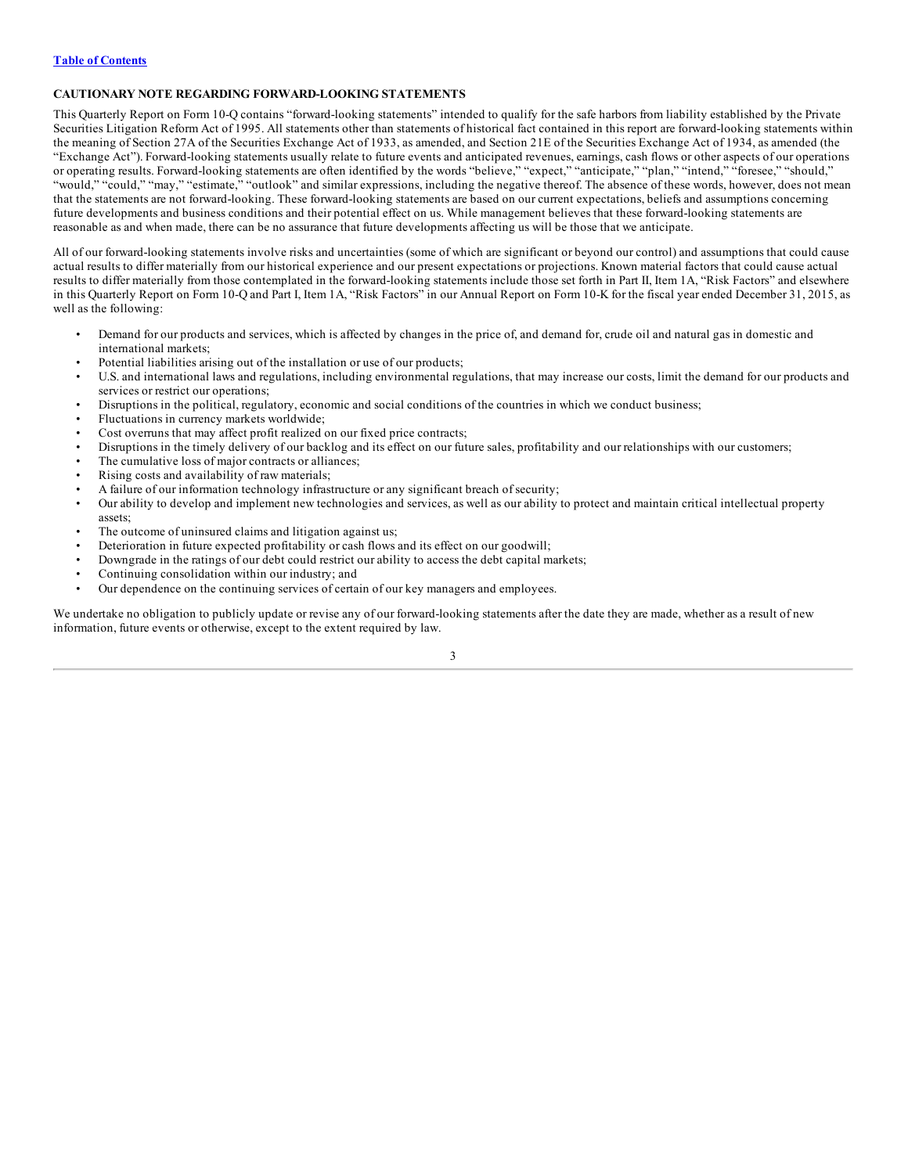## <span id="page-2-0"></span>**CAUTIONARY NOTE REGARDING FORWARD-LOOKING STATEMENTS**

This Quarterly Report on Form 10-Q contains "forward-looking statements" intended to qualify for the safe harbors from liability established by the Private Securities Litigation Reform Act of 1995. All statements other than statements of historical fact contained in this report are forward-looking statements within the meaning of Section 27A of the Securities Exchange Act of 1933, as amended, and Section 21E of the Securities Exchange Act of 1934, as amended (the "Exchange Act"). Forward-looking statements usually relate to future events and anticipated revenues, earnings, cash flows or other aspects of our operations or operating results. Forward-looking statements are often identified by the words "believe," "expect," "anticipate," "plan," "intend," "foresee," "should," "would," "could," "may," "estimate," "outlook" and similar expressions, including the negative thereof. The absence of these words, however, does not mean that the statements are not forward-looking. These forward-looking statements are based on our current expectations, beliefs and assumptions concerning future developments and business conditions and their potential effect on us. While management believes that these forward-looking statements are reasonable as and when made, there can be no assurance that future developments affecting us will be those that we anticipate.

All of our forward-looking statements involve risks and uncertainties (some of which are significant or beyond our control) and assumptions that could cause actual results to differ materially from our historical experience and our present expectations or projections. Known material factors that could cause actual results to differ materially from those contemplated in the forward-looking statements include those set forth in Part II, Item 1A, "Risk Factors" and elsewhere in this Quarterly Report on Form 10-Q and Part I, Item 1A, "Risk Factors" in our Annual Report on Form 10-K for the fiscal year ended December 31, 2015, as well as the following:

- Demand for our products and services, which is affected by changes in the price of, and demand for, crude oil and natural gas in domestic and international markets;
- Potential liabilities arising out of the installation or use of our products;
- U.S. and international laws and regulations, including environmental regulations, that may increase our costs, limit the demand for our products and services or restrict our operations;
- Disruptions in the political, regulatory, economic and social conditions of the countries in which we conduct business;
- Fluctuations in currency markets worldwide;
- Cost overruns that may affect profit realized on our fixed price contracts;
- Disruptions in the timely delivery of our backlog and its effect on our future sales, profitability and our relationships with our customers;
- The cumulative loss of major contracts or alliances;
- Rising costs and availability of raw materials;
- A failure of our information technology infrastructure or any significant breach of security;
- Our ability to develop and implement new technologies and services, as well as our ability to protect and maintain critical intellectual property assets;
- The outcome of uninsured claims and litigation against us;
- Deterioration in future expected profitability or cash flows and its effect on our goodwill;
- Downgrade in the ratings of our debt could restrict our ability to access the debt capital markets;
- Continuing consolidation within our industry; and
- Our dependence on the continuing services of certain of our key managers and employees.

We undertake no obligation to publicly update or revise any of our forward-looking statements after the date they are made, whether as a result of new information, future events or otherwise, except to the extent required by law.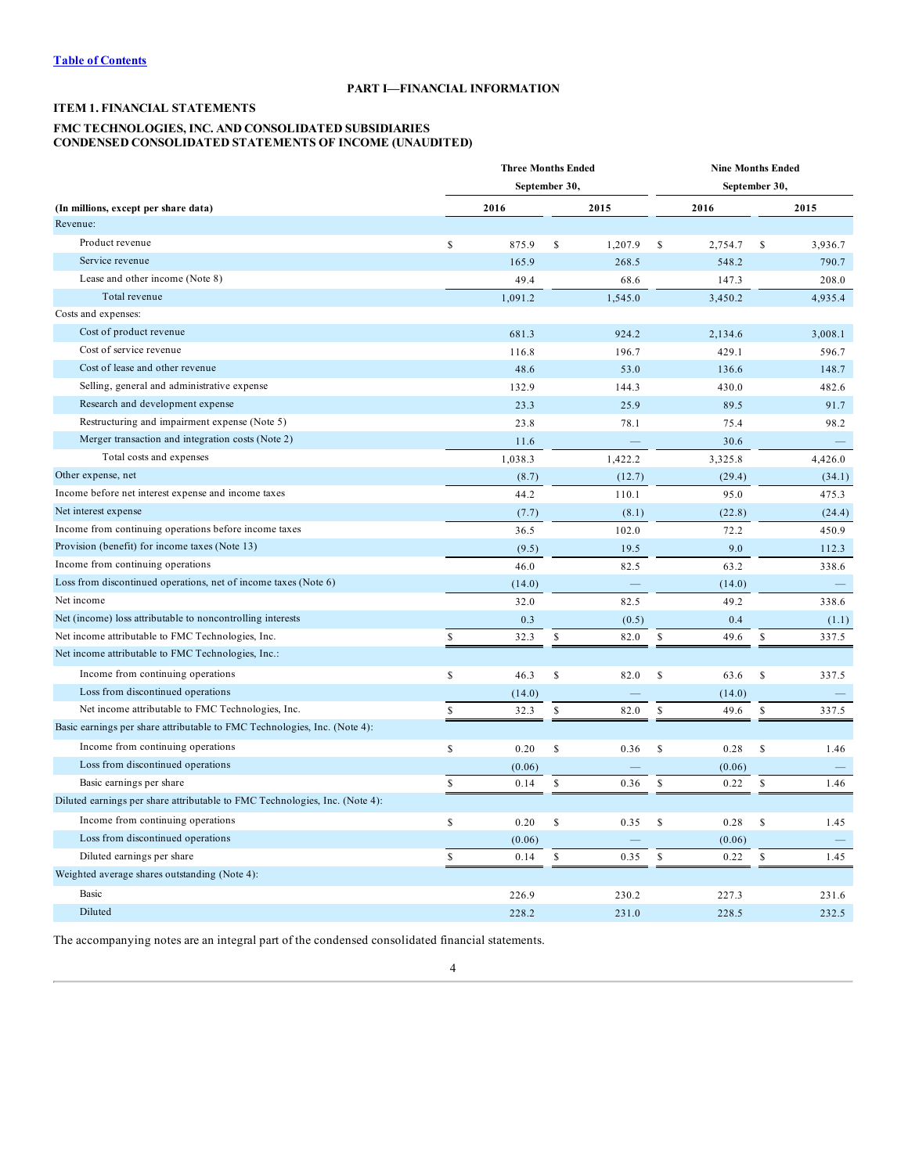## **PART I—FINANCIAL INFORMATION**

## <span id="page-3-0"></span>**ITEM 1. FINANCIAL STATEMENTS**

#### **FMC TECHNOLOGIES, INC. AND CONSOLIDATED SUBSIDIARIES CONDENSED CONSOLIDATED STATEMENTS OF INCOME (UNAUDITED)**

|                                                                             |             | <b>Three Months Ended</b> | September 30, | <b>Nine Months Ended</b><br>September 30, |             |         |             |         |
|-----------------------------------------------------------------------------|-------------|---------------------------|---------------|-------------------------------------------|-------------|---------|-------------|---------|
| (In millions, except per share data)                                        |             | 2016                      |               | 2015                                      |             | 2016    | 2015        |         |
| Revenue:                                                                    |             |                           |               |                                           |             |         |             |         |
| Product revenue                                                             | \$          | 875.9                     | \$            | 1,207.9                                   | \$          | 2,754.7 | \$          | 3,936.7 |
| Service revenue                                                             |             | 165.9                     |               | 268.5                                     |             | 548.2   |             | 790.7   |
| Lease and other income (Note 8)                                             |             | 49.4                      |               | 68.6                                      |             | 147.3   |             | 208.0   |
| Total revenue                                                               |             | 1,091.2                   |               | 1,545.0                                   |             | 3,450.2 |             | 4,935.4 |
| Costs and expenses:                                                         |             |                           |               |                                           |             |         |             |         |
| Cost of product revenue                                                     |             | 681.3                     |               | 924.2                                     |             | 2,134.6 |             | 3,008.1 |
| Cost of service revenue                                                     |             | 116.8                     |               | 196.7                                     |             | 429.1   |             | 596.7   |
| Cost of lease and other revenue                                             |             | 48.6                      |               | 53.0                                      |             | 136.6   |             | 148.7   |
| Selling, general and administrative expense                                 |             | 132.9                     |               | 144.3                                     |             | 430.0   |             | 482.6   |
| Research and development expense                                            |             | 23.3                      |               | 25.9                                      |             | 89.5    |             | 91.7    |
| Restructuring and impairment expense (Note 5)                               |             | 23.8                      |               | 78.1                                      |             | 75.4    |             | 98.2    |
| Merger transaction and integration costs (Note 2)                           |             | 11.6                      |               |                                           |             | 30.6    |             |         |
| Total costs and expenses                                                    |             | 1,038.3                   |               | 1,422.2                                   |             | 3,325.8 |             | 4,426.0 |
| Other expense, net                                                          |             | (8.7)                     |               | (12.7)                                    |             | (29.4)  |             | (34.1)  |
| Income before net interest expense and income taxes                         |             | 44.2                      |               | 110.1                                     |             | 95.0    |             | 475.3   |
| Net interest expense                                                        |             | (7.7)                     |               | (8.1)                                     |             | (22.8)  |             | (24.4)  |
| Income from continuing operations before income taxes                       |             | 36.5                      |               | 102.0                                     |             | 72.2    |             | 450.9   |
| Provision (benefit) for income taxes (Note 13)                              |             | (9.5)                     |               | 19.5                                      |             | 9.0     |             | 112.3   |
| Income from continuing operations                                           |             | 46.0                      |               | 82.5                                      |             | 63.2    |             | 338.6   |
| Loss from discontinued operations, net of income taxes (Note 6)             |             | (14.0)                    |               |                                           |             | (14.0)  |             |         |
| Net income                                                                  |             | 32.0                      |               | 82.5                                      |             | 49.2    |             | 338.6   |
| Net (income) loss attributable to noncontrolling interests                  |             | 0.3                       |               | (0.5)                                     |             | 0.4     |             | (1.1)   |
| Net income attributable to FMC Technologies, Inc.                           | \$          | 32.3                      | \$            | 82.0                                      | \$          | 49.6    | $\mathbf S$ | 337.5   |
| Net income attributable to FMC Technologies, Inc.:                          |             |                           |               |                                           |             |         |             |         |
| Income from continuing operations                                           | \$          | 46.3                      | \$            | 82.0                                      | \$          | 63.6    | \$          | 337.5   |
| Loss from discontinued operations                                           |             | (14.0)                    |               |                                           |             | (14.0)  |             |         |
| Net income attributable to FMC Technologies, Inc.                           | $\mathbb S$ | 32.3                      | $\mathbb{S}$  | 82.0                                      | \$          | 49.6    | \$          | 337.5   |
| Basic earnings per share attributable to FMC Technologies, Inc. (Note 4):   |             |                           |               |                                           |             |         |             |         |
| Income from continuing operations                                           | \$          | 0.20                      | \$            | 0.36                                      | $\mathbb S$ | 0.28    | \$          | 1.46    |
| Loss from discontinued operations                                           |             | (0.06)                    |               |                                           |             | (0.06)  |             |         |
| Basic earnings per share                                                    | $\mathbb S$ | 0.14                      | \$            | 0.36                                      | \$          | 0.22    | \$          | 1.46    |
| Diluted earnings per share attributable to FMC Technologies, Inc. (Note 4): |             |                           |               |                                           |             |         |             |         |
| Income from continuing operations                                           | \$          | 0.20                      | \$            | 0.35                                      | \$          | 0.28    | \$          | 1.45    |
| Loss from discontinued operations                                           |             | (0.06)                    |               |                                           |             | (0.06)  |             |         |
| Diluted earnings per share                                                  | $\mathbf S$ | 0.14                      | \$            | 0.35                                      | $\mathbf S$ | 0.22    | \$          | 1.45    |
| Weighted average shares outstanding (Note 4):                               |             |                           |               |                                           |             |         |             |         |
| Basic                                                                       |             | 226.9                     |               | 230.2                                     |             | 227.3   |             | 231.6   |
| Diluted                                                                     |             | 228.2                     |               | 231.0                                     |             | 228.5   |             | 232.5   |

The accompanying notes are an integral part of the condensed consolidated financial statements.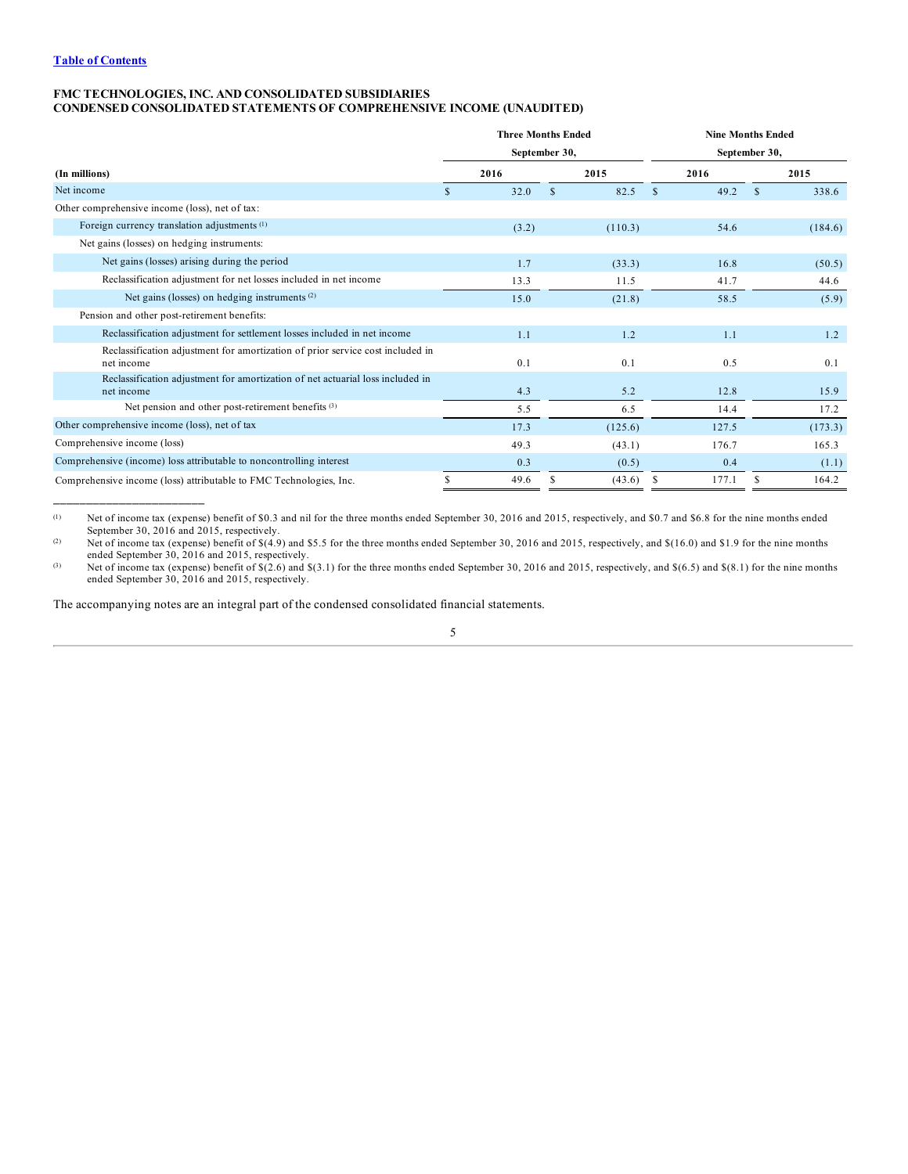**\_\_\_\_\_\_\_\_\_\_\_\_\_\_\_\_\_\_\_\_\_\_\_**

#### <span id="page-4-0"></span>**FMC TECHNOLOGIES, INC. AND CONSOLIDATED SUBSIDIARIES CONDENSED CONSOLIDATED STATEMENTS OF COMPREHENSIVE INCOME (UNAUDITED)**

|                                                                                              |    | <b>Three Months Ended</b><br>September 30, |             |         |               | <b>Nine Months Ended</b><br>September 30, |              |         |  |
|----------------------------------------------------------------------------------------------|----|--------------------------------------------|-------------|---------|---------------|-------------------------------------------|--------------|---------|--|
| (In millions)                                                                                |    | 2016                                       |             | 2015    | 2016          |                                           |              | 2015    |  |
| Net income                                                                                   | \$ | 32.0                                       | $\mathbf S$ | 82.5    | <sup>\$</sup> | 49.2                                      | <sup>S</sup> | 338.6   |  |
| Other comprehensive income (loss), net of tax:                                               |    |                                            |             |         |               |                                           |              |         |  |
| Foreign currency translation adjustments <sup>(1)</sup>                                      |    | (3.2)                                      |             | (110.3) |               | 54.6                                      |              | (184.6) |  |
| Net gains (losses) on hedging instruments:                                                   |    |                                            |             |         |               |                                           |              |         |  |
| Net gains (losses) arising during the period                                                 |    | 1.7                                        |             | (33.3)  |               | 16.8                                      |              | (50.5)  |  |
| Reclassification adjustment for net losses included in net income                            |    | 13.3                                       |             | 11.5    |               | 41.7                                      |              | 44.6    |  |
| Net gains (losses) on hedging instruments (2)                                                |    | 15.0                                       |             | (21.8)  |               | 58.5                                      |              | (5.9)   |  |
| Pension and other post-retirement benefits:                                                  |    |                                            |             |         |               |                                           |              |         |  |
| Reclassification adjustment for settlement losses included in net income                     |    | 1.1                                        |             | 1.2     |               | 1.1                                       |              | 1.2     |  |
| Reclassification adjustment for amortization of prior service cost included in<br>net income |    | 0.1                                        |             | 0.1     |               | 0.5                                       |              | 0.1     |  |
| Reclassification adjustment for amortization of net actuarial loss included in<br>net income |    | 4.3                                        |             | 5.2     |               | 12.8                                      |              | 15.9    |  |
| Net pension and other post-retirement benefits <sup>(3)</sup>                                |    | 5.5                                        |             | 6.5     |               | 14.4                                      |              | 17.2    |  |
| Other comprehensive income (loss), net of tax                                                |    | 17.3                                       |             | (125.6) |               | 127.5                                     |              | (173.3) |  |
| Comprehensive income (loss)                                                                  |    | 49.3                                       |             | (43.1)  |               | 176.7                                     |              | 165.3   |  |
| Comprehensive (income) loss attributable to noncontrolling interest                          |    | 0.3                                        |             | (0.5)   |               | 0.4                                       |              | (1.1)   |  |
| Comprehensive income (loss) attributable to FMC Technologies, Inc.                           | \$ | 49.6                                       | S           | (43.6)  | -S            | 177.1                                     | S            | 164.2   |  |

(1) Net of income tax (expense) benefit of \$0.3 and nil for the three months ended September 30, 2016 and 2015, respectively, and \$0.7 and \$6.8 for the nine months ended September 30, 2016 and 2015, respectively.

(2) Net of income tax (expense) benefit of \$(4.9) and \$5.5 for the three months ended September 30, 2016 and 2015, respectively, and \$(16.0) and \$1.9 for the nine months ended September 30, 2016 and 2015, respectively.

(3) Net of income tax (expense) benefit of  $\S(2.6)$  and  $\S(3.1)$  for the three months ended September 30, 2016 and 2015, respectively, and  $\S(6.5)$  and  $\S(8.1)$  for the nine months ended September 30, 2016 and 2015, respectively.

The accompanying notes are an integral part of the condensed consolidated financial statements.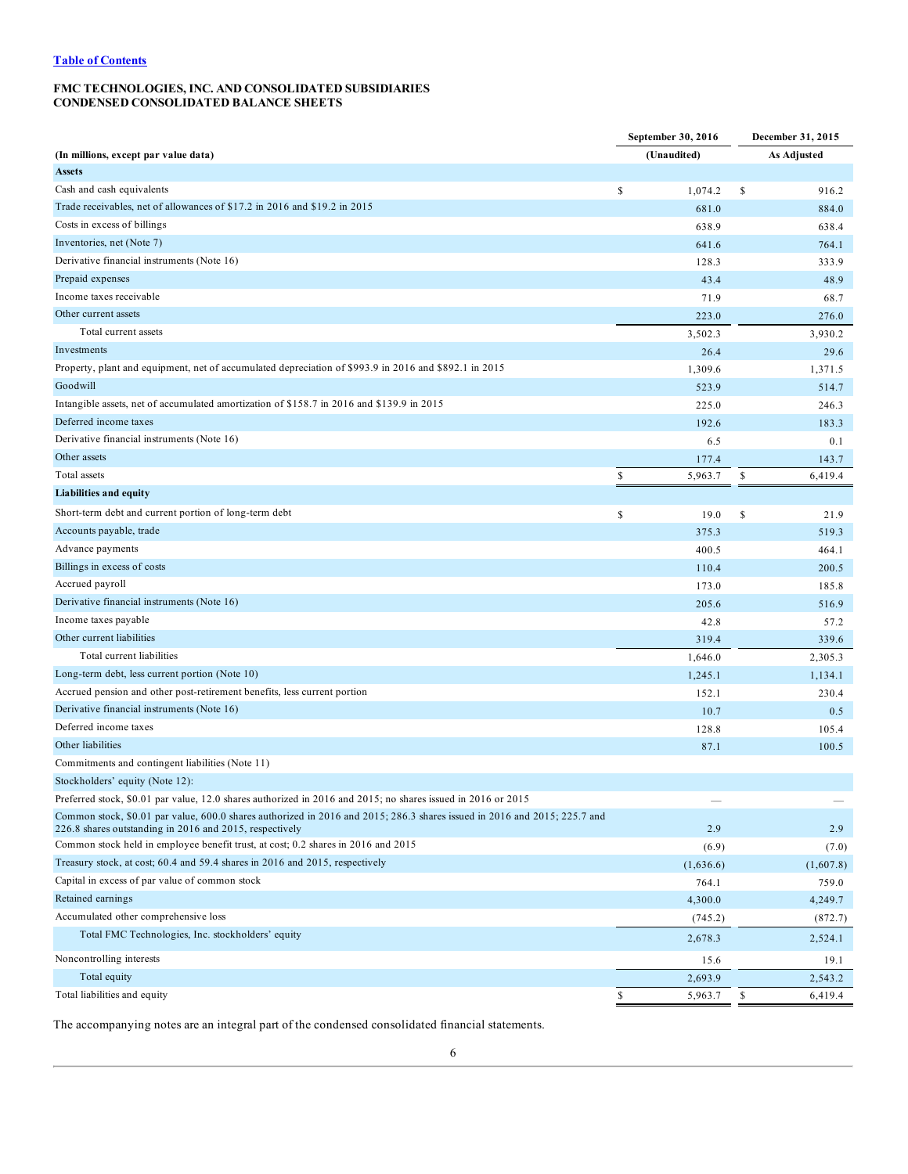#### <span id="page-5-0"></span>**FMC TECHNOLOGIES, INC. AND CONSOLIDATED SUBSIDIARIES CONDENSED CONSOLIDATED BALANCE SHEETS**

|                                                                                                                                                                                      | September 30, 2016 | December 31, 2015 |
|--------------------------------------------------------------------------------------------------------------------------------------------------------------------------------------|--------------------|-------------------|
| (In millions, except par value data)                                                                                                                                                 | (Unaudited)        | As Adjusted       |
| <b>Assets</b>                                                                                                                                                                        |                    |                   |
| Cash and cash equivalents                                                                                                                                                            | \$<br>1,074.2      | \$<br>916.2       |
| Trade receivables, net of allowances of \$17.2 in 2016 and \$19.2 in 2015                                                                                                            | 681.0              | 884.0             |
| Costs in excess of billings                                                                                                                                                          | 638.9              | 638.4             |
| Inventories, net (Note 7)                                                                                                                                                            | 641.6              | 764.1             |
| Derivative financial instruments (Note 16)                                                                                                                                           | 128.3              | 333.9             |
| Prepaid expenses                                                                                                                                                                     | 43.4               | 48.9              |
| Income taxes receivable                                                                                                                                                              | 71.9               | 68.7              |
| Other current assets                                                                                                                                                                 | 223.0              | 276.0             |
| Total current assets                                                                                                                                                                 | 3,502.3            | 3,930.2           |
| Investments                                                                                                                                                                          | 26.4               | 29.6              |
| Property, plant and equipment, net of accumulated depreciation of \$993.9 in 2016 and \$892.1 in 2015                                                                                | 1,309.6            | 1,371.5           |
| Goodwill                                                                                                                                                                             | 523.9              | 514.7             |
| Intangible assets, net of accumulated amortization of \$158.7 in 2016 and \$139.9 in 2015                                                                                            | 225.0              | 246.3             |
| Deferred income taxes                                                                                                                                                                | 192.6              | 183.3             |
| Derivative financial instruments (Note 16)                                                                                                                                           | 6.5                | 0.1               |
| Other assets                                                                                                                                                                         | 177.4              | 143.7             |
| Total assets                                                                                                                                                                         | \$<br>5,963.7      | \$<br>6,419.4     |
| Liabilities and equity                                                                                                                                                               |                    |                   |
| Short-term debt and current portion of long-term debt                                                                                                                                | \$<br>19.0         | \$<br>21.9        |
| Accounts payable, trade                                                                                                                                                              | 375.3              | 519.3             |
| Advance payments                                                                                                                                                                     | 400.5              | 464.1             |
| Billings in excess of costs                                                                                                                                                          | 110.4              | 200.5             |
| Accrued payroll                                                                                                                                                                      | 173.0              | 185.8             |
| Derivative financial instruments (Note 16)                                                                                                                                           | 205.6              | 516.9             |
| Income taxes payable                                                                                                                                                                 | 42.8               | 57.2              |
| Other current liabilities                                                                                                                                                            | 319.4              | 339.6             |
| Total current liabilities                                                                                                                                                            | 1,646.0            | 2,305.3           |
| Long-term debt, less current portion (Note 10)                                                                                                                                       | 1,245.1            | 1,134.1           |
| Accrued pension and other post-retirement benefits, less current portion                                                                                                             | 152.1              | 230.4             |
| Derivative financial instruments (Note 16)                                                                                                                                           | 10.7               | 0.5               |
| Deferred income taxes                                                                                                                                                                | 128.8              | 105.4             |
| Other liabilities                                                                                                                                                                    | 87.1               | 100.5             |
| Commitments and contingent liabilities (Note 11)                                                                                                                                     |                    |                   |
| Stockholders' equity (Note 12):                                                                                                                                                      |                    |                   |
| Preferred stock, \$0.01 par value, 12.0 shares authorized in 2016 and 2015; no shares issued in 2016 or 2015                                                                         |                    |                   |
| Common stock, \$0.01 par value, 600.0 shares authorized in 2016 and 2015; 286.3 shares issued in 2016 and 2015; 225.7 and<br>226.8 shares outstanding in 2016 and 2015, respectively | 2.9                | 2.9               |
| Common stock held in employee benefit trust, at cost; 0.2 shares in 2016 and 2015                                                                                                    | (6.9)              | (7.0)             |
| Treasury stock, at cost; 60.4 and 59.4 shares in 2016 and 2015, respectively                                                                                                         | (1,636.6)          | (1,607.8)         |
| Capital in excess of par value of common stock                                                                                                                                       | 764.1              | 759.0             |
| Retained earnings                                                                                                                                                                    | 4,300.0            | 4,249.7           |
| Accumulated other comprehensive loss                                                                                                                                                 | (745.2)            | (872.7)           |
| Total FMC Technologies, Inc. stockholders' equity                                                                                                                                    | 2,678.3            | 2,524.1           |
| Noncontrolling interests                                                                                                                                                             | 15.6               | 19.1              |
| Total equity                                                                                                                                                                         | 2,693.9            | 2,543.2           |
| Total liabilities and equity                                                                                                                                                         | \$<br>5,963.7      | \$<br>6,419.4     |

The accompanying notes are an integral part of the condensed consolidated financial statements.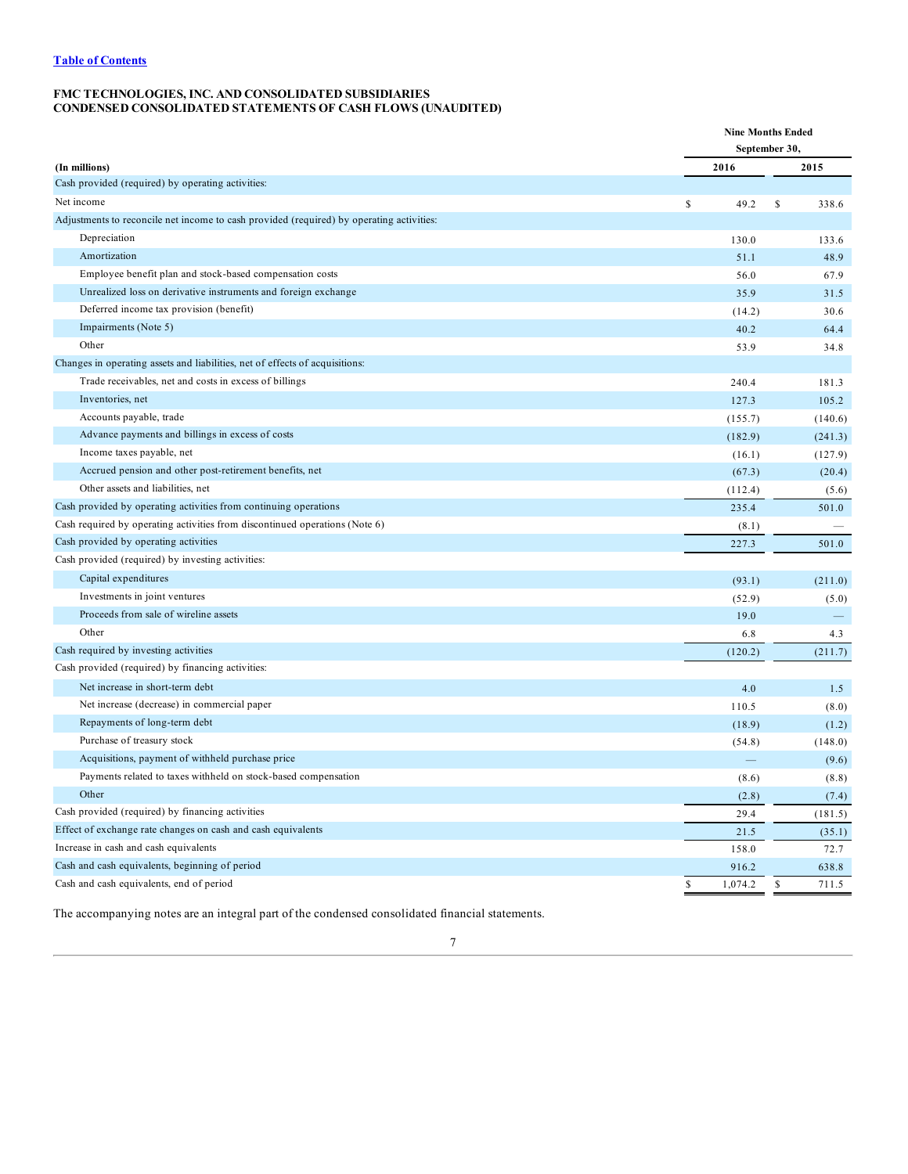#### **FMC TECHNOLOGIES, INC. AND CONSOLIDATED SUBSIDIARIES CONDENSED CONSOLIDATED STATEMENTS OF CASH FLOWS (UNAUDITED)**

|                                                                                          |                        | <b>Nine Months Ended</b> |
|------------------------------------------------------------------------------------------|------------------------|--------------------------|
|                                                                                          |                        | September 30,            |
| (In millions)                                                                            | 2016                   | 2015                     |
| Cash provided (required) by operating activities:                                        |                        |                          |
| Net income                                                                               | \$<br>49.2             | \$<br>338.6              |
| Adjustments to reconcile net income to cash provided (required) by operating activities: |                        |                          |
| Depreciation                                                                             | 130.0                  | 133.6                    |
| Amortization                                                                             | 51.1                   | 48.9                     |
| Employee benefit plan and stock-based compensation costs                                 | 56.0                   | 67.9                     |
| Unrealized loss on derivative instruments and foreign exchange                           | 35.9                   | 31.5                     |
| Deferred income tax provision (benefit)                                                  | (14.2)                 | 30.6                     |
| Impairments (Note 5)                                                                     | 40.2                   | 64.4                     |
| Other                                                                                    | 53.9                   | 34.8                     |
| Changes in operating assets and liabilities, net of effects of acquisitions:             |                        |                          |
| Trade receivables, net and costs in excess of billings                                   | 240.4                  | 181.3                    |
| Inventories, net                                                                         | 127.3                  | 105.2                    |
| Accounts payable, trade                                                                  | (155.7)                | (140.6)                  |
| Advance payments and billings in excess of costs                                         | (182.9)                | (241.3)                  |
| Income taxes payable, net                                                                | (16.1)                 | (127.9)                  |
| Accrued pension and other post-retirement benefits, net                                  | (67.3)                 | (20.4)                   |
| Other assets and liabilities, net                                                        | (112.4)                | (5.6)                    |
| Cash provided by operating activities from continuing operations                         | 235.4                  | 501.0                    |
| Cash required by operating activities from discontinued operations (Note 6)              | (8.1)                  | $\sim$                   |
| Cash provided by operating activities                                                    | 227.3                  | 501.0                    |
| Cash provided (required) by investing activities:                                        |                        |                          |
| Capital expenditures                                                                     | (93.1)                 | (211.0)                  |
| Investments in joint ventures                                                            | (52.9)                 | (5.0)                    |
| Proceeds from sale of wireline assets                                                    | 19.0                   |                          |
| Other                                                                                    | 6.8                    | 4.3                      |
| Cash required by investing activities                                                    | (120.2)                | (211.7)                  |
| Cash provided (required) by financing activities:                                        |                        |                          |
| Net increase in short-term debt                                                          | 4.0                    | 1.5                      |
| Net increase (decrease) in commercial paper                                              | 110.5                  | (8.0)                    |
| Repayments of long-term debt                                                             | (18.9)                 | (1.2)                    |
| Purchase of treasury stock                                                               | (54.8)                 | (148.0)                  |
| Acquisitions, payment of withheld purchase price                                         |                        | (9.6)                    |
| Payments related to taxes withheld on stock-based compensation                           | (8.6)                  | (8.8)                    |
| Other                                                                                    | (2.8)                  | (7.4)                    |
| Cash provided (required) by financing activities                                         | 29.4                   | (181.5)                  |
| Effect of exchange rate changes on cash and cash equivalents                             | 21.5                   | (35.1)                   |
| Increase in cash and cash equivalents                                                    | 158.0                  | 72.7                     |
| Cash and cash equivalents, beginning of period                                           | 916.2                  | 638.8                    |
| Cash and cash equivalents, end of period                                                 | $\mathbf S$<br>1.074.2 | \$<br>711.5              |

The accompanying notes are an integral part of the condensed consolidated financial statements.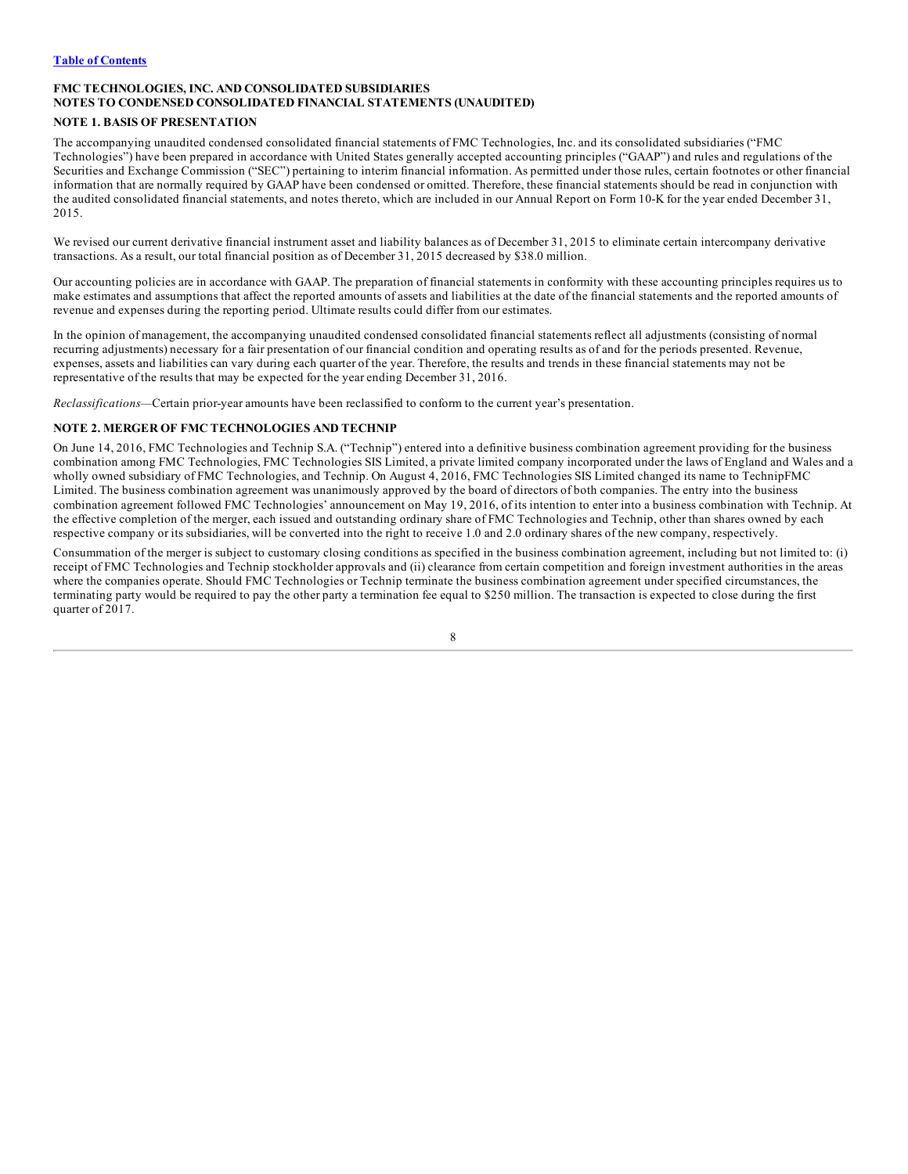## <span id="page-7-0"></span>**FMC TECHNOLOGIES, INC. AND CONSOLIDATED SUBSIDIARIES NOTES TO CONDENSED CONSOLIDATED FINANCIAL STATEMENTS (UNAUDITED)**

## **NOTE 1. BASIS OF PRESENTATION**

The accompanying unaudited condensed consolidated financial statements of FMC Technologies, Inc. and its consolidated subsidiaries ("FMC Technologies") have been prepared in accordance with United States generally accepted accounting principles ("GAAP") and rules and regulations of the Securities and Exchange Commission ("SEC") pertaining to interim financial information. As permitted under those rules, certain footnotes or other financial information that are normally required by GAAP have been condensed or omitted. Therefore, these financial statements should be read in conjunction with the audited consolidated financial statements, and notes thereto, which are included in our Annual Report on Form 10-K for the year ended December 31, 2015.

We revised our current derivative financial instrument asset and liability balances as of December 31, 2015 to eliminate certain intercompany derivative transactions. As a result, our total financial position as of December 31, 2015 decreased by \$38.0 million.

Our accounting policies are in accordance with GAAP. The preparation of financial statements in conformity with these accounting principles requires us to make estimates and assumptions that affect the reported amounts of assets and liabilities at the date of the financial statements and the reported amounts of revenue and expenses during the reporting period. Ultimate results could differ from our estimates.

In the opinion of management, the accompanying unaudited condensed consolidated financial statements reflect all adjustments (consisting of normal recurring adjustments) necessary for a fair presentation of our financial condition and operating results as of and for the periods presented. Revenue, expenses, assets and liabilities can vary during each quarter of the year. Therefore, the results and trends in these financial statements may not be representative of the results that may be expected for the year ending December 31, 2016.

*Reclassifications—*Certain prior-year amounts have been reclassified to conform to the current year's presentation.

#### **NOTE 2. MERGER OF FMC TECHNOLOGIES AND TECHNIP**

On June 14, 2016, FMC Technologies and Technip S.A. ("Technip") entered into a definitive business combination agreement providing for the business combination among FMC Technologies, FMC Technologies SIS Limited, a private limited company incorporated under the laws of England and Wales and a wholly owned subsidiary of FMC Technologies, and Technip. On August 4, 2016, FMC Technologies SIS Limited changed its name to TechnipFMC Limited. The business combination agreement was unanimously approved by the board of directors of both companies. The entry into the business combination agreement followed FMC Technologies' announcement on May 19, 2016, of its intention to enter into a business combination with Technip. At the effective completion of the merger, each issued and outstanding ordinary share of FMC Technologies and Technip, other than shares owned by each respective company or its subsidiaries, will be converted into the right to receive 1.0 and 2.0 ordinary shares of the new company, respectively.

Consummation of the merger is subject to customary closing conditions as specified in the business combination agreement, including but not limited to: (i) receipt of FMC Technologies and Technip stockholder approvals and (ii) clearance from certain competition and foreign investment authorities in the areas where the companies operate. Should FMC Technologies or Technip terminate the business combination agreement under specified circumstances, the terminating party would be required to pay the other party a termination fee equal to \$250 million. The transaction is expected to close during the first quarter of 2017.

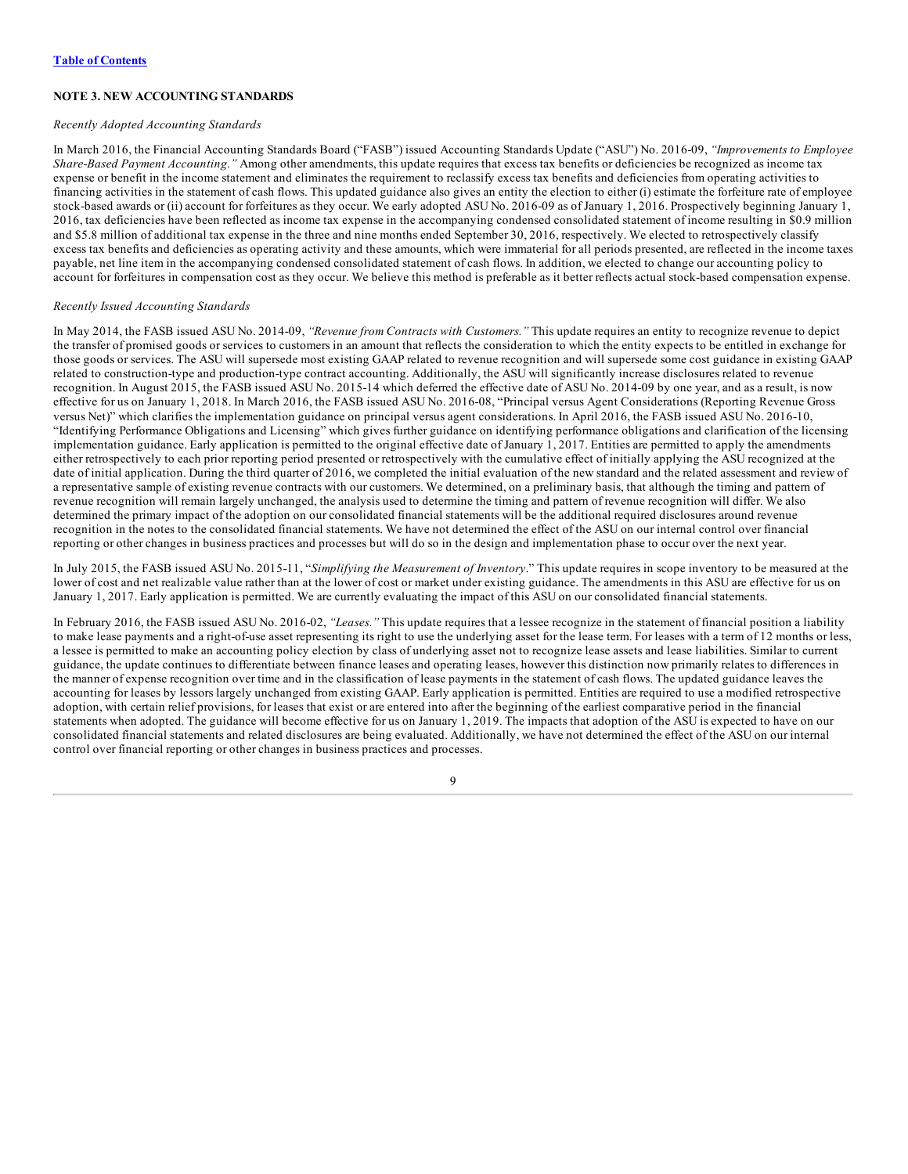## **NOTE 3. NEW ACCOUNTING STANDARDS**

#### *Recently Adopted Accounting Standards*

In March 2016, the Financial Accounting Standards Board ("FASB") issued Accounting Standards Update ("ASU") No. 2016-09, *"Improvements to Employee Share-Based Payment Accounting."* Among other amendments, this update requires that excess tax benefits or deficiencies be recognized as income tax expense or benefit in the income statement and eliminates the requirement to reclassify excess tax benefits and deficiencies from operating activities to financing activities in the statement of cash flows. This updated guidance also gives an entity the election to either (i) estimate the forfeiture rate of employee stock-based awards or (ii) account for forfeitures as they occur. We early adopted ASU No. 2016-09 as of January 1, 2016. Prospectively beginning January 1, 2016, tax deficiencies have been reflected as income tax expense in the accompanying condensed consolidated statement of income resulting in \$0.9 million and \$5.8 million of additional tax expense in the three and nine months ended September 30, 2016, respectively. We elected to retrospectively classify excess tax benefits and deficiencies as operating activity and these amounts, which were immaterial for all periods presented, are reflected in the income taxes payable, net line item in the accompanying condensed consolidated statement of cash flows. In addition, we elected to change our accounting policy to account for forfeitures in compensation cost as they occur. We believe this method is preferable as it better reflects actual stock-based compensation expense.

#### *Recently Issued Accounting Standards*

In May 2014, the FASB issued ASU No. 2014-09, *"Revenue from Contracts with Customers."* This update requires an entity to recognize revenue to depict the transfer of promised goods or services to customers in an amount that reflects the consideration to which the entity expects to be entitled in exchange for those goods or services. The ASU will supersede most existing GAAP related to revenue recognition and will supersede some cost guidance in existing GAAP related to construction-type and production-type contract accounting. Additionally, the ASU will significantly increase disclosures related to revenue recognition. In August 2015, the FASB issued ASU No. 2015-14 which deferred the effective date of ASU No. 2014-09 by one year, and as a result, is now effective for us on January 1, 2018. In March 2016, the FASB issued ASU No. 2016-08, "Principal versus Agent Considerations (Reporting Revenue Gross versus Net)" which clarifies the implementation guidance on principal versus agent considerations. In April 2016, the FASB issued ASU No. 2016-10, "Identifying Performance Obligations and Licensing" which gives further guidance on identifying performance obligations and clarification of the licensing implementation guidance. Early application is permitted to the original effective date of January 1, 2017. Entities are permitted to apply the amendments either retrospectively to each prior reporting period presented or retrospectively with the cumulative effect of initially applying the ASU recognized at the date of initial application. During the third quarter of 2016, we completed the initial evaluation of the new standard and the related assessment and review of a representative sample of existing revenue contracts with our customers. We determined, on a preliminary basis, that although the timing and pattern of revenue recognition will remain largely unchanged, the analysis used to determine the timing and pattern of revenue recognition will differ. We also determined the primary impact of the adoption on our consolidated financial statements will be the additional required disclosures around revenue recognition in the notes to the consolidated financial statements. We have not determined the effect of the ASU on our internal control over financial reporting or other changes in business practices and processes but will do so in the design and implementation phase to occur over the next year.

In July 2015, the FASB issued ASU No. 2015-11, "*Simplifying the Measurement of Inventory*." This update requires in scope inventory to be measured at the lower of cost and net realizable value rather than at the lower of cost or market under existing guidance. The amendments in this ASU are effective for us on January 1, 2017. Early application is permitted. We are currently evaluating the impact of this ASU on our consolidated financial statements.

In February 2016, the FASB issued ASU No. 2016-02, *"Leases."* This update requires that a lessee recognize in the statement of financial position a liability to make lease payments and a right-of-use asset representing its right to use the underlying asset for the lease term. For leases with a term of 12 months or less, a lessee is permitted to make an accounting policy election by class of underlying asset not to recognize lease assets and lease liabilities. Similar to current guidance, the update continues to differentiate between finance leases and operating leases, however this distinction now primarily relates to differences in the manner of expense recognition over time and in the classification of lease payments in the statement of cash flows. The updated guidance leaves the accounting for leases by lessors largely unchanged from existing GAAP. Early application is permitted. Entities are required to use a modified retrospective adoption, with certain relief provisions, for leases that exist or are entered into after the beginning of the earliest comparative period in the financial statements when adopted. The guidance will become effective for us on January 1, 2019. The impacts that adoption of the ASU is expected to have on our consolidated financial statements and related disclosures are being evaluated. Additionally, we have not determined the effect of the ASU on our internal control over financial reporting or other changes in business practices and processes.

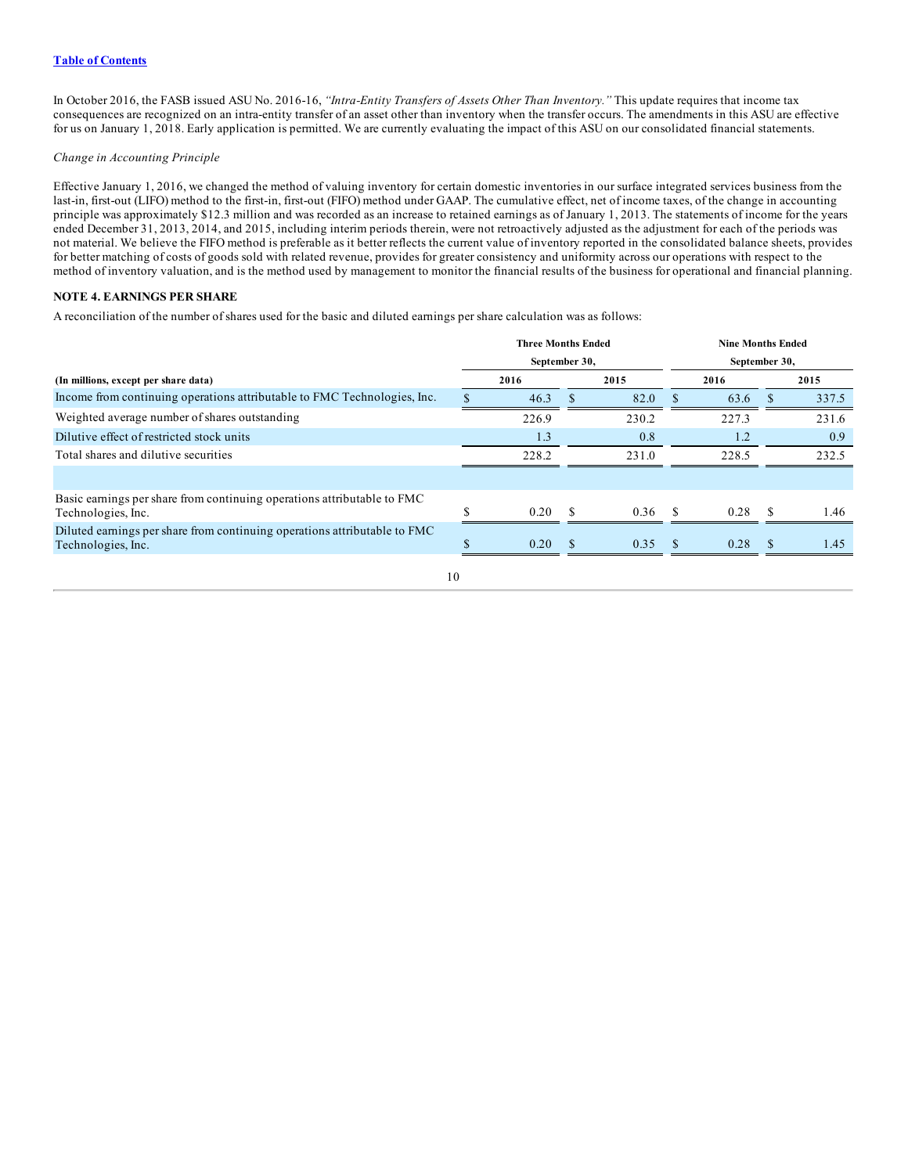In October 2016, the FASB issued ASU No. 2016-16, *"Intra-Entity Transfers of Assets Other Than Inventory."* This update requires that income tax consequences are recognized on an intra-entity transfer of an asset other than inventory when the transfer occurs. The amendments in this ASU are effective for us on January 1, 2018. Early application is permitted. We are currently evaluating the impact of this ASU on our consolidated financial statements.

#### *Change in Accounting Principle*

Effective January 1, 2016, we changed the method of valuing inventory for certain domestic inventories in our surface integrated services business from the last-in, first-out (LIFO) method to the first-in, first-out (FIFO) method under GAAP. The cumulative effect, net of income taxes, of the change in accounting principle was approximately \$12.3 million and was recorded as an increase to retained earnings as of January 1, 2013. The statements of income for the years ended December 31, 2013, 2014, and 2015, including interim periods therein, were not retroactively adjusted as the adjustment for each of the periods was not material. We believe the FIFO method is preferable as it better reflects the current value of inventory reported in the consolidated balance sheets, provides for better matching of costs of goods sold with related revenue, provides for greater consistency and uniformity across our operations with respect to the method of inventory valuation, and is the method used by management to monitor the financial results of the business for operational and financial planning.

#### **NOTE 4. EARNINGS PER SHARE**

A reconciliation of the number of shares used for the basic and diluted earnings per share calculation was as follows:

|                                                                                                 | <b>Three Months Ended</b> |               |               |                   | <b>Nine Months Ended</b> |       |    |       |  |
|-------------------------------------------------------------------------------------------------|---------------------------|---------------|---------------|-------------------|--------------------------|-------|----|-------|--|
|                                                                                                 |                           | September 30, |               |                   | September 30,            |       |    |       |  |
| (In millions, except per share data)                                                            |                           | 2016          |               | 2015              |                          | 2016  |    | 2015  |  |
| Income from continuing operations attributable to FMC Technologies, Inc.                        |                           | 46.3          |               | 82.0              |                          | 63.6  |    | 337.5 |  |
| Weighted average number of shares outstanding                                                   |                           | 226.9         |               | 230.2             |                          | 227.3 |    | 231.6 |  |
| Dilutive effect of restricted stock units                                                       |                           | 1.3           |               | 0.8               |                          | 1.2   |    | 0.9   |  |
| Total shares and dilutive securities                                                            |                           | 228.2         |               | 231.0             |                          | 228.5 |    | 232.5 |  |
|                                                                                                 |                           |               |               |                   |                          |       |    |       |  |
| Basic earnings per share from continuing operations attributable to FMC<br>Technologies, Inc.   |                           | 0.20          | -S            | 0.36 <sup>8</sup> |                          | 0.28  | -S | 1.46  |  |
| Diluted earnings per share from continuing operations attributable to FMC<br>Technologies, Inc. |                           | 0.20          | $\mathcal{S}$ | 0.35              | $^{\circ}$               | 0.28  |    | 1.45  |  |
|                                                                                                 |                           |               |               |                   |                          |       |    |       |  |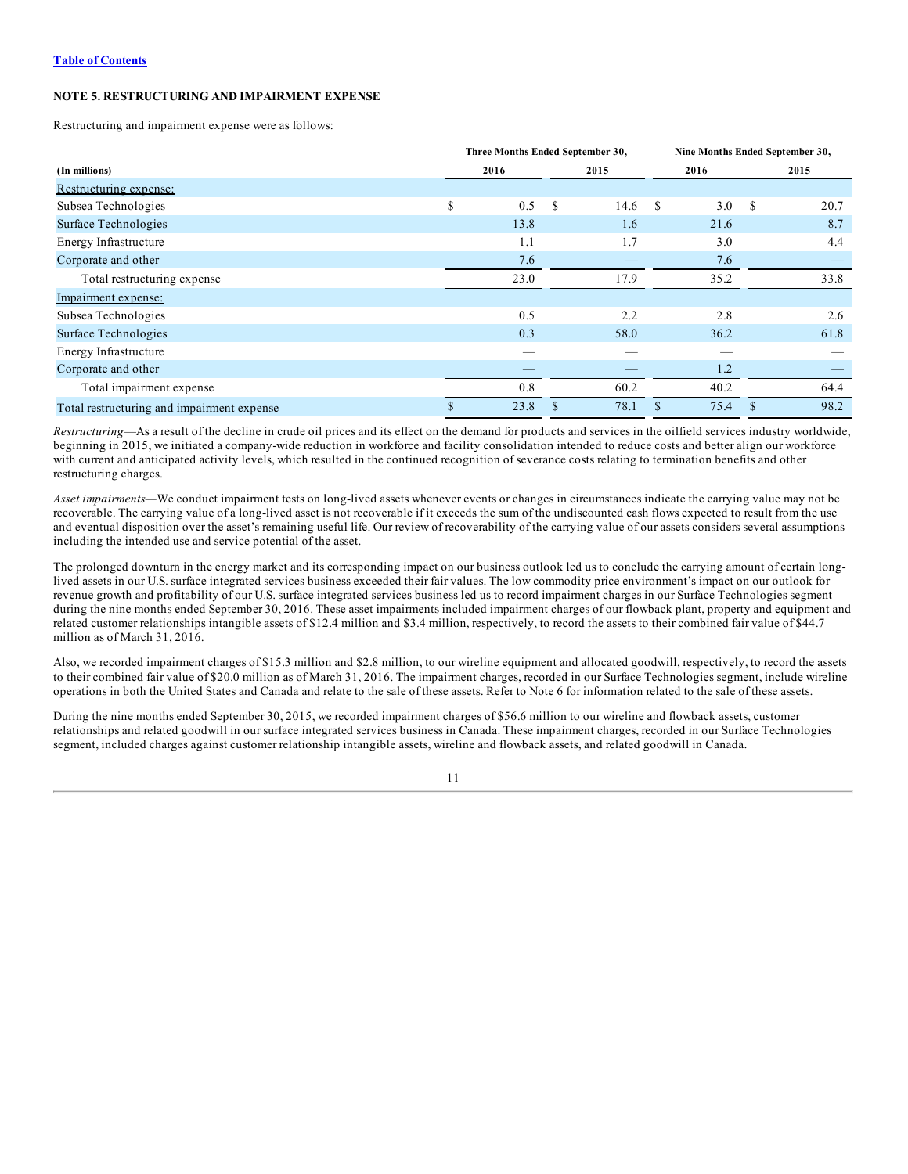## **NOTE 5. RESTRUCTURING AND IMPAIRMENT EXPENSE**

Restructuring and impairment expense were as follows:

|                                            | Three Months Ended September 30, |      |    |      |               | Nine Months Ended September 30, |               |      |
|--------------------------------------------|----------------------------------|------|----|------|---------------|---------------------------------|---------------|------|
| (In millions)                              |                                  | 2016 |    | 2015 | 2016          |                                 |               | 2015 |
| Restructuring expense:                     |                                  |      |    |      |               |                                 |               |      |
| Subsea Technologies                        | \$                               | 0.5  | \$ | 14.6 | <sup>\$</sup> | 3.0                             | <sup>\$</sup> | 20.7 |
| Surface Technologies                       |                                  | 13.8 |    | 1.6  |               | 21.6                            |               | 8.7  |
| Energy Infrastructure                      |                                  | 1.1  |    | 1.7  |               | 3.0                             |               | 4.4  |
| Corporate and other                        |                                  | 7.6  |    |      |               | 7.6                             |               |      |
| Total restructuring expense                |                                  | 23.0 |    | 17.9 |               | 35.2                            |               | 33.8 |
| Impairment expense:                        |                                  |      |    |      |               |                                 |               |      |
| Subsea Technologies                        |                                  | 0.5  |    | 2.2  |               | 2.8                             |               | 2.6  |
| Surface Technologies                       |                                  | 0.3  |    | 58.0 |               | 36.2                            |               | 61.8 |
| Energy Infrastructure                      |                                  |      |    |      |               |                                 |               |      |
| Corporate and other                        |                                  |      |    |      |               | 1.2                             |               |      |
| Total impairment expense                   |                                  | 0.8  |    | 60.2 |               | 40.2                            |               | 64.4 |
| Total restructuring and impairment expense |                                  | 23.8 |    | 78.1 |               | 75.4                            | \$            | 98.2 |

*Restructuring*—As a result of the decline in crude oil prices and its effect on the demand for products and services in the oilfield services industry worldwide, beginning in 2015, we initiated a company-wide reduction in workforce and facility consolidation intended to reduce costs and better align our workforce with current and anticipated activity levels, which resulted in the continued recognition of severance costs relating to termination benefits and other restructuring charges.

*Asset impairments—*We conduct impairment tests on long-lived assets whenever events or changes in circumstances indicate the carrying value may not be recoverable. The carrying value of a long-lived asset is not recoverable if it exceeds the sum of the undiscounted cash flows expected to result from the use and eventual disposition over the asset's remaining useful life. Our review of recoverability of the carrying value of our assets considers several assumptions including the intended use and service potential of the asset.

The prolonged downturn in the energy market and its corresponding impact on our business outlook led us to conclude the carrying amount of certain longlived assets in our U.S. surface integrated services business exceeded their fair values. The low commodity price environment's impact on our outlook for revenue growth and profitability of our U.S. surface integrated services business led us to record impairment charges in our Surface Technologies segment during the nine months ended September 30, 2016. These asset impairments included impairment charges of our flowback plant, property and equipment and related customer relationships intangible assets of \$12.4 million and \$3.4 million, respectively, to record the assets to their combined fair value of \$44.7 million as of March 31, 2016.

Also, we recorded impairment charges of \$15.3 million and \$2.8 million, to our wireline equipment and allocated goodwill, respectively, to record the assets to their combined fair value of \$20.0 million as of March 31, 2016. The impairment charges, recorded in our Surface Technologies segment, include wireline operations in both the United States and Canada and relate to the sale of these assets. Refer to Note 6 for information related to the sale of these assets.

During the nine months ended September 30, 2015, we recorded impairment charges of \$56.6 million to our wireline and flowback assets, customer relationships and related goodwill in our surface integrated services business in Canada. These impairment charges, recorded in our Surface Technologies segment, included charges against customer relationship intangible assets, wireline and flowback assets, and related goodwill in Canada.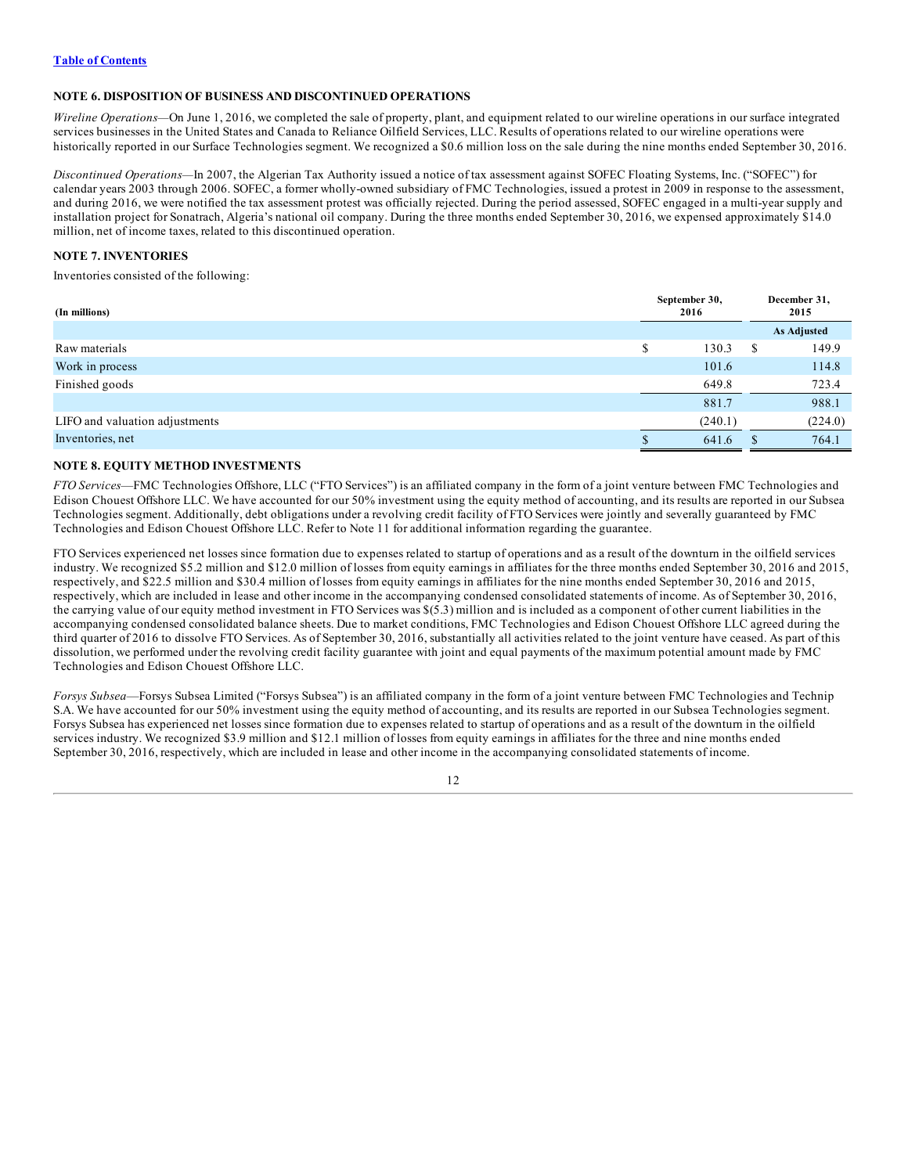## **NOTE 6. DISPOSITION OF BUSINESS AND DISCONTINUED OPERATIONS**

*Wireline Operations—*On June 1, 2016, we completed the sale of property, plant, and equipment related to our wireline operations in our surface integrated services businesses in the United States and Canada to Reliance Oilfield Services, LLC. Results of operations related to our wireline operations were historically reported in our Surface Technologies segment. We recognized a \$0.6 million loss on the sale during the nine months ended September 30, 2016.

*Discontinued Operations—*In 2007, the Algerian Tax Authority issued a notice of tax assessment against SOFEC Floating Systems, Inc. ("SOFEC") for calendar years 2003 through 2006. SOFEC, a former wholly-owned subsidiary of FMC Technologies, issued a protest in 2009 in response to the assessment, and during 2016, we were notified the tax assessment protest was officially rejected. During the period assessed, SOFEC engaged in a multi-year supply and installation project for Sonatrach, Algeria's national oil company. During the three months ended September 30, 2016, we expensed approximately \$14.0 million, net of income taxes, related to this discontinued operation.

## **NOTE 7. INVENTORIES**

Inventories consisted of the following:

| (In millions)                  | September 30,<br>2016 |         |   | December 31,<br>2015 |  |
|--------------------------------|-----------------------|---------|---|----------------------|--|
|                                |                       |         |   | As Adjusted          |  |
| Raw materials                  | \$                    | 130.3   | S | 149.9                |  |
| Work in process                |                       | 101.6   |   | 114.8                |  |
| Finished goods                 |                       | 649.8   |   | 723.4                |  |
|                                |                       | 881.7   |   | 988.1                |  |
| LIFO and valuation adjustments |                       | (240.1) |   | (224.0)              |  |
| Inventories, net               |                       | 641.6   | S | 764.1                |  |

## **NOTE 8. EQUITY METHOD INVESTMENTS**

*FTO Services*—FMC Technologies Offshore, LLC ("FTO Services") is an affiliated company in the form of a joint venture between FMC Technologies and Edison Chouest Offshore LLC. We have accounted for our 50% investment using the equity method of accounting, and its results are reported in our Subsea Technologies segment. Additionally, debt obligations under a revolving credit facility of FTO Services were jointly and severally guaranteed by FMC Technologies and Edison Chouest Offshore LLC. Refer to Note 11 for additional information regarding the guarantee.

FTO Services experienced net losses since formation due to expenses related to startup of operations and as a result of the downturn in the oilfield services industry. We recognized \$5.2 million and \$12.0 million of losses from equity earnings in affiliates for the three months ended September 30, 2016 and 2015, respectively, and \$22.5 million and \$30.4 million of losses from equity earnings in affiliates for the nine months ended September 30, 2016 and 2015, respectively, which are included in lease and other income in the accompanying condensed consolidated statements of income. As of September 30, 2016, the carrying value of our equity method investment in FTO Services was \$(5.3) million and is included as a component of other current liabilities in the accompanying condensed consolidated balance sheets. Due to market conditions, FMC Technologies and Edison Chouest Offshore LLC agreed during the third quarter of 2016 to dissolve FTO Services. As of September 30, 2016, substantially all activities related to the joint venture have ceased. As part of this dissolution, we performed under the revolving credit facility guarantee with joint and equal payments of the maximum potential amount made by FMC Technologies and Edison Chouest Offshore LLC.

*Forsys Subsea*—Forsys Subsea Limited ("Forsys Subsea") is an affiliated company in the form of a joint venture between FMC Technologies and Technip S.A. We have accounted for our 50% investment using the equity method of accounting, and its results are reported in our Subsea Technologies segment. Forsys Subsea has experienced net losses since formation due to expenses related to startup of operations and as a result of the downturn in the oilfield services industry. We recognized \$3.9 million and \$12.1 million of losses from equity earnings in affiliates for the three and nine months ended September 30, 2016, respectively, which are included in lease and other income in the accompanying consolidated statements of income.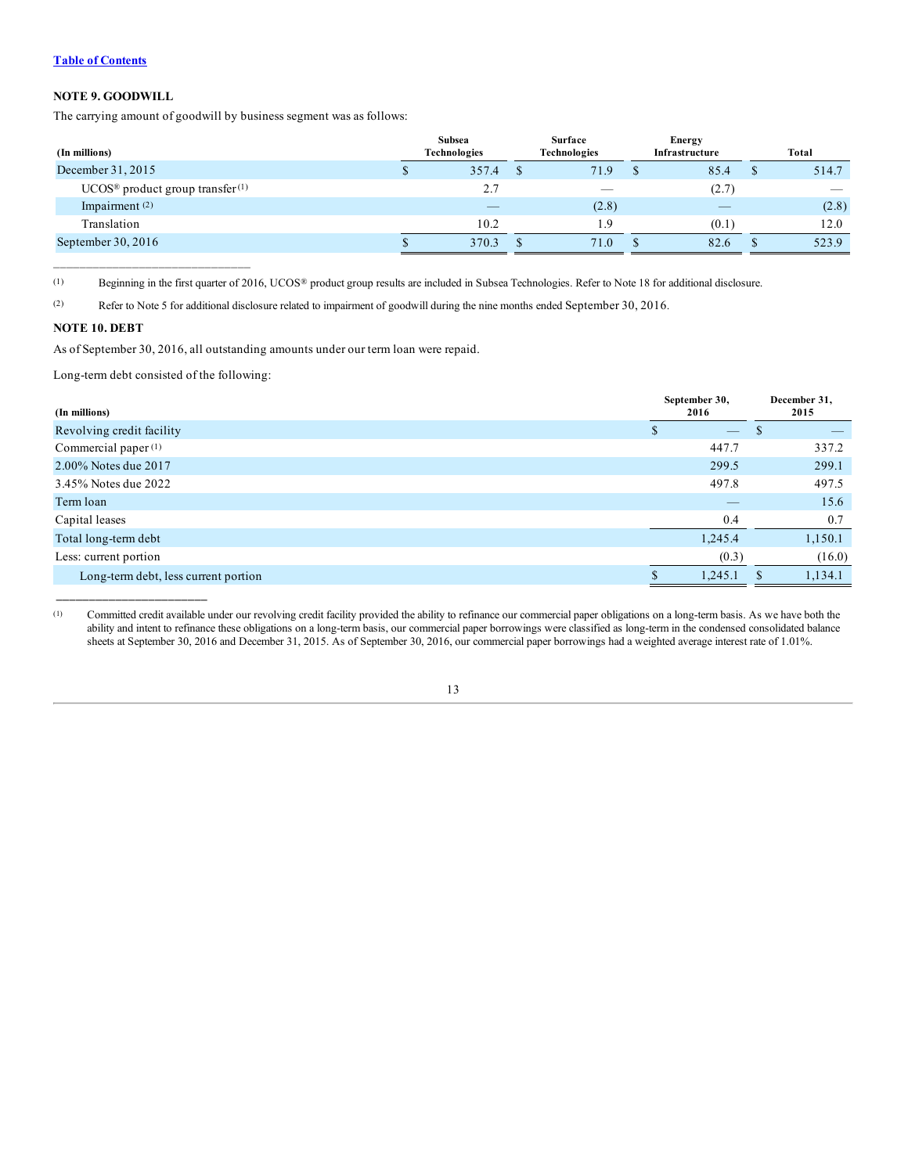## **NOTE 9. GOODWILL**

The carrying amount of goodwill by business segment was as follows:

| (In millions)                                          | <b>Subsea</b><br>Technologies | <b>Surface</b><br>Technologies | Energy<br>Infrastructure | <b>Total</b> |
|--------------------------------------------------------|-------------------------------|--------------------------------|--------------------------|--------------|
| December 31, 2015                                      | 357.4                         | 71.9                           | 85.4                     | 514.7        |
| $UCOS^{\otimes}$ product group transfer <sup>(1)</sup> | 2.7                           |                                | (2.7)                    |              |
| Impairment $(2)$                                       |                               | (2.8)                          |                          | (2.8)        |
| Translation                                            | 10.2                          | <u>1.9</u>                     | (0.1)                    | 12.0         |
| September 30, 2016                                     | 370.3                         | 71.0                           | 82.6                     | 523.9        |

(1) Beginning in the first quarter of 2016, UCOS® product group results are included in Subsea Technologies. Refer to Note 18 for additional disclosure.

(2) Refer to Note 5 for additional disclosure related to impairment of goodwill during the nine months ended September 30, 2016.

## **NOTE 10. DEBT**

As of September 30, 2016, all outstanding amounts under our term loan were repaid.

Long-term debt consisted of the following:

**\_\_\_\_\_\_\_\_\_\_\_\_\_\_\_\_\_\_\_\_\_\_\_**

| (In millions)                        | September 30,<br>2016 |     | December 31,<br>2015 |
|--------------------------------------|-----------------------|-----|----------------------|
| Revolving credit facility            |                       | J.  |                      |
| Commercial paper $(1)$               | 447.7                 |     | 337.2                |
| 2.00% Notes due 2017                 | 299.5                 |     | 299.1                |
| 3.45% Notes due 2022                 | 497.8                 |     | 497.5                |
| Term loan                            |                       |     | 15.6                 |
| Capital leases                       | 0.4                   |     | 0.7                  |
| Total long-term debt                 | 1,245.4               |     | 1,150.1              |
| Less: current portion                | (0.3)                 |     | (16.0)               |
| Long-term debt, less current portion | 1,245.1               | \$. | 1,134.1              |

(1) Committed credit available under our revolving credit facility provided the ability to refinance our commercial paper obligations on a long-term basis. As we have both the ability and intent to refinance these obligations on a long-term basis, our commercial paper borrowings were classified as long-term in the condensed consolidated balance sheets at September 30, 2016 and December 31, 2015. As of September 30, 2016, our commercial paper borrowings had a weighted average interest rate of 1.01%.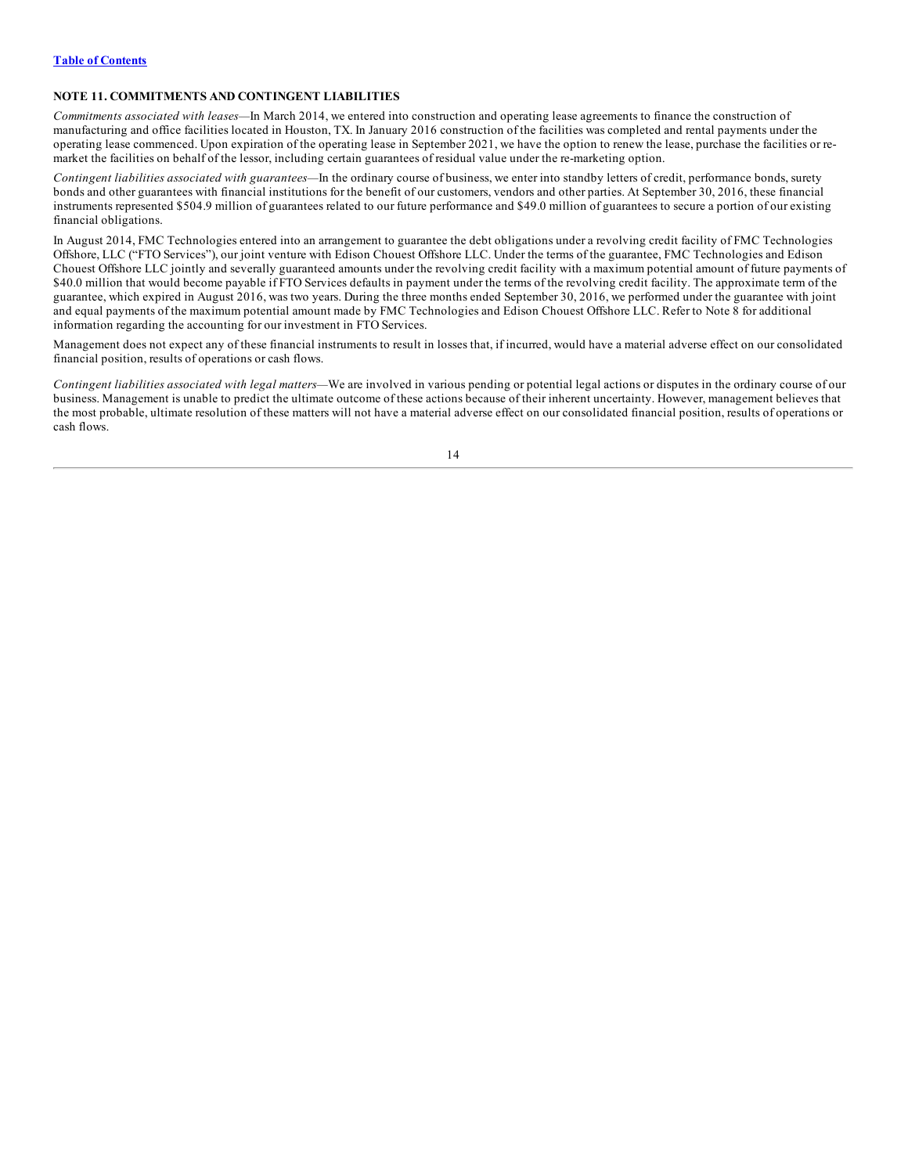## **NOTE 11. COMMITMENTS AND CONTINGENT LIABILITIES**

*Commitments associated with leases—*In March 2014, we entered into construction and operating lease agreements to finance the construction of manufacturing and office facilities located in Houston, TX. In January 2016 construction of the facilities was completed and rental payments under the operating lease commenced. Upon expiration of the operating lease in September 2021, we have the option to renew the lease, purchase the facilities or remarket the facilities on behalf of the lessor, including certain guarantees of residual value under the re-marketing option.

*Contingent liabilities associated with guarantees—*In the ordinary course of business, we enter into standby letters of credit, performance bonds, surety bonds and other guarantees with financial institutions for the benefit of our customers, vendors and other parties. At September 30, 2016, these financial instruments represented \$504.9 million of guarantees related to our future performance and \$49.0 million of guarantees to secure a portion of our existing financial obligations.

In August 2014, FMC Technologies entered into an arrangement to guarantee the debt obligations under a revolving credit facility of FMC Technologies Offshore, LLC ("FTO Services"), our joint venture with Edison Chouest Offshore LLC. Under the terms of the guarantee, FMC Technologies and Edison Chouest Offshore LLC jointly and severally guaranteed amounts under the revolving credit facility with a maximum potential amount of future payments of \$40.0 million that would become payable if FTO Services defaults in payment under the terms of the revolving credit facility. The approximate term of the guarantee, which expired in August 2016, was two years. During the three months ended September 30, 2016, we performed under the guarantee with joint and equal payments of the maximum potential amount made by FMC Technologies and Edison Chouest Offshore LLC. Refer to Note 8 for additional information regarding the accounting for our investment in FTO Services.

Management does not expect any of these financial instruments to result in losses that, if incurred, would have a material adverse effect on our consolidated financial position, results of operations or cash flows.

*Contingent liabilities associated with legal matters—*We are involved in various pending or potential legal actions or disputes in the ordinary course of our business. Management is unable to predict the ultimate outcome of these actions because of their inherent uncertainty. However, management believes that the most probable, ultimate resolution of these matters will not have a material adverse effect on our consolidated financial position, results of operations or cash flows.

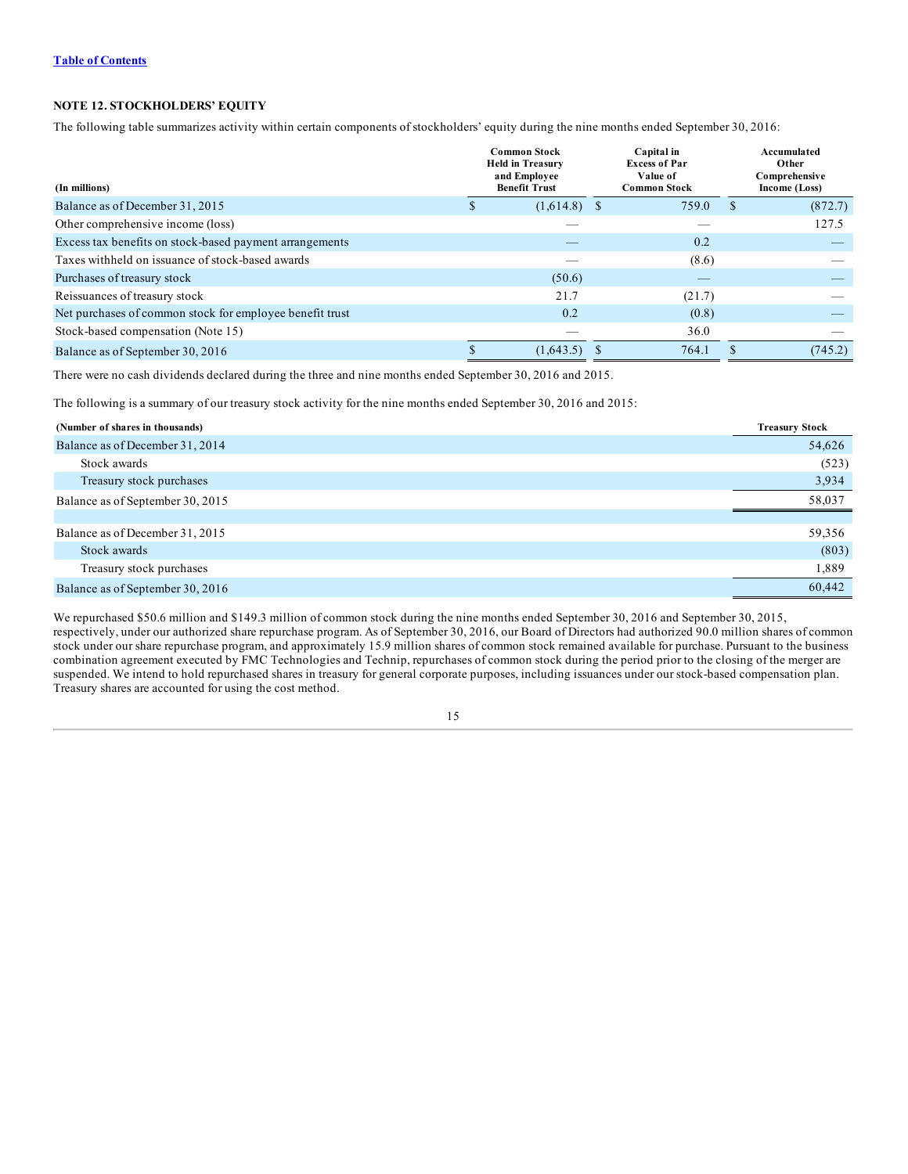## **NOTE 12. STOCKHOLDERS' EQUITY**

The following table summarizes activity within certain components of stockholders' equity during the nine months ended September 30, 2016:

| (In millions)                                            |              | <b>Common Stock</b><br>Capital in<br><b>Held in Treasury</b><br><b>Excess of Par</b><br>Value of<br>and Employee<br><b>Benefit Trust</b><br><b>Common Stock</b> |  |        |          | Accumulated<br>Other<br>Comprehensive<br>Income (Loss) |
|----------------------------------------------------------|--------------|-----------------------------------------------------------------------------------------------------------------------------------------------------------------|--|--------|----------|--------------------------------------------------------|
| Balance as of December 31, 2015                          | $\mathbf{D}$ | $(1,614.8)$ \$                                                                                                                                                  |  | 759.0  | <b>S</b> | (872.7)                                                |
| Other comprehensive income (loss)                        |              |                                                                                                                                                                 |  |        |          | 127.5                                                  |
| Excess tax benefits on stock-based payment arrangements  |              |                                                                                                                                                                 |  | 0.2    |          |                                                        |
| Taxes withheld on issuance of stock-based awards         |              |                                                                                                                                                                 |  | (8.6)  |          |                                                        |
| Purchases of treasury stock                              |              | (50.6)                                                                                                                                                          |  |        |          |                                                        |
| Reissuances of treasury stock                            |              | 21.7                                                                                                                                                            |  | (21.7) |          |                                                        |
| Net purchases of common stock for employee benefit trust |              | 0.2                                                                                                                                                             |  | (0.8)  |          |                                                        |
| Stock-based compensation (Note 15)                       |              | $\sim$                                                                                                                                                          |  | 36.0   |          |                                                        |
| Balance as of September 30, 2016                         |              | (1,643.5)                                                                                                                                                       |  | 764.1  |          | (745.2)                                                |

There were no cash dividends declared during the three and nine months ended September 30, 2016 and 2015.

The following is a summary of our treasury stock activity for the nine months ended September 30, 2016 and 2015:

| (Number of shares in thousands)  | <b>Treasury Stock</b> |
|----------------------------------|-----------------------|
| Balance as of December 31, 2014  | 54,626                |
| Stock awards                     | (523)                 |
| Treasury stock purchases         | 3,934                 |
| Balance as of September 30, 2015 | 58,037                |
|                                  |                       |
| Balance as of December 31, 2015  | 59,356                |
| Stock awards                     | (803)                 |
| Treasury stock purchases         | 1,889                 |
| Balance as of September 30, 2016 | 60,442                |

We repurchased \$50.6 million and \$149.3 million of common stock during the nine months ended September 30, 2016 and September 30, 2015, respectively, under our authorized share repurchase program. As of September 30, 2016, our Board of Directors had authorized 90.0 million shares of common stock under our share repurchase program, and approximately 15.9 million shares of common stock remained available for purchase. Pursuant to the business combination agreement executed by FMC Technologies and Technip, repurchases of common stock during the period prior to the closing of the merger are suspended. We intend to hold repurchased shares in treasury for general corporate purposes, including issuances under our stock-based compensation plan. Treasury shares are accounted for using the cost method.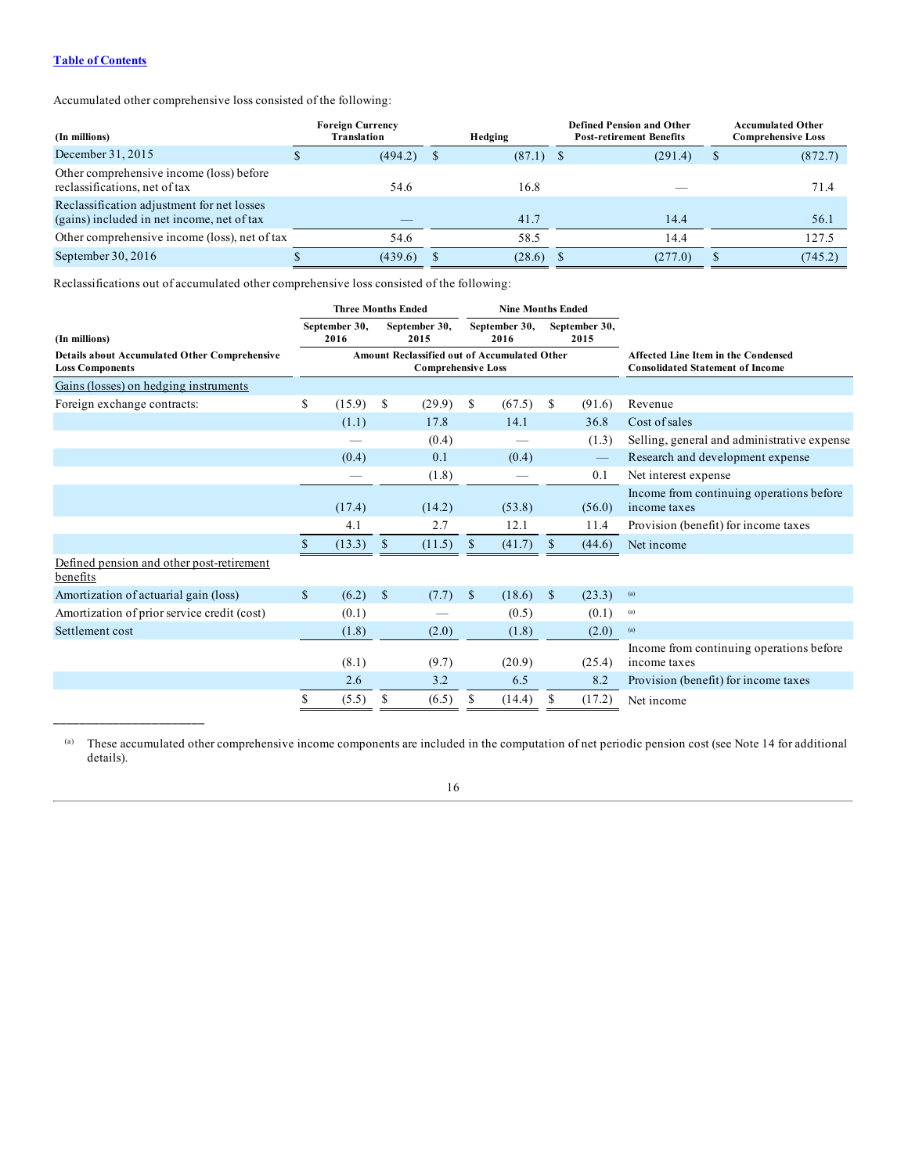**\_\_\_\_\_\_\_\_\_\_\_\_\_\_\_\_\_\_\_\_\_\_\_**

Accumulated other comprehensive loss consisted of the following:

| (In millions)                                                                            | <b>Foreign Currency</b><br>Translation | Hedging     | <b>Defined Pension and Other</b><br><b>Post-retirement Benefits</b> |    | <b>Accumulated Other</b><br><b>Comprehensive Loss</b> |  |  |
|------------------------------------------------------------------------------------------|----------------------------------------|-------------|---------------------------------------------------------------------|----|-------------------------------------------------------|--|--|
| December 31, 2015                                                                        | (494.2)                                | $(87.1)$ \$ | (291.4)                                                             | -S | (872.7)                                               |  |  |
| Other comprehensive income (loss) before<br>reclassifications, net of tax                | 54.6                                   | 16.8        |                                                                     |    | 71.4                                                  |  |  |
| Reclassification adjustment for net losses<br>(gains) included in net income, net of tax |                                        | 41.7        | 14.4                                                                |    | 56.1                                                  |  |  |
| Other comprehensive income (loss), net of tax                                            | 54.6                                   | 58.5        | 14.4                                                                |    | 127.5                                                 |  |  |
| September 30, 2016                                                                       | (439.6)                                | $(28.6)$ \$ | (277.0)                                                             |    | (745.2)                                               |  |  |

Reclassifications out of accumulated other comprehensive loss consisted of the following:

|                                                                                |              | <b>Three Months Ended</b> |                       |                                                                                  | <b>Nine Months Ended</b> |                       |               |                          |                                                                                       |
|--------------------------------------------------------------------------------|--------------|---------------------------|-----------------------|----------------------------------------------------------------------------------|--------------------------|-----------------------|---------------|--------------------------|---------------------------------------------------------------------------------------|
| (In millions)                                                                  |              | September 30,<br>2016     | September 30,<br>2015 |                                                                                  |                          | September 30,<br>2016 |               | September 30,<br>2015    |                                                                                       |
| <b>Details about Accumulated Other Comprehensive</b><br><b>Loss Components</b> |              |                           |                       | <b>Amount Reclassified out of Accumulated Other</b><br><b>Comprehensive Loss</b> |                          |                       |               |                          | <b>Affected Line Item in the Condensed</b><br><b>Consolidated Statement of Income</b> |
| Gains (losses) on hedging instruments                                          |              |                           |                       |                                                                                  |                          |                       |               |                          |                                                                                       |
| Foreign exchange contracts:                                                    | \$           | (15.9)                    | \$                    | (29.9)                                                                           | \$                       | (67.5)                | \$            | (91.6)                   | Revenue                                                                               |
|                                                                                |              | (1.1)                     |                       | 17.8                                                                             |                          | 14.1                  |               | 36.8                     | Cost of sales                                                                         |
|                                                                                |              |                           |                       | (0.4)                                                                            |                          |                       |               | (1.3)                    | Selling, general and administrative expense                                           |
|                                                                                |              | (0.4)                     |                       | 0.1                                                                              |                          | (0.4)                 |               | $\overline{\phantom{a}}$ | Research and development expense                                                      |
|                                                                                |              |                           |                       | (1.8)                                                                            |                          |                       |               | 0.1                      | Net interest expense                                                                  |
|                                                                                |              | (17.4)                    |                       | (14.2)                                                                           |                          | (53.8)                |               | (56.0)                   | Income from continuing operations before<br>income taxes                              |
|                                                                                |              | 4.1                       |                       | 2.7                                                                              |                          | 12.1                  |               | 11.4                     | Provision (benefit) for income taxes                                                  |
|                                                                                | $\mathbb{S}$ | (13.3)                    | \$                    | (11.5)                                                                           | <sup>\$</sup>            | (41.7)                | \$            | (44.6)                   | Net income                                                                            |
| Defined pension and other post-retirement<br>benefits                          |              |                           |                       |                                                                                  |                          |                       |               |                          |                                                                                       |
| Amortization of actuarial gain (loss)                                          | $\mathbb{S}$ | (6.2)                     | $\mathbb{S}$          | (7.7)                                                                            | $\mathbb{S}$             | (18.6)                | <sup>\$</sup> | (23.3)                   | (a)                                                                                   |
| Amortization of prior service credit (cost)                                    |              | (0.1)                     |                       |                                                                                  |                          | (0.5)                 |               | (0.1)                    | (a)                                                                                   |
| Settlement cost                                                                |              | (1.8)                     |                       | (2.0)                                                                            |                          | (1.8)                 |               | (2.0)                    | (a)                                                                                   |
|                                                                                |              | (8.1)                     |                       | (9.7)                                                                            |                          | (20.9)                |               | (25.4)                   | Income from continuing operations before<br>income taxes                              |
|                                                                                |              | 2.6                       |                       | 3.2                                                                              |                          | 6.5                   |               | 8.2                      | Provision (benefit) for income taxes                                                  |
|                                                                                | S            | (5.5)                     | S                     | (6.5)                                                                            | S                        | (14.4)                | S             | (17.2)                   | Net income                                                                            |

(a) These accumulated other comprehensive income components are included in the computation of net periodic pension cost (see Note 14 for additional details).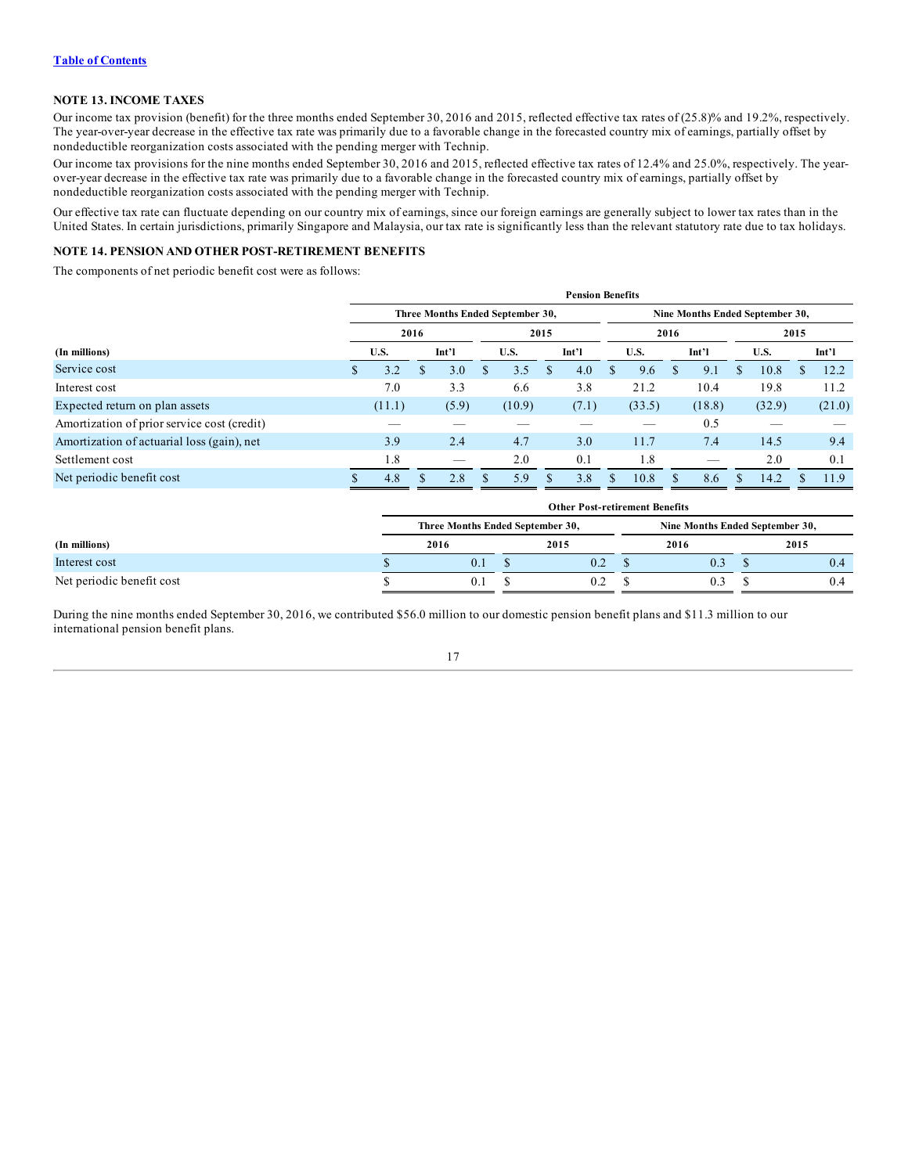#### **NOTE 13. INCOME TAXES**

Our income tax provision (benefit) for the three months ended September 30, 2016 and 2015, reflected effective tax rates of (25.8)% and 19.2%, respectively. The year-over-year decrease in the effective tax rate was primarily due to a favorable change in the forecasted country mix of earnings, partially offset by nondeductible reorganization costs associated with the pending merger with Technip.

Our income tax provisions for the nine months ended September 30, 2016 and 2015, reflected effective tax rates of 12.4% and 25.0%, respectively. The yearover-year decrease in the effective tax rate was primarily due to a favorable change in the forecasted country mix of earnings, partially offset by nondeductible reorganization costs associated with the pending merger with Technip.

Our effective tax rate can fluctuate depending on our country mix of earnings, since our foreign earnings are generally subject to lower tax rates than in the United States. In certain jurisdictions, primarily Singapore and Malaysia, our tax rate is significantly less than the relevant statutory rate due to tax holidays.

## **NOTE 14. PENSION AND OTHER POST-RETIREMENT BENEFITS**

The components of net periodic benefit cost were as follows:

|      |        |   |       |  |        |  | Nine Months Ended September 30, |                                  |        |                         |        |      |        |       |        |
|------|--------|---|-------|--|--------|--|---------------------------------|----------------------------------|--------|-------------------------|--------|------|--------|-------|--------|
|      |        |   |       |  |        |  |                                 |                                  |        |                         |        |      |        |       |        |
| U.S. |        |   | Int'l |  | U.S.   |  | Int'l                           |                                  | U.S.   | Int'l                   |        | U.S. |        | Int'l |        |
| ЭĐ.  | 3.2    | S | 3.0   |  | 3.5    |  | 4.0                             |                                  | 9.6    |                         | 9.1    |      | 10.8   |       | 12.2   |
|      | 7.0    |   | 3.3   |  | 6.6    |  | 3.8                             |                                  | 21.2   |                         | 10.4   |      | 19.8   |       | 11.2   |
|      | (11.1) |   | (5.9) |  | (10.9) |  | (7.1)                           |                                  | (33.5) |                         | (18.8) |      | (32.9) |       | (21.0) |
|      |        |   |       |  |        |  |                                 |                                  |        |                         | 0.5    |      |        |       |        |
|      | 3.9    |   | 2.4   |  | 4.7    |  | 3.0                             |                                  | 11.7   |                         | 7.4    |      | 14.5   |       | 9.4    |
|      | 1.8    |   |       |  | 2.0    |  | 0.1                             |                                  | 1.8    |                         |        |      | 2.0    |       | 0.1    |
|      | 4.8    |   | 2.8   |  | 5.9    |  | 3.8                             |                                  | 10.8   |                         | 8.6    |      | 14.2   |       | 11.9   |
|      |        |   | 2016  |  |        |  | 2015                            | Three Months Ended September 30, |        | <b>Pension Benefits</b> | 2016   |      |        |       | 2015   |

|                           | <b>Other Post-retirement Benefits</b> |                                  |  |      |                                 |     |  |      |  |  |  |  |
|---------------------------|---------------------------------------|----------------------------------|--|------|---------------------------------|-----|--|------|--|--|--|--|
|                           |                                       | Three Months Ended September 30, |  |      | Nine Months Ended September 30, |     |  |      |  |  |  |  |
| (In millions)             |                                       | 2016                             |  | 2015 | 2016                            |     |  | 2015 |  |  |  |  |
| Interest cost             |                                       | 0.1                              |  | 0.2  |                                 | 0.3 |  | 0.4  |  |  |  |  |
| Net periodic benefit cost |                                       | U.I                              |  |      |                                 | 0.3 |  | 0.4  |  |  |  |  |

During the nine months ended September 30, 2016, we contributed \$56.0 million to our domestic pension benefit plans and \$11.3 million to our international pension benefit plans.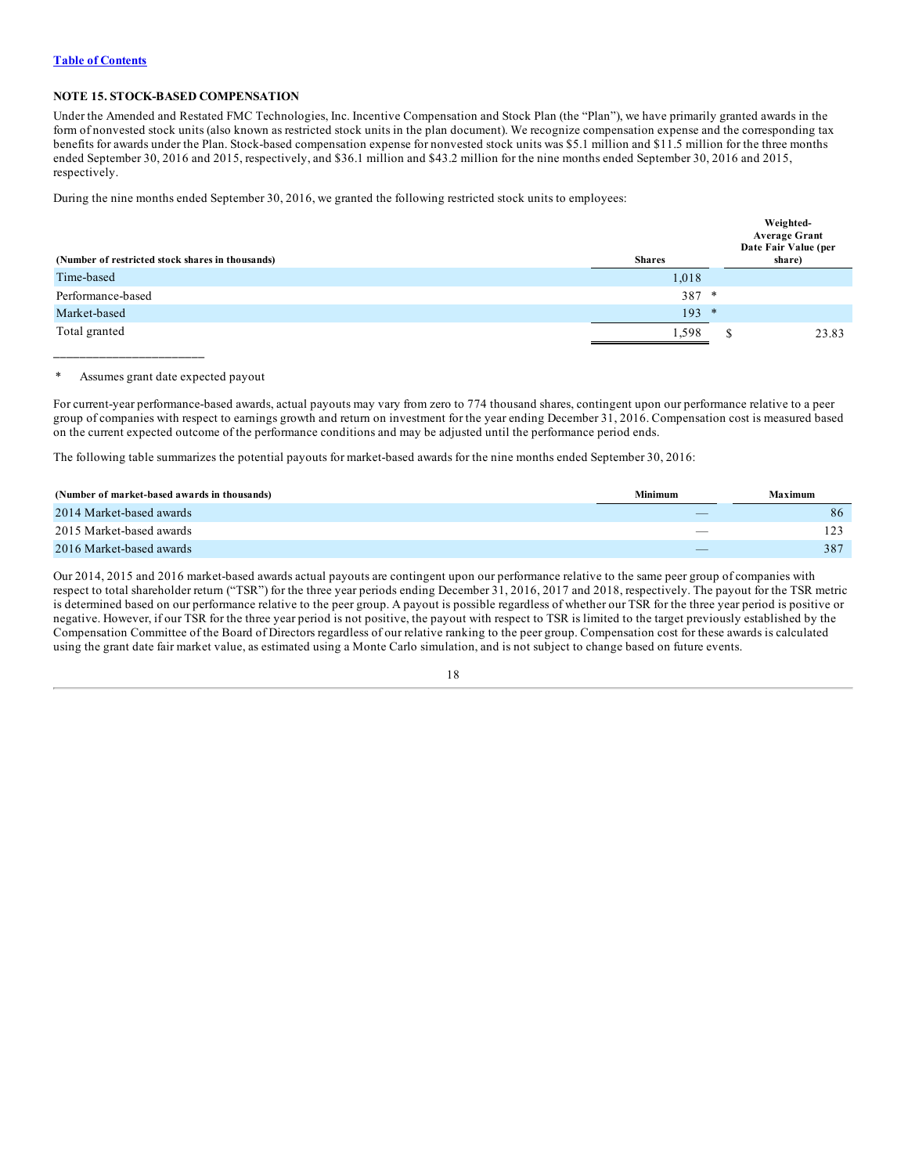## **NOTE 15. STOCK-BASED COMPENSATION**

Under the Amended and Restated FMC Technologies, Inc. Incentive Compensation and Stock Plan (the "Plan"), we have primarily granted awards in the form of nonvested stock units (also known as restricted stock units in the plan document). We recognize compensation expense and the corresponding tax benefits for awards under the Plan. Stock-based compensation expense for nonvested stock units was \$5.1 million and \$11.5 million for the three months ended September 30, 2016 and 2015, respectively, and \$36.1 million and \$43.2 million for the nine months ended September 30, 2016 and 2015, respectively.

During the nine months ended September 30, 2016, we granted the following restricted stock units to employees:

| (Number of restricted stock shares in thousands) | <b>Shares</b> | Weighted-<br><b>Average Grant</b><br>Date Fair Value (per<br>share) |
|--------------------------------------------------|---------------|---------------------------------------------------------------------|
| Time-based                                       | 1,018         |                                                                     |
| Performance-based                                | $387 *$       |                                                                     |
| Market-based                                     | $193$ *       |                                                                     |
| Total granted                                    | 1,598         | 23.83                                                               |
|                                                  |               |                                                                     |

#### Assumes grant date expected payout

For current-year performance-based awards, actual payouts may vary from zero to 774 thousand shares, contingent upon our performance relative to a peer group of companies with respect to earnings growth and return on investment for the year ending December 31, 2016. Compensation cost is measured based on the current expected outcome of the performance conditions and may be adjusted until the performance period ends.

The following table summarizes the potential payouts for market-based awards for the nine months ended September 30, 2016:

| (Number of market-based awards in thousands) | <b>Minimum</b> | Maximum |
|----------------------------------------------|----------------|---------|
| 2014 Market-based awards                     |                | 86      |
| 2015 Market-based awards                     |                |         |
| 2016 Market-based awards                     |                | 387     |

Our 2014, 2015 and 2016 market-based awards actual payouts are contingent upon our performance relative to the same peer group of companies with respect to total shareholder return ("TSR") for the three year periods ending December 31, 2016, 2017 and 2018, respectively. The payout for the TSR metric is determined based on our performance relative to the peer group. A payout is possible regardless of whether our TSR for the three year period is positive or negative. However, if our TSR for the three year period is not positive, the payout with respect to TSR is limited to the target previously established by the Compensation Committee of the Board of Directors regardless of our relative ranking to the peer group. Compensation cost for these awards is calculated using the grant date fair market value, as estimated using a Monte Carlo simulation, and is not subject to change based on future events.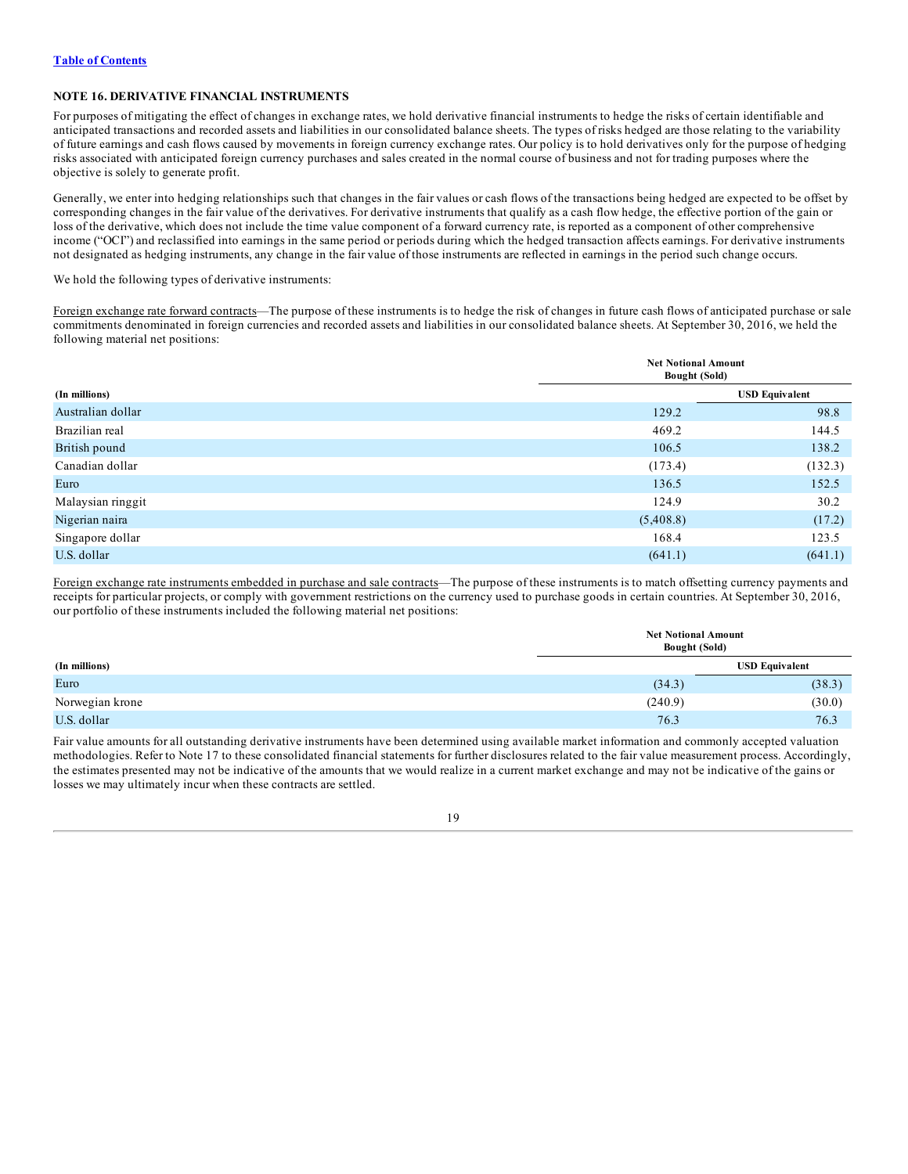## **NOTE 16. DERIVATIVE FINANCIAL INSTRUMENTS**

For purposes of mitigating the effect of changes in exchange rates, we hold derivative financial instruments to hedge the risks of certain identifiable and anticipated transactions and recorded assets and liabilities in our consolidated balance sheets. The types of risks hedged are those relating to the variability of future earnings and cash flows caused by movements in foreign currency exchange rates. Our policy is to hold derivatives only for the purpose of hedging risks associated with anticipated foreign currency purchases and sales created in the normal course of business and not for trading purposes where the objective is solely to generate profit.

Generally, we enter into hedging relationships such that changes in the fair values or cash flows of the transactions being hedged are expected to be offset by corresponding changes in the fair value of the derivatives. For derivative instruments that qualify as a cash flow hedge, the effective portion of the gain or loss of the derivative, which does not include the time value component of a forward currency rate, is reported as a component of other comprehensive income ("OCI") and reclassified into earnings in the same period or periods during which the hedged transaction affects earnings. For derivative instruments not designated as hedging instruments, any change in the fair value of those instruments are reflected in earnings in the period such change occurs.

We hold the following types of derivative instruments:

Foreign exchange rate forward contracts—The purpose of these instruments is to hedge the risk of changes in future cash flows of anticipated purchase or sale commitments denominated in foreign currencies and recorded assets and liabilities in our consolidated balance sheets. At September 30, 2016, we held the following material net positions:

|                   | <b>Net Notional Amount</b><br>Bought (Sold) |                       |
|-------------------|---------------------------------------------|-----------------------|
| (In millions)     |                                             | <b>USD Equivalent</b> |
| Australian dollar | 129.2                                       | 98.8                  |
| Brazilian real    | 469.2                                       | 144.5                 |
| British pound     | 106.5                                       | 138.2                 |
| Canadian dollar   | (173.4)                                     | (132.3)               |
| Euro              | 136.5                                       | 152.5                 |
| Malaysian ringgit | 124.9                                       | 30.2                  |
| Nigerian naira    | (5,408.8)                                   | (17.2)                |
| Singapore dollar  | 168.4                                       | 123.5                 |
| U.S. dollar       | (641.1)                                     | (641.1)               |

Foreign exchange rate instruments embedded in purchase and sale contracts—The purpose of these instruments is to match offsetting currency payments and receipts for particular projects, or comply with government restrictions on the currency used to purchase goods in certain countries. At September 30, 2016, our portfolio of these instruments included the following material net positions:

|                 | <b>Net Notional Amount</b><br><b>Bought (Sold)</b> |                       |
|-----------------|----------------------------------------------------|-----------------------|
| (In millions)   |                                                    | <b>USD Equivalent</b> |
| Euro            | (34.3)                                             | (38.3)                |
| Norwegian krone | (240.9)                                            | (30.0)                |
| U.S. dollar     | 76.3                                               | 76.3                  |

Fair value amounts for all outstanding derivative instruments have been determined using available market information and commonly accepted valuation methodologies. Refer to Note 17 to these consolidated financial statements for further disclosures related to the fair value measurement process. Accordingly, the estimates presented may not be indicative of the amounts that we would realize in a current market exchange and may not be indicative of the gains or losses we may ultimately incur when these contracts are settled.

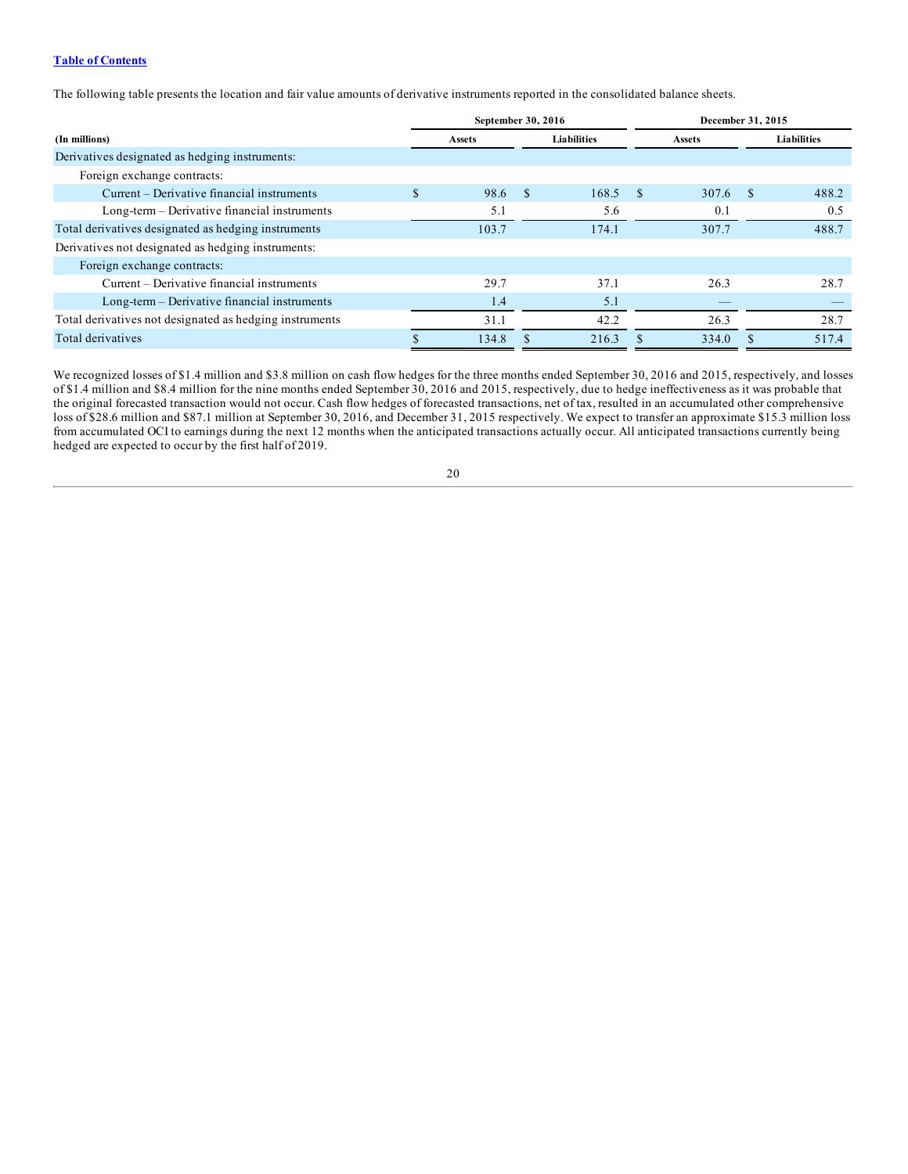The following table presents the location and fair value amounts of derivative instruments reported in the consolidated balance sheets.

|                                                         | September 30, 2016 |               |      |                    |               |               | December 31, 2015 |                    |  |  |  |
|---------------------------------------------------------|--------------------|---------------|------|--------------------|---------------|---------------|-------------------|--------------------|--|--|--|
| (In millions)                                           |                    | <b>Assets</b> |      | <b>Liabilities</b> |               | <b>Assets</b> |                   | <b>Liabilities</b> |  |  |  |
| Derivatives designated as hedging instruments:          |                    |               |      |                    |               |               |                   |                    |  |  |  |
| Foreign exchange contracts:                             |                    |               |      |                    |               |               |                   |                    |  |  |  |
| Current – Derivative financial instruments              | \$                 | 98.6          | - \$ | 168.5              | <sup>\$</sup> | 307.6         | -S                | 488.2              |  |  |  |
| Long-term – Derivative financial instruments            |                    | 5.1           |      | 5.6                |               | 0.1           |                   | 0.5                |  |  |  |
| Total derivatives designated as hedging instruments     |                    | 103.7         |      | 174.1              |               | 307.7         |                   | 488.7              |  |  |  |
| Derivatives not designated as hedging instruments:      |                    |               |      |                    |               |               |                   |                    |  |  |  |
| Foreign exchange contracts:                             |                    |               |      |                    |               |               |                   |                    |  |  |  |
| Current – Derivative financial instruments              |                    | 29.7          |      | 37.1               |               | 26.3          |                   | 28.7               |  |  |  |
| Long-term – Derivative financial instruments            |                    | 1.4           |      | 5.1                |               |               |                   |                    |  |  |  |
| Total derivatives not designated as hedging instruments |                    | 31.1          |      | 42.2               |               | 26.3          |                   | 28.7               |  |  |  |
| Total derivatives                                       |                    | 134.8         |      | 216.3              |               | 334.0         |                   | 517.4              |  |  |  |

We recognized losses of \$1.4 million and \$3.8 million on cash flow hedges for the three months ended September 30, 2016 and 2015, respectively, and losses of \$1.4 million and \$8.4 million for the nine months ended September 30, 2016 and 2015, respectively, due to hedge ineffectiveness as it was probable that the original forecasted transaction would not occur. Cash flow hedges of forecasted transactions, net of tax, resulted in an accumulated other comprehensive loss of \$28.6 million and \$87.1 million at September 30, 2016, and December 31, 2015 respectively. We expect to transfer an approximate \$15.3 million loss from accumulated OCI to earnings during the next 12 months when the anticipated transactions actually occur. All anticipated transactions currently being hedged are expected to occur by the first half of 2019.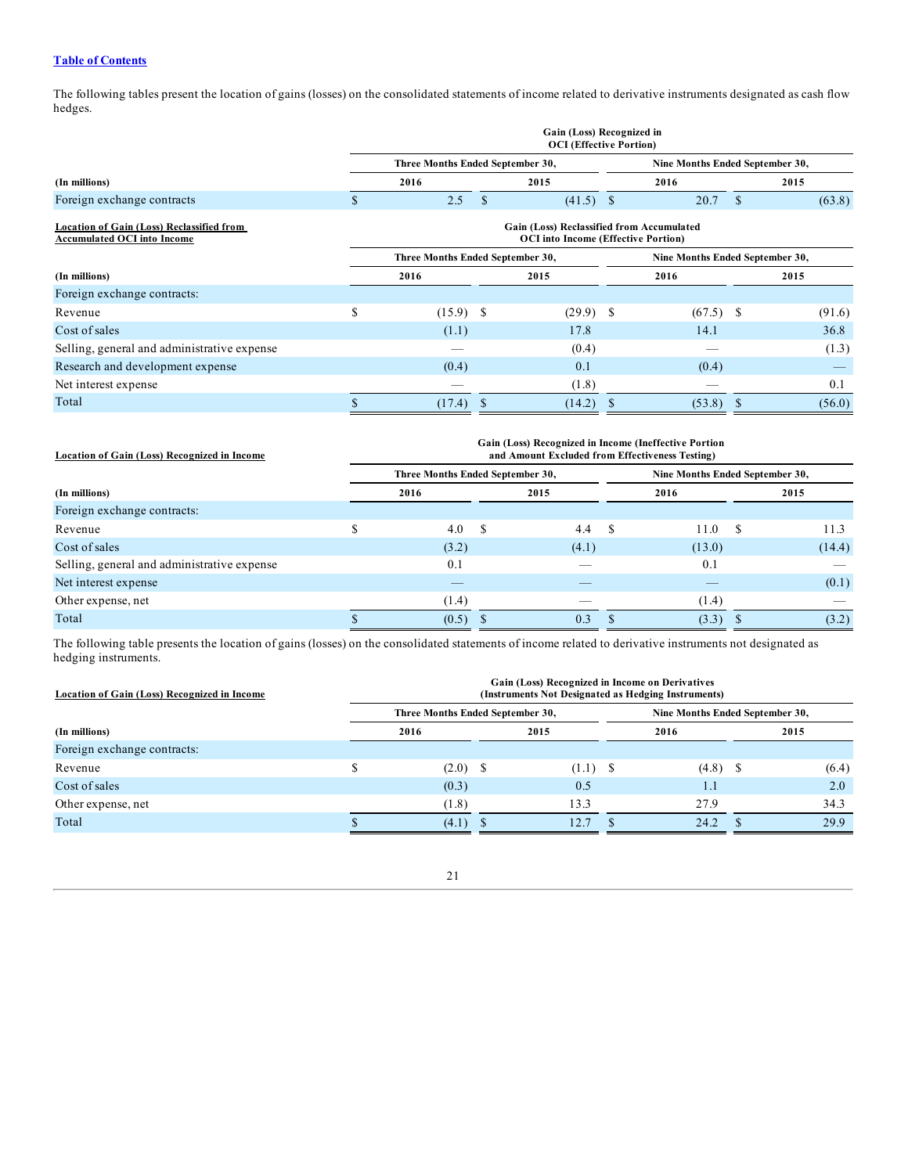The following tables present the location of gains (losses) on the consolidated statements of income related to derivative instruments designated as cash flow hedges.

|                                                                                 |                                                                                         | Gain (Loss) Recognized in<br><b>OCI</b> (Effective Portion) |              |             |    |                                 |      |        |  |  |  |  |  |  |
|---------------------------------------------------------------------------------|-----------------------------------------------------------------------------------------|-------------------------------------------------------------|--------------|-------------|----|---------------------------------|------|--------|--|--|--|--|--|--|
|                                                                                 |                                                                                         | Three Months Ended September 30,                            |              |             |    | Nine Months Ended September 30, |      |        |  |  |  |  |  |  |
| (In millions)                                                                   |                                                                                         | 2016                                                        |              | 2015        |    | 2016                            |      | 2015   |  |  |  |  |  |  |
| Foreign exchange contracts                                                      | \$                                                                                      | 2.5                                                         | $\mathbb{S}$ | $(41.5)$ \$ |    | 20.7                            | \$   | (63.8) |  |  |  |  |  |  |
| Location of Gain (Loss) Reclassified from<br><b>Accumulated OCI into Income</b> | Gain (Loss) Reclassified from Accumulated<br><b>OCI</b> into Income (Effective Portion) |                                                             |              |             |    |                                 |      |        |  |  |  |  |  |  |
|                                                                                 |                                                                                         | Three Months Ended September 30,                            |              |             |    | Nine Months Ended September 30, |      |        |  |  |  |  |  |  |
| (In millions)                                                                   |                                                                                         | 2016<br>2015                                                |              |             |    | 2016                            | 2015 |        |  |  |  |  |  |  |
| Foreign exchange contracts:                                                     |                                                                                         |                                                             |              |             |    |                                 |      |        |  |  |  |  |  |  |
| Revenue                                                                         | \$                                                                                      | $(15.9)$ \$                                                 |              | $(29.9)$ \$ |    | $(67.5)$ \$                     |      | (91.6) |  |  |  |  |  |  |
| Cost of sales                                                                   |                                                                                         | (1.1)                                                       |              | 17.8        |    | 14.1                            |      | 36.8   |  |  |  |  |  |  |
| Selling, general and administrative expense                                     |                                                                                         |                                                             |              | (0.4)       |    |                                 |      | (1.3)  |  |  |  |  |  |  |
| Research and development expense                                                |                                                                                         | (0.4)                                                       |              | 0.1         |    | (0.4)                           |      |        |  |  |  |  |  |  |
| Net interest expense                                                            |                                                                                         |                                                             |              | (1.8)       |    |                                 |      | 0.1    |  |  |  |  |  |  |
| Total                                                                           | S                                                                                       | $(17.4)$ \$                                                 |              | (14.2)      | -S | $(53.8)$ \$                     |      | (56.0) |  |  |  |  |  |  |

| Location of Gain (Loss) Recognized in Income | Gain (Loss) Recognized in Income (Ineffective Portion<br>and Amount Excluded from Effectiveness Testing) |                                  |    |       |                                 |        |    |        |  |  |  |  |
|----------------------------------------------|----------------------------------------------------------------------------------------------------------|----------------------------------|----|-------|---------------------------------|--------|----|--------|--|--|--|--|
|                                              |                                                                                                          | Three Months Ended September 30, |    |       | Nine Months Ended September 30, |        |    |        |  |  |  |  |
| (In millions)                                |                                                                                                          | 2016                             |    | 2015  | 2016                            |        |    | 2015   |  |  |  |  |
| Foreign exchange contracts:                  |                                                                                                          |                                  |    |       |                                 |        |    |        |  |  |  |  |
| Revenue                                      |                                                                                                          | 4.0                              | -S | 4.4   | - \$                            | 11.0   | -S | 11.3   |  |  |  |  |
| Cost of sales                                |                                                                                                          | (3.2)                            |    | (4.1) |                                 | (13.0) |    | (14.4) |  |  |  |  |
| Selling, general and administrative expense  |                                                                                                          | 0.1                              |    |       |                                 | 0.1    |    |        |  |  |  |  |
| Net interest expense                         |                                                                                                          |                                  |    |       |                                 |        |    | (0.1)  |  |  |  |  |
| Other expense, net                           |                                                                                                          | (1.4)                            |    |       |                                 | (1.4)  |    |        |  |  |  |  |
| Total                                        |                                                                                                          | (0.5)                            |    | 0.3   |                                 | (3.3)  |    | (3.2)  |  |  |  |  |

The following table presents the location of gains (losses) on the consolidated statements of income related to derivative instruments not designated as hedging instruments.

| Location of Gain (Loss) Recognized in Income | Gain (Loss) Recognized in Income on Derivatives<br>(Instruments Not Designated as Hedging Instruments) |                                  |   |            |                                 |            |  |       |  |  |  |  |
|----------------------------------------------|--------------------------------------------------------------------------------------------------------|----------------------------------|---|------------|---------------------------------|------------|--|-------|--|--|--|--|
|                                              |                                                                                                        | Three Months Ended September 30, |   |            | Nine Months Ended September 30, |            |  |       |  |  |  |  |
| (In millions)                                | 2016                                                                                                   |                                  |   | 2015       | 2016                            |            |  | 2015  |  |  |  |  |
| Foreign exchange contracts:                  |                                                                                                        |                                  |   |            |                                 |            |  |       |  |  |  |  |
| Revenue                                      |                                                                                                        | $(2.0)$ \$                       |   | $(1.1)$ \$ |                                 | $(4.8)$ \$ |  | (6.4) |  |  |  |  |
| Cost of sales                                |                                                                                                        | (0.3)                            |   | 0.5        |                                 | 1.1        |  | 2.0   |  |  |  |  |
| Other expense, net                           |                                                                                                        | (1.8)                            |   | 13.3       |                                 | 27.9       |  | 34.3  |  |  |  |  |
| Total                                        |                                                                                                        | (4.1)                            | ಾ | 12.7       |                                 | 24.2       |  | 29.9  |  |  |  |  |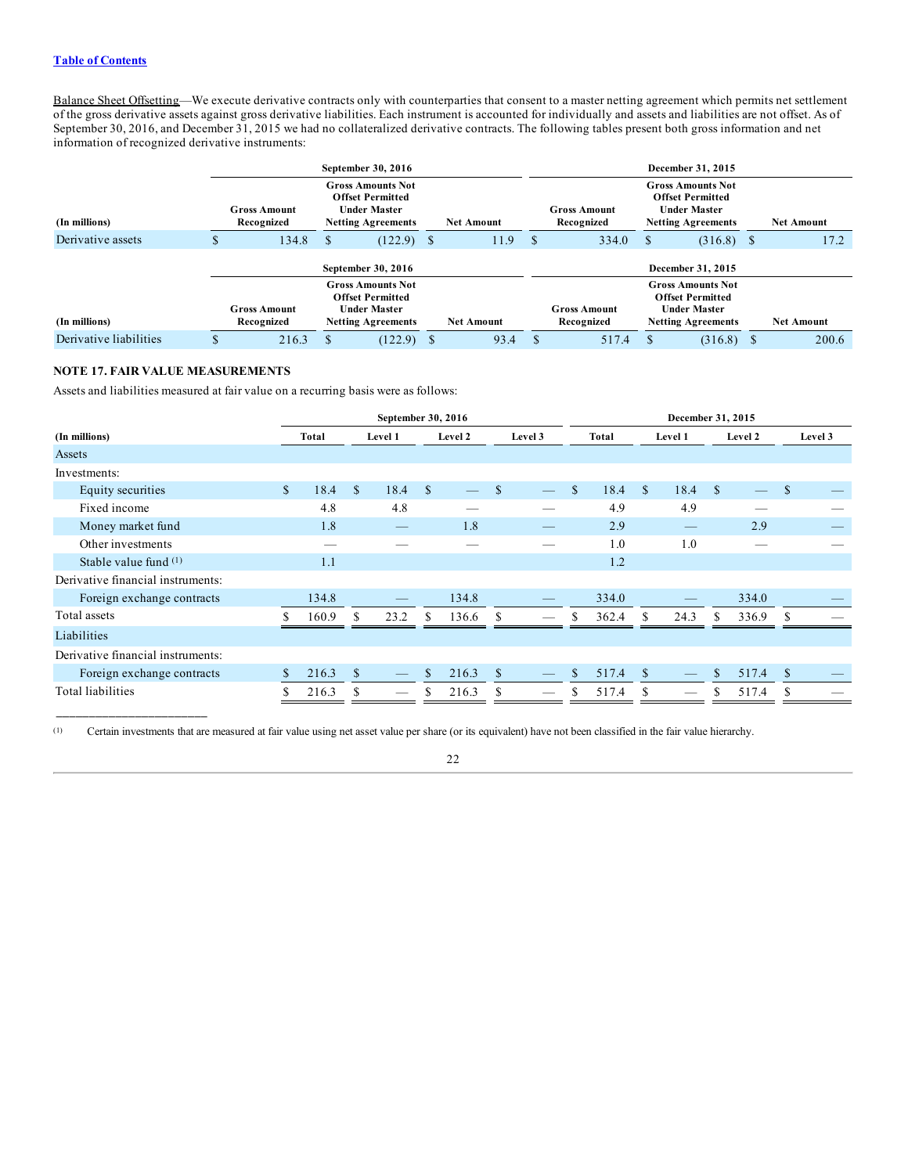Balance Sheet Offsetting—We execute derivative contracts only with counterparties that consent to a master netting agreement which permits net settlement of the gross derivative assets against gross derivative liabilities. Each instrument is accounted for individually and assets and liabilities are not offset. As of September 30, 2016, and December 31, 2015 we had no collateralized derivative contracts. The following tables present both gross information and net information of recognized derivative instruments:

|                        |                                   |              | September 30, 2016                                                                                      |              |                   |               |                                   |          | December 31, 2015                                                                                       |   |                   |
|------------------------|-----------------------------------|--------------|---------------------------------------------------------------------------------------------------------|--------------|-------------------|---------------|-----------------------------------|----------|---------------------------------------------------------------------------------------------------------|---|-------------------|
| (In millions)          | <b>Gross Amount</b><br>Recognized |              | <b>Gross Amounts Not</b><br><b>Offset Permitted</b><br><b>Under Master</b><br><b>Netting Agreements</b> |              | <b>Net Amount</b> |               | <b>Gross Amount</b><br>Recognized |          | <b>Gross Amounts Not</b><br><b>Offset Permitted</b><br><b>Under Master</b><br><b>Netting Agreements</b> |   | <b>Net Amount</b> |
| Derivative assets      | 134.8                             | <sup>S</sup> | (122.9)                                                                                                 | -S           | 11.9              | <sup>\$</sup> | 334.0                             | <b>S</b> | (316.8)                                                                                                 | S | 17.2              |
|                        |                                   |              | September 30, 2016                                                                                      |              |                   |               |                                   |          | December 31, 2015                                                                                       |   |                   |
| (In millions)          | <b>Gross Amount</b><br>Recognized |              | <b>Gross Amounts Not</b><br><b>Offset Permitted</b><br><b>Under Master</b><br><b>Netting Agreements</b> |              | <b>Net Amount</b> |               | <b>Gross Amount</b><br>Recognized |          | <b>Gross Amounts Not</b><br><b>Offset Permitted</b><br><b>Under Master</b><br><b>Netting Agreements</b> |   | <b>Net Amount</b> |
| Derivative liabilities | 216.3                             |              | (122.9)                                                                                                 | <sup>S</sup> | 93.4              |               | 517.4                             |          | (316.8)                                                                                                 |   | 200.6             |

## **NOTE 17. FAIR VALUE MEASUREMENTS**

Assets and liabilities measured at fair value on a recurring basis were as follows:

|                                   |              |              |              | September 30, 2016 |              |         |              |         | December 31, 2015 |       |              |         |              |         |               |         |
|-----------------------------------|--------------|--------------|--------------|--------------------|--------------|---------|--------------|---------|-------------------|-------|--------------|---------|--------------|---------|---------------|---------|
| (In millions)                     |              | <b>Total</b> |              | Level 1            |              | Level 2 |              | Level 3 |                   | Total |              | Level 1 |              | Level 2 |               | Level 3 |
| Assets                            |              |              |              |                    |              |         |              |         |                   |       |              |         |              |         |               |         |
| Investments:                      |              |              |              |                    |              |         |              |         |                   |       |              |         |              |         |               |         |
| Equity securities                 | $\mathbb{S}$ | 18.4         | $\mathbb{S}$ | 18.4               | $\mathbb{S}$ |         | $\mathbb{S}$ |         | $\mathbb{S}$      | 18.4  | $\mathbb{S}$ | 18.4    | $\mathbb{S}$ |         | <sup>\$</sup> |         |
| Fixed income                      |              | 4.8          |              | 4.8                |              |         |              |         |                   | 4.9   |              | 4.9     |              |         |               |         |
| Money market fund                 |              | 1.8          |              |                    |              | 1.8     |              |         |                   | 2.9   |              |         |              | 2.9     |               |         |
| Other investments                 |              |              |              |                    |              |         |              |         |                   | 1.0   |              | 1.0     |              |         |               |         |
| Stable value fund $(1)$           |              | 1.1          |              |                    |              |         |              |         |                   | 1.2   |              |         |              |         |               |         |
| Derivative financial instruments: |              |              |              |                    |              |         |              |         |                   |       |              |         |              |         |               |         |
| Foreign exchange contracts        |              | 134.8        |              | __                 |              | 134.8   |              |         |                   | 334.0 |              |         |              | 334.0   |               |         |
| Total assets                      |              | 160.9        | S.           | 23.2               | S            | 136.6   | £.           |         | S.                | 362.4 | S            | 24.3    | S            | 336.9   |               |         |
| Liabilities                       |              |              |              |                    |              |         |              |         |                   |       |              |         |              |         |               |         |
| Derivative financial instruments: |              |              |              |                    |              |         |              |         |                   |       |              |         |              |         |               |         |
| Foreign exchange contracts        | \$.          | 216.3        | $\mathbb{S}$ |                    | \$           | 216.3   | $\mathbf{s}$ |         | \$                | 517.4 | $\mathbb{S}$ |         | \$           | 517.4   | <sup>S</sup>  |         |
| Total liabilities                 |              | 216.3        | S            |                    | S            | 216.3   | £.           |         | \$.               | 517.4 | \$.          |         | S            | 517.4   |               |         |
|                                   |              |              |              |                    |              |         |              |         |                   |       |              |         |              |         |               |         |

(1) Certain investments that are measured at fair value using net asset value per share (or its equivalent) have not been classified in the fair value hierarchy.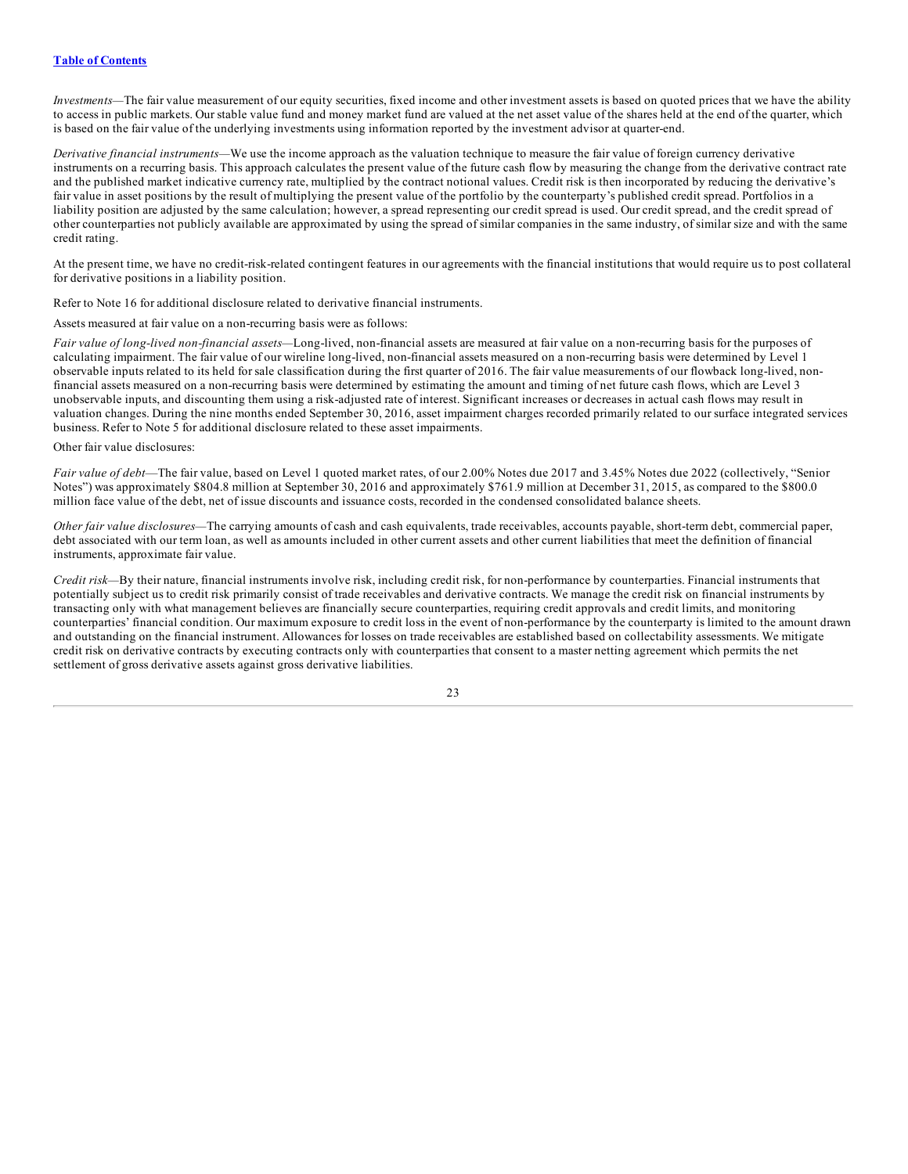*Investments—*The fair value measurement of our equity securities, fixed income and other investment assets is based on quoted prices that we have the ability to access in public markets. Our stable value fund and money market fund are valued at the net asset value of the shares held at the end of the quarter, which is based on the fair value of the underlying investments using information reported by the investment advisor at quarter-end.

*Derivative financial instruments—*We use the income approach as the valuation technique to measure the fair value of foreign currency derivative instruments on a recurring basis. This approach calculates the present value of the future cash flow by measuring the change from the derivative contract rate and the published market indicative currency rate, multiplied by the contract notional values. Credit risk is then incorporated by reducing the derivative's fair value in asset positions by the result of multiplying the present value of the portfolio by the counterparty's published credit spread. Portfolios in a liability position are adjusted by the same calculation; however, a spread representing our credit spread is used. Our credit spread, and the credit spread of other counterparties not publicly available are approximated by using the spread of similar companies in the same industry, of similar size and with the same credit rating.

At the present time, we have no credit-risk-related contingent features in our agreements with the financial institutions that would require us to post collateral for derivative positions in a liability position.

Refer to Note 16 for additional disclosure related to derivative financial instruments.

Assets measured at fair value on a non-recurring basis were as follows:

*Fair value of long-lived non-financial assets—*Long-lived, non-financial assets are measured at fair value on a non-recurring basis for the purposes of calculating impairment. The fair value of our wireline long-lived, non-financial assets measured on a non-recurring basis were determined by Level 1 observable inputs related to its held for sale classification during the first quarter of 2016. The fair value measurements of our flowback long-lived, nonfinancial assets measured on a non-recurring basis were determined by estimating the amount and timing of net future cash flows, which are Level 3 unobservable inputs, and discounting them using a risk-adjusted rate of interest. Significant increases or decreases in actual cash flows may result in valuation changes. During the nine months ended September 30, 2016, asset impairment charges recorded primarily related to our surface integrated services business. Refer to Note 5 for additional disclosure related to these asset impairments.

Other fair value disclosures:

*Fair value of debt*—The fair value, based on Level 1 quoted market rates, of our 2.00% Notes due 2017 and 3.45% Notes due 2022 (collectively, "Senior Notes") was approximately \$804.8 million at September 30, 2016 and approximately \$761.9 million at December 31, 2015, as compared to the \$800.0 million face value of the debt, net of issue discounts and issuance costs, recorded in the condensed consolidated balance sheets.

*Other fair value disclosures—*The carrying amounts of cash and cash equivalents, trade receivables, accounts payable, short-term debt, commercial paper, debt associated with our term loan, as well as amounts included in other current assets and other current liabilities that meet the definition of financial instruments, approximate fair value.

*Credit risk—*By their nature, financial instruments involve risk, including credit risk, for non-performance by counterparties. Financial instruments that potentially subject us to credit risk primarily consist of trade receivables and derivative contracts. We manage the credit risk on financial instruments by transacting only with what management believes are financially secure counterparties, requiring credit approvals and credit limits, and monitoring counterparties' financial condition. Our maximum exposure to credit loss in the event of non-performance by the counterparty is limited to the amount drawn and outstanding on the financial instrument. Allowances for losses on trade receivables are established based on collectability assessments. We mitigate credit risk on derivative contracts by executing contracts only with counterparties that consent to a master netting agreement which permits the net settlement of gross derivative assets against gross derivative liabilities.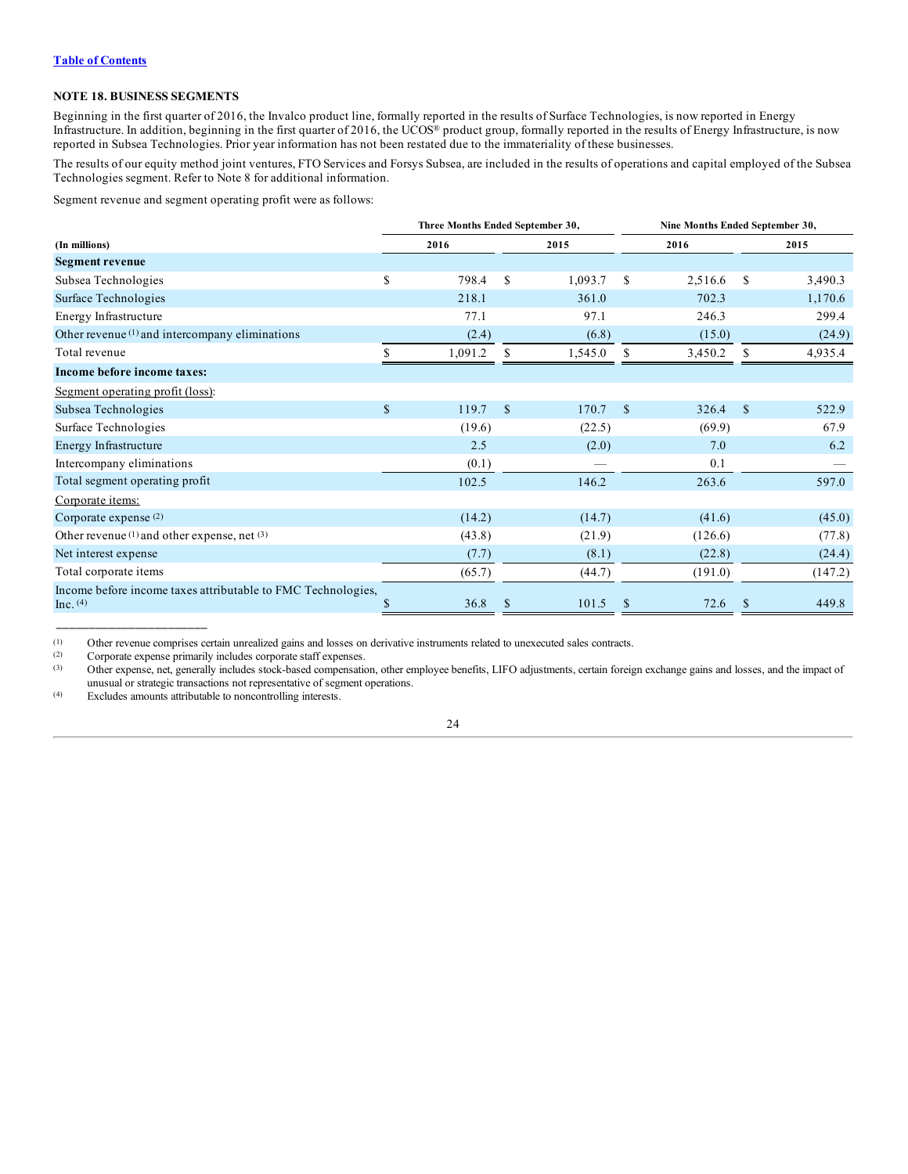## **NOTE 18. BUSINESS SEGMENTS**

Beginning in the first quarter of 2016, the Invalco product line, formally reported in the results of Surface Technologies, is now reported in Energy Infrastructure. In addition, beginning in the first quarter of 2016, the UCOS® product group, formally reported in the results of Energy Infrastructure, is now reported in Subsea Technologies. Prior year information has not been restated due to the immateriality of these businesses.

The results of our equity method joint ventures, FTO Services and Forsys Subsea, are included in the results of operations and capital employed of the Subsea Technologies segment. Refer to Note 8 for additional information.

Segment revenue and segment operating profit were as follows:

|                                                                            |              | Three Months Ended September 30, |              |         | Nine Months Ended September 30, |         |          |         |
|----------------------------------------------------------------------------|--------------|----------------------------------|--------------|---------|---------------------------------|---------|----------|---------|
| (In millions)                                                              |              | 2016                             |              | 2015    | 2016                            |         | 2015     |         |
| <b>Segment revenue</b>                                                     |              |                                  |              |         |                                 |         |          |         |
| Subsea Technologies                                                        | \$           | 798.4                            | <b>S</b>     | 1,093.7 | S                               | 2,516.6 | <b>S</b> | 3,490.3 |
| Surface Technologies                                                       |              | 218.1                            |              | 361.0   |                                 | 702.3   |          | 1,170.6 |
| Energy Infrastructure                                                      |              | 77.1                             |              | 97.1    |                                 | 246.3   |          | 299.4   |
| Other revenue $(1)$ and intercompany eliminations                          |              | (2.4)                            |              | (6.8)   |                                 | (15.0)  |          | (24.9)  |
| Total revenue                                                              |              | 1,091.2                          |              | 1,545.0 |                                 | 3,450.2 |          | 4,935.4 |
| Income before income taxes:                                                |              |                                  |              |         |                                 |         |          |         |
| Segment operating profit (loss):                                           |              |                                  |              |         |                                 |         |          |         |
| Subsea Technologies                                                        | $\mathbb{S}$ | 119.7                            | $\mathbf{s}$ | 170.7   | <sup>\$</sup>                   | 326.4   | -S       | 522.9   |
| Surface Technologies                                                       |              | (19.6)                           |              | (22.5)  |                                 | (69.9)  |          | 67.9    |
| Energy Infrastructure                                                      |              | 2.5                              |              | (2.0)   |                                 | 7.0     |          | 6.2     |
| Intercompany eliminations                                                  |              | (0.1)                            |              |         |                                 | 0.1     |          |         |
| Total segment operating profit                                             |              | 102.5                            |              | 146.2   |                                 | 263.6   |          | 597.0   |
| Corporate items:                                                           |              |                                  |              |         |                                 |         |          |         |
| Corporate expense $(2)$                                                    |              | (14.2)                           |              | (14.7)  |                                 | (41.6)  |          | (45.0)  |
| Other revenue $(1)$ and other expense, net $(3)$                           |              | (43.8)                           |              | (21.9)  |                                 | (126.6) |          | (77.8)  |
| Net interest expense                                                       |              | (7.7)                            |              | (8.1)   |                                 | (22.8)  |          | (24.4)  |
| Total corporate items                                                      |              | (65.7)                           |              | (44.7)  |                                 | (191.0) |          | (147.2) |
| Income before income taxes attributable to FMC Technologies,<br>Inc. $(4)$ | S            | 36.8                             |              | 101.5   | \$                              | 72.6    |          | 449.8   |

(1) Other revenue comprises certain unrealized gains and losses on derivative instruments related to unexecuted sales contracts.<br>Corporate expense primarily includes corporate staff expenses

(2) Corporate expense primarily includes corporate staff expenses.<br>
Other expense, net, generally includes stock-based compensation

(3) Other expense, net, generally includes stock-based compensation, other employee benefits, LIFO adjustments, certain foreign exchange gains and losses, and the impact of unusual or strategic transactions not representative of segment operations.

(4) Excludes amounts attributable to noncontrolling interests.

**\_\_\_\_\_\_\_\_\_\_\_\_\_\_\_\_\_\_\_\_\_\_\_**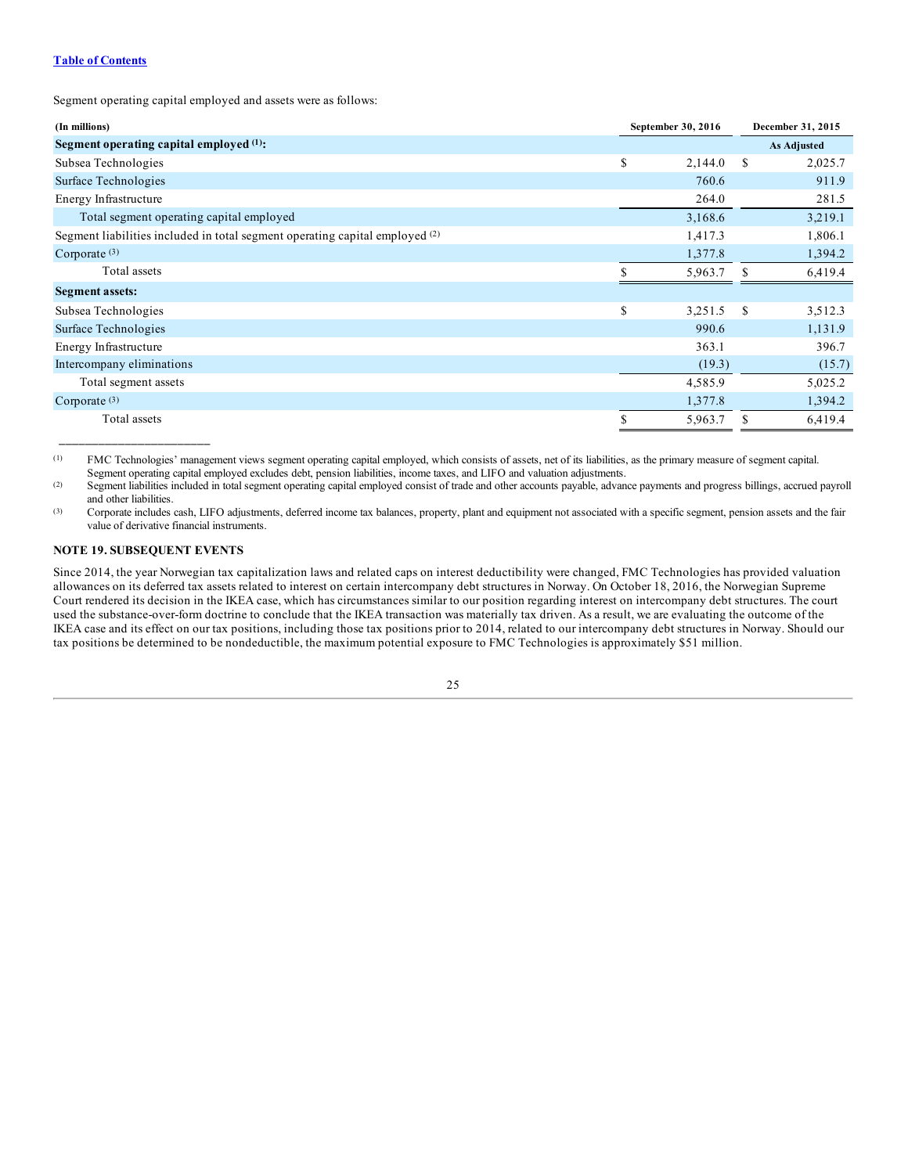<span id="page-24-0"></span>Segment operating capital employed and assets were as follows:

| (In millions)                                                                | September 30, 2016 |               | December 31, 2015 |
|------------------------------------------------------------------------------|--------------------|---------------|-------------------|
| Segment operating capital employed (1):                                      |                    |               | As Adjusted       |
| Subsea Technologies                                                          | \$<br>2,144.0      | \$.           | 2,025.7           |
| Surface Technologies                                                         | 760.6              |               | 911.9             |
| Energy Infrastructure                                                        | 264.0              |               | 281.5             |
| Total segment operating capital employed                                     | 3,168.6            |               | 3,219.1           |
| Segment liabilities included in total segment operating capital employed (2) | 1,417.3            |               | 1,806.1           |
| Corporate $(3)$                                                              | 1,377.8            |               | 1,394.2           |
| Total assets                                                                 | 5,963.7            | \$.           | 6,419.4           |
| <b>Segment assets:</b>                                                       |                    |               |                   |
| Subsea Technologies                                                          | \$<br>3,251.5      | <sup>\$</sup> | 3,512.3           |
| Surface Technologies                                                         | 990.6              |               | 1,131.9           |
| Energy Infrastructure                                                        | 363.1              |               | 396.7             |
| Intercompany eliminations                                                    | (19.3)             |               | (15.7)            |
| Total segment assets                                                         | 4,585.9            |               | 5,025.2           |
| Corporate $(3)$                                                              | 1,377.8            |               | 1,394.2           |
| Total assets                                                                 | 5,963.7            |               | 6,419.4           |

(1) FMC Technologies' management views segment operating capital employed, which consists of assets, net of its liabilities, as the primary measure of segment capital.

Segment operating capital employed excludes debt, pension liabilities, income taxes, and LIFO and valuation adjustments.

(2) Segment liabilities included in total segment operating capital employed consist of trade and other accounts payable, advance payments and progress billings, accrued payroll and other liabilities.

(3) Corporate includes cash, LIFO adjustments, deferred income tax balances, property, plant and equipment not associated with a specific segment, pension assets and the fair value of derivative financial instruments.

#### **NOTE 19. SUBSEQUENT EVENTS**

**\_\_\_\_\_\_\_\_\_\_\_\_\_\_\_\_\_\_\_\_\_\_\_**

Since 2014, the year Norwegian tax capitalization laws and related caps on interest deductibility were changed, FMC Technologies has provided valuation allowances on its deferred tax assets related to interest on certain intercompany debt structures in Norway. On October 18, 2016, the Norwegian Supreme Court rendered its decision in the IKEA case, which has circumstances similar to our position regarding interest on intercompany debt structures. The court used the substance-over-form doctrine to conclude that the IKEA transaction was materially tax driven. As a result, we are evaluating the outcome of the IKEA case and its effect on our tax positions, including those tax positions prior to 2014, related to our intercompany debt structures in Norway. Should our tax positions be determined to be nondeductible, the maximum potential exposure to FMC Technologies is approximately \$51 million.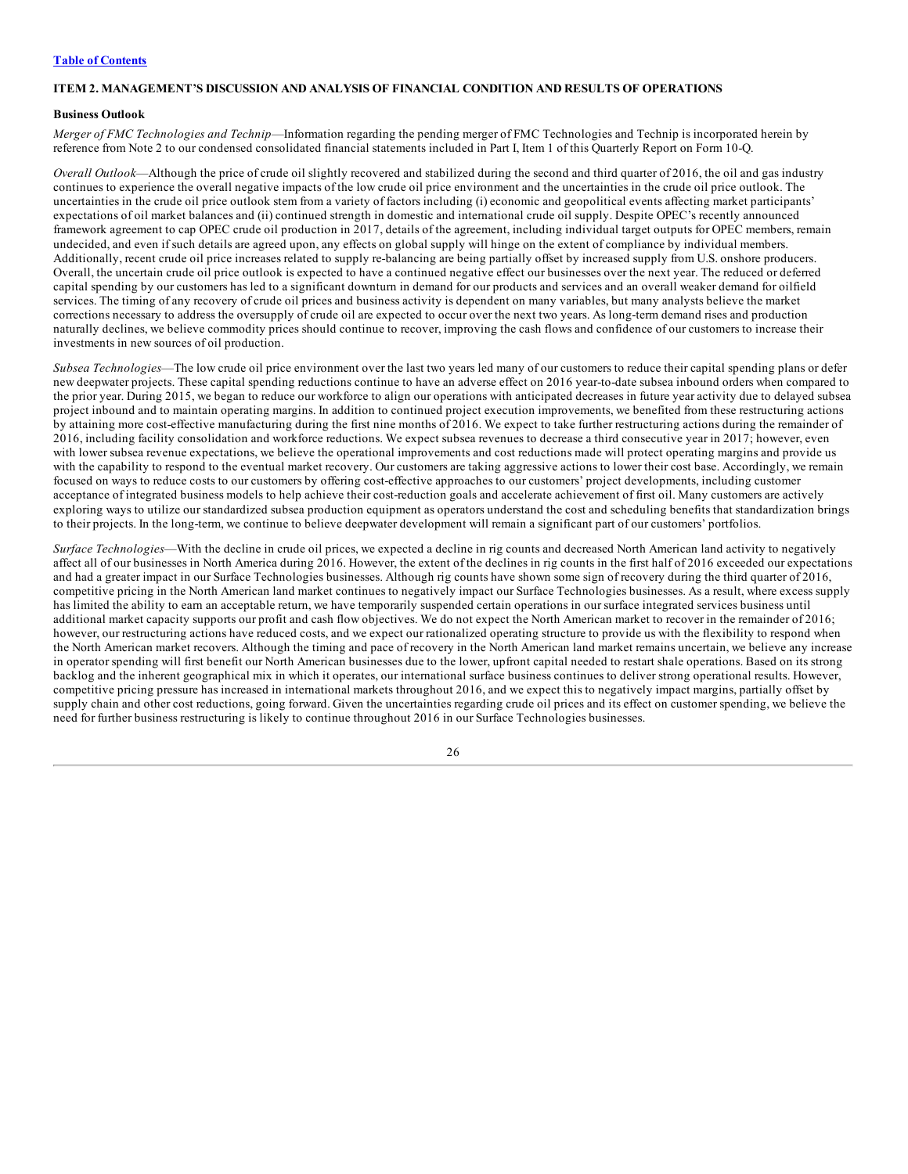## <span id="page-25-0"></span>**ITEM 2. MANAGEMENT'S DISCUSSION AND ANALYSIS OF FINANCIAL CONDITION AND RESULTS OF OPERATIONS**

#### **Business Outlook**

*Merger of FMC Technologies and Technip*—Information regarding the pending merger of FMC Technologies and Technip is incorporated herein by reference from Note 2 to our condensed consolidated financial statements included in Part I, Item 1 of this Quarterly Report on Form 10-Q.

*Overall Outlook*—Although the price of crude oil slightly recovered and stabilized during the second and third quarter of 2016, the oil and gas industry continues to experience the overall negative impacts of the low crude oil price environment and the uncertainties in the crude oil price outlook. The uncertainties in the crude oil price outlook stem from a variety of factors including (i) economic and geopolitical events affecting market participants' expectations of oil market balances and (ii) continued strength in domestic and international crude oil supply. Despite OPEC's recently announced framework agreement to cap OPEC crude oil production in 2017, details of the agreement, including individual target outputs for OPEC members, remain undecided, and even if such details are agreed upon, any effects on global supply will hinge on the extent of compliance by individual members. Additionally, recent crude oil price increases related to supply re-balancing are being partially offset by increased supply from U.S. onshore producers. Overall, the uncertain crude oil price outlook is expected to have a continued negative effect our businesses over the next year. The reduced or deferred capital spending by our customers has led to a significant downturn in demand for our products and services and an overall weaker demand for oilfield services. The timing of any recovery of crude oil prices and business activity is dependent on many variables, but many analysts believe the market corrections necessary to address the oversupply of crude oil are expected to occur over the next two years. As long-term demand rises and production naturally declines, we believe commodity prices should continue to recover, improving the cash flows and confidence of our customers to increase their investments in new sources of oil production.

*Subsea Technologies*—The low crude oil price environment over the last two years led many of our customers to reduce their capital spending plans or defer new deepwater projects. These capital spending reductions continue to have an adverse effect on 2016 year-to-date subsea inbound orders when compared to the prior year. During 2015, we began to reduce our workforce to align our operations with anticipated decreases in future year activity due to delayed subsea project inbound and to maintain operating margins. In addition to continued project execution improvements, we benefited from these restructuring actions by attaining more cost-effective manufacturing during the first nine months of 2016. We expect to take further restructuring actions during the remainder of 2016, including facility consolidation and workforce reductions. We expect subsea revenues to decrease a third consecutive year in 2017; however, even with lower subsea revenue expectations, we believe the operational improvements and cost reductions made will protect operating margins and provide us with the capability to respond to the eventual market recovery. Our customers are taking aggressive actions to lower their cost base. Accordingly, we remain focused on ways to reduce costs to our customers by offering cost-effective approaches to our customers' project developments, including customer acceptance of integrated business models to help achieve their cost-reduction goals and accelerate achievement of first oil. Many customers are actively exploring ways to utilize our standardized subsea production equipment as operators understand the cost and scheduling benefits that standardization brings to their projects. In the long-term, we continue to believe deepwater development will remain a significant part of our customers' portfolios.

*Surface Technologies*—With the decline in crude oil prices, we expected a decline in rig counts and decreased North American land activity to negatively affect all of our businesses in North America during 2016. However, the extent of the declines in rig counts in the first half of 2016 exceeded our expectations and had a greater impact in our Surface Technologies businesses. Although rig counts have shown some sign of recovery during the third quarter of 2016, competitive pricing in the North American land market continues to negatively impact our Surface Technologies businesses. As a result, where excess supply has limited the ability to earn an acceptable return, we have temporarily suspended certain operations in our surface integrated services business until additional market capacity supports our profit and cash flow objectives. We do not expect the North American market to recover in the remainder of 2016; however, our restructuring actions have reduced costs, and we expect our rationalized operating structure to provide us with the flexibility to respond when the North American market recovers. Although the timing and pace of recovery in the North American land market remains uncertain, we believe any increase in operator spending will first benefit our North American businesses due to the lower, upfront capital needed to restart shale operations. Based on its strong backlog and the inherent geographical mix in which it operates, our international surface business continues to deliver strong operational results. However, competitive pricing pressure has increased in international markets throughout 2016, and we expect this to negatively impact margins, partially offset by supply chain and other cost reductions, going forward. Given the uncertainties regarding crude oil prices and its effect on customer spending, we believe the need for further business restructuring is likely to continue throughout 2016 in our Surface Technologies businesses.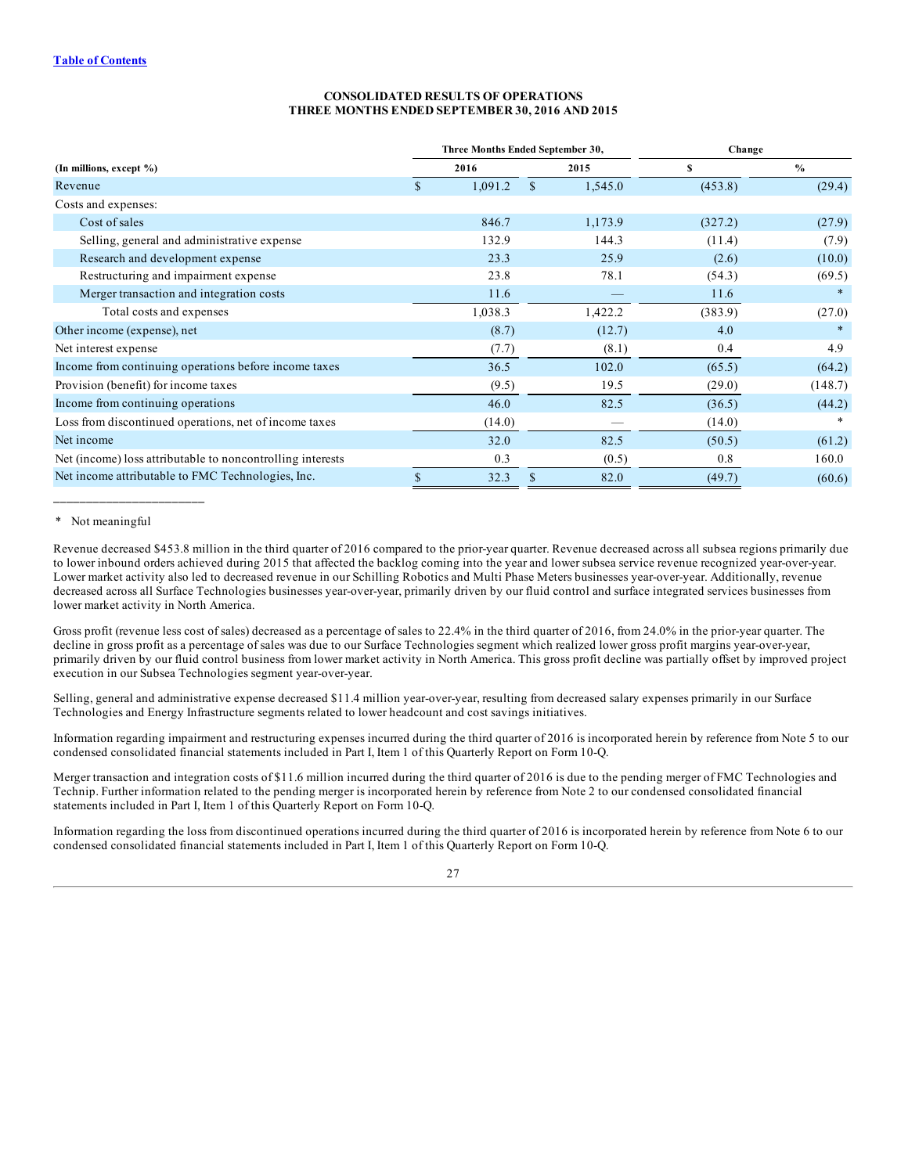## **CONSOLIDATED RESULTS OF OPERATIONS THREE MONTHS ENDED SEPTEMBER 30, 2016 AND 2015**

|                                                            | Three Months Ended September 30, |               | Change  |         |               |
|------------------------------------------------------------|----------------------------------|---------------|---------|---------|---------------|
| (In millions, except %)                                    | 2016                             |               | 2015    | s       | $\frac{0}{0}$ |
| Revenue                                                    | \$<br>1,091.2                    | $\mathcal{S}$ | 1,545.0 | (453.8) | (29.4)        |
| Costs and expenses:                                        |                                  |               |         |         |               |
| Cost of sales                                              | 846.7                            |               | 1,173.9 | (327.2) | (27.9)        |
| Selling, general and administrative expense                | 132.9                            |               | 144.3   | (11.4)  | (7.9)         |
| Research and development expense                           | 23.3                             |               | 25.9    | (2.6)   | (10.0)        |
| Restructuring and impairment expense                       | 23.8                             |               | 78.1    | (54.3)  | (69.5)        |
| Merger transaction and integration costs                   | 11.6                             |               |         | 11.6    | $\ast$        |
| Total costs and expenses                                   | 1,038.3                          |               | 1,422.2 | (383.9) | (27.0)        |
| Other income (expense), net                                | (8.7)                            |               | (12.7)  | 4.0     |               |
| Net interest expense                                       | (7.7)                            |               | (8.1)   | 0.4     | 4.9           |
| Income from continuing operations before income taxes      | 36.5                             |               | 102.0   | (65.5)  | (64.2)        |
| Provision (benefit) for income taxes                       | (9.5)                            |               | 19.5    | (29.0)  | (148.7)       |
| Income from continuing operations                          | 46.0                             |               | 82.5    | (36.5)  | (44.2)        |
| Loss from discontinued operations, net of income taxes     | (14.0)                           |               |         | (14.0)  | $\ast$        |
| Net income                                                 | 32.0                             |               | 82.5    | (50.5)  | (61.2)        |
| Net (income) loss attributable to noncontrolling interests | 0.3                              |               | (0.5)   | 0.8     | 160.0         |
| Net income attributable to FMC Technologies, Inc.          | \$<br>32.3                       | \$            | 82.0    | (49.7)  | (60.6)        |

\* Not meaningful

**\_\_\_\_\_\_\_\_\_\_\_\_\_\_\_\_\_\_\_\_\_\_\_**

Revenue decreased \$453.8 million in the third quarter of 2016 compared to the prior-year quarter. Revenue decreased across all subsea regions primarily due to lower inbound orders achieved during 2015 that affected the backlog coming into the year and lower subsea service revenue recognized year-over-year. Lower market activity also led to decreased revenue in our Schilling Robotics and Multi Phase Meters businesses year-over-year. Additionally, revenue decreased across all Surface Technologies businesses year-over-year, primarily driven by our fluid control and surface integrated services businesses from lower market activity in North America.

Gross profit (revenue less cost of sales) decreased as a percentage of sales to 22.4% in the third quarter of 2016, from 24.0% in the prior-year quarter. The decline in gross profit as a percentage of sales was due to our Surface Technologies segment which realized lower gross profit margins year-over-year, primarily driven by our fluid control business from lower market activity in North America. This gross profit decline was partially offset by improved project execution in our Subsea Technologies segment year-over-year.

Selling, general and administrative expense decreased \$11.4 million year-over-year, resulting from decreased salary expenses primarily in our Surface Technologies and Energy Infrastructure segments related to lower headcount and cost savings initiatives.

Information regarding impairment and restructuring expenses incurred during the third quarter of 2016 is incorporated herein by reference from Note 5 to our condensed consolidated financial statements included in Part I, Item 1 of this Quarterly Report on Form 10-Q.

Merger transaction and integration costs of \$11.6 million incurred during the third quarter of 2016 is due to the pending merger of FMC Technologies and Technip. Further information related to the pending merger is incorporated herein by reference from Note 2 to our condensed consolidated financial statements included in Part I, Item 1 of this Quarterly Report on Form 10-Q.

Information regarding the loss from discontinued operations incurred during the third quarter of 2016 is incorporated herein by reference from Note 6 to our condensed consolidated financial statements included in Part I, Item 1 of this Quarterly Report on Form 10-Q.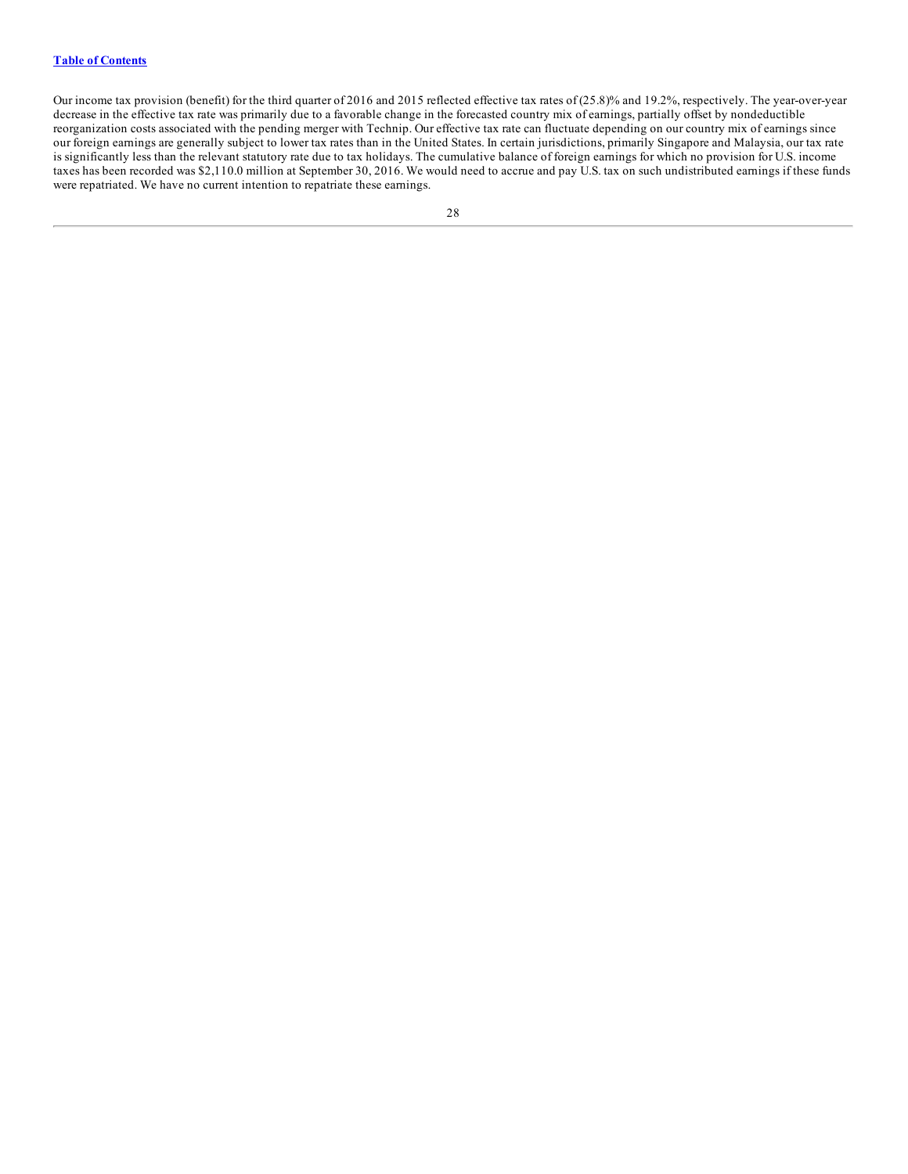Our income tax provision (benefit) for the third quarter of 2016 and 2015 reflected effective tax rates of (25.8)% and 19.2%, respectively. The year-over-year decrease in the effective tax rate was primarily due to a favorable change in the forecasted country mix of earnings, partially offset by nondeductible reorganization costs associated with the pending merger with Technip. Our effective tax rate can fluctuate depending on our country mix of earnings since our foreign earnings are generally subject to lower tax rates than in the United States. In certain jurisdictions, primarily Singapore and Malaysia, our tax rate is significantly less than the relevant statutory rate due to tax holidays. The cumulative balance of foreign earnings for which no provision for U.S. income taxes has been recorded was \$2,110.0 million at September 30, 2016. We would need to accrue and pay U.S. tax on such undistributed earnings if these funds were repatriated. We have no current intention to repatriate these earnings.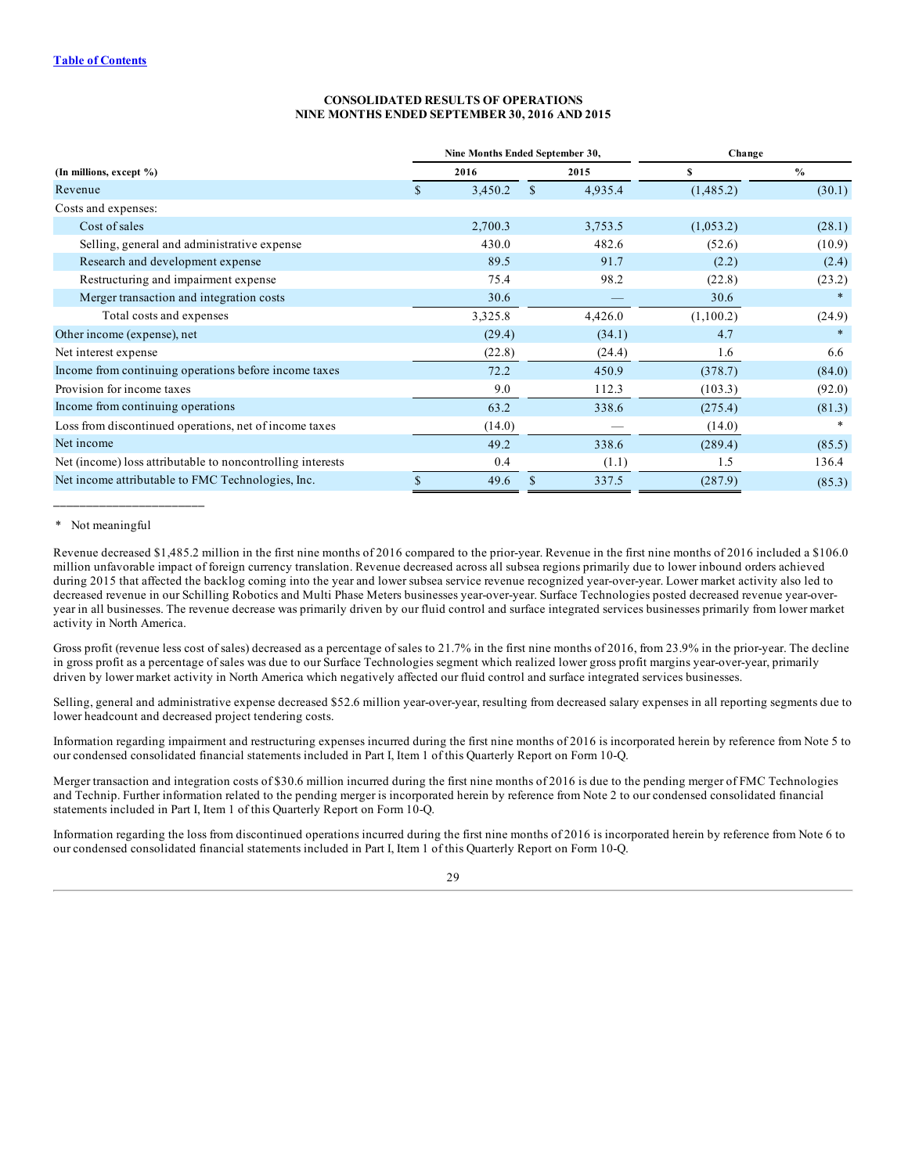#### **CONSOLIDATED RESULTS OF OPERATIONS NINE MONTHS ENDED SEPTEMBER 30, 2016 AND 2015**

|                                                            |    | Nine Months Ended September 30, |     | Change  |           |               |
|------------------------------------------------------------|----|---------------------------------|-----|---------|-----------|---------------|
| (In millions, except $\%$ )                                |    | 2016                            |     | 2015    | \$        | $\frac{0}{0}$ |
| Revenue                                                    | S. | 3,450.2                         | \$. | 4,935.4 | (1,485.2) | (30.1)        |
| Costs and expenses:                                        |    |                                 |     |         |           |               |
| Cost of sales                                              |    | 2,700.3                         |     | 3,753.5 | (1,053.2) | (28.1)        |
| Selling, general and administrative expense                |    | 430.0                           |     | 482.6   | (52.6)    | (10.9)        |
| Research and development expense                           |    | 89.5                            |     | 91.7    | (2.2)     | (2.4)         |
| Restructuring and impairment expense                       |    | 75.4                            |     | 98.2    | (22.8)    | (23.2)        |
| Merger transaction and integration costs                   |    | 30.6                            |     |         | 30.6      |               |
| Total costs and expenses                                   |    | 3,325.8                         |     | 4,426.0 | (1,100.2) | (24.9)        |
| Other income (expense), net                                |    | (29.4)                          |     | (34.1)  | 4.7       |               |
| Net interest expense                                       |    | (22.8)                          |     | (24.4)  | 1.6       | 6.6           |
| Income from continuing operations before income taxes      |    | 72.2                            |     | 450.9   | (378.7)   | (84.0)        |
| Provision for income taxes                                 |    | 9.0                             |     | 112.3   | (103.3)   | (92.0)        |
| Income from continuing operations                          |    | 63.2                            |     | 338.6   | (275.4)   | (81.3)        |
| Loss from discontinued operations, net of income taxes     |    | (14.0)                          |     |         | (14.0)    |               |
| Net income                                                 |    | 49.2                            |     | 338.6   | (289.4)   | (85.5)        |
| Net (income) loss attributable to noncontrolling interests |    | 0.4                             |     | (1.1)   | 1.5       | 136.4         |
| Net income attributable to FMC Technologies, Inc.          |    | 49.6                            |     | 337.5   | (287.9)   | (85.3)        |

\* Not meaningful

**\_\_\_\_\_\_\_\_\_\_\_\_\_\_\_\_\_\_\_\_\_\_\_**

Revenue decreased \$1,485.2 million in the first nine months of 2016 compared to the prior-year. Revenue in the first nine months of 2016 included a \$106.0 million unfavorable impact of foreign currency translation. Revenue decreased across all subsea regions primarily due to lower inbound orders achieved during 2015 that affected the backlog coming into the year and lower subsea service revenue recognized year-over-year. Lower market activity also led to decreased revenue in our Schilling Robotics and Multi Phase Meters businesses year-over-year. Surface Technologies posted decreased revenue year-overyear in all businesses. The revenue decrease was primarily driven by our fluid control and surface integrated services businesses primarily from lower market activity in North America.

Gross profit (revenue less cost of sales) decreased as a percentage of sales to 21.7% in the first nine months of 2016, from 23.9% in the prior-year. The decline in gross profit as a percentage of sales was due to our Surface Technologies segment which realized lower gross profit margins year-over-year, primarily driven by lower market activity in North America which negatively affected our fluid control and surface integrated services businesses.

Selling, general and administrative expense decreased \$52.6 million year-over-year, resulting from decreased salary expenses in all reporting segments due to lower headcount and decreased project tendering costs.

Information regarding impairment and restructuring expenses incurred during the first nine months of 2016 is incorporated herein by reference from Note 5 to our condensed consolidated financial statements included in Part I, Item 1 of this Quarterly Report on Form 10-Q.

Merger transaction and integration costs of \$30.6 million incurred during the first nine months of 2016 is due to the pending merger of FMC Technologies and Technip. Further information related to the pending merger is incorporated herein by reference from Note 2 to our condensed consolidated financial statements included in Part I, Item 1 of this Quarterly Report on Form 10-Q.

Information regarding the loss from discontinued operations incurred during the first nine months of 2016 is incorporated herein by reference from Note 6 to our condensed consolidated financial statements included in Part I, Item 1 of this Quarterly Report on Form 10-Q.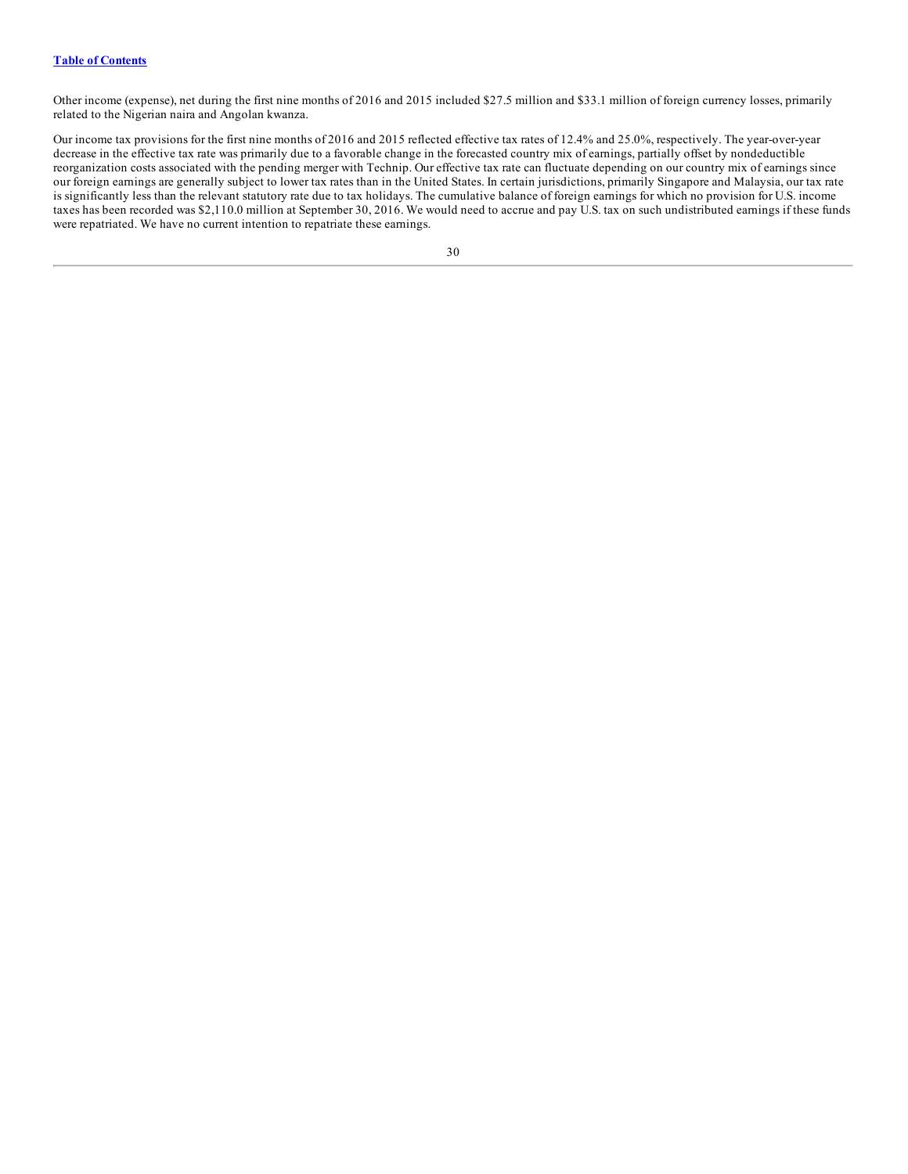Other income (expense), net during the first nine months of 2016 and 2015 included \$27.5 million and \$33.1 million of foreign currency losses, primarily related to the Nigerian naira and Angolan kwanza.

Our income tax provisions for the first nine months of 2016 and 2015 reflected effective tax rates of 12.4% and 25.0%, respectively. The year-over-year decrease in the effective tax rate was primarily due to a favorable change in the forecasted country mix of earnings, partially offset by nondeductible reorganization costs associated with the pending merger with Technip. Our effective tax rate can fluctuate depending on our country mix of earnings since our foreign earnings are generally subject to lower tax rates than in the United States. In certain jurisdictions, primarily Singapore and Malaysia, our tax rate is significantly less than the relevant statutory rate due to tax holidays. The cumulative balance of foreign earnings for which no provision for U.S. income taxes has been recorded was \$2,110.0 million at September 30, 2016. We would need to accrue and pay U.S. tax on such undistributed earnings if these funds were repatriated. We have no current intention to repatriate these earnings.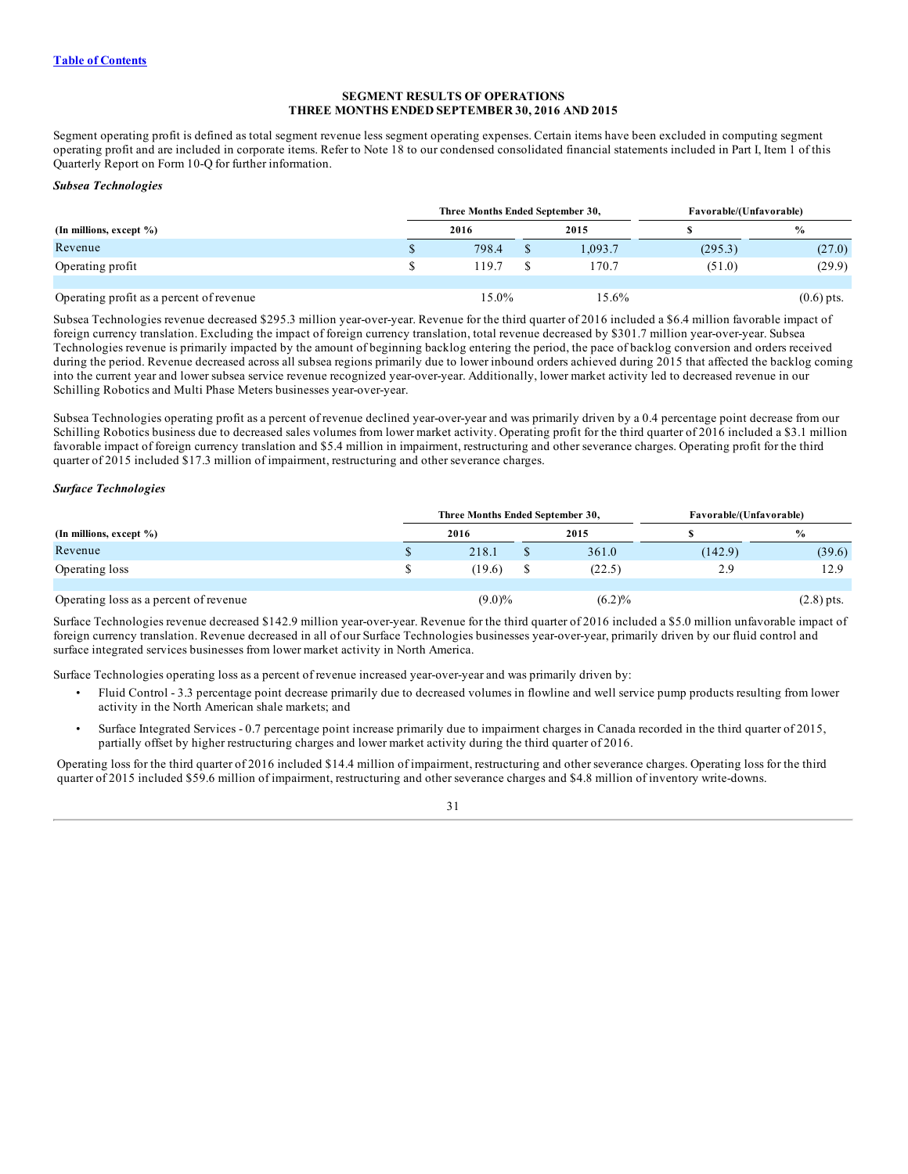## **SEGMENT RESULTS OF OPERATIONS THREE MONTHS ENDED SEPTEMBER 30, 2016 AND 2015**

<span id="page-30-0"></span>Segment operating profit is defined as total segment revenue less segment operating expenses. Certain items have been excluded in computing segment operating profit and are included in corporate items. Refer to Note 18 to our condensed consolidated financial statements included in Part I, Item 1 of this Quarterly Report on Form 10-Q for further information.

#### *Subsea Technologies*

|                                          | Three Months Ended September 30, |  | Favorable/(Unfavorable) |         |               |
|------------------------------------------|----------------------------------|--|-------------------------|---------|---------------|
| (In millions, except $\%$ )              | 2016                             |  | 2015                    |         | $\frac{0}{0}$ |
| Revenue                                  | 798.4                            |  | 1,093.7                 | (295.3) | (27.0)        |
| Operating profit                         | 19.7                             |  | 170.7                   | (51.0)  | (29.9)        |
|                                          |                                  |  |                         |         |               |
| Operating profit as a percent of revenue | 15.0%                            |  | 15.6%                   |         | $(0.6)$ pts.  |

Subsea Technologies revenue decreased \$295.3 million year-over-year. Revenue for the third quarter of 2016 included a \$6.4 million favorable impact of foreign currency translation. Excluding the impact of foreign currency translation, total revenue decreased by \$301.7 million year-over-year. Subsea Technologies revenue is primarily impacted by the amount of beginning backlog entering the period, the pace of backlog conversion and orders received during the period. Revenue decreased across all subsea regions primarily due to lower inbound orders achieved during 2015 that affected the backlog coming into the current year and lower subsea service revenue recognized year-over-year. Additionally, lower market activity led to decreased revenue in our Schilling Robotics and Multi Phase Meters businesses year-over-year.

Subsea Technologies operating profit as a percent of revenue declined year-over-year and was primarily driven by a 0.4 percentage point decrease from our Schilling Robotics business due to decreased sales volumes from lower market activity. Operating profit for the third quarter of 2016 included a \$3.1 million favorable impact of foreign currency translation and \$5.4 million in impairment, restructuring and other severance charges. Operating profit for the third quarter of 2015 included \$17.3 million of impairment, restructuring and other severance charges.

#### *Surface Technologies*

|                                        | Three Months Ended September 30, |  | Favorable/(Unfavorable) |         |               |
|----------------------------------------|----------------------------------|--|-------------------------|---------|---------------|
| (In millions, except $\%$ )            | 2016                             |  | 2015                    |         | $\frac{9}{0}$ |
| Revenue                                | 218.1                            |  | 361.0                   | (142.9) | (39.6)        |
| Operating loss                         | (19.6)                           |  | (22.5)                  | 2.9     | 12.9          |
|                                        |                                  |  |                         |         |               |
| Operating loss as a percent of revenue | $(9.0)\%$                        |  | $(6.2)\%$               |         | $(2.8)$ pts.  |

Surface Technologies revenue decreased \$142.9 million year-over-year. Revenue for the third quarter of 2016 included a \$5.0 million unfavorable impact of foreign currency translation. Revenue decreased in all of our Surface Technologies businesses year-over-year, primarily driven by our fluid control and surface integrated services businesses from lower market activity in North America.

Surface Technologies operating loss as a percent of revenue increased year-over-year and was primarily driven by:

- Fluid Control 3.3 percentage point decrease primarily due to decreased volumes in flowline and well service pump products resulting from lower activity in the North American shale markets; and
- Surface Integrated Services 0.7 percentage point increase primarily due to impairment charges in Canada recorded in the third quarter of 2015, partially offset by higher restructuring charges and lower market activity during the third quarter of 2016.

Operating loss for the third quarter of 2016 included \$14.4 million of impairment, restructuring and other severance charges. Operating loss for the third quarter of 2015 included \$59.6 million of impairment, restructuring and other severance charges and \$4.8 million of inventory write-downs.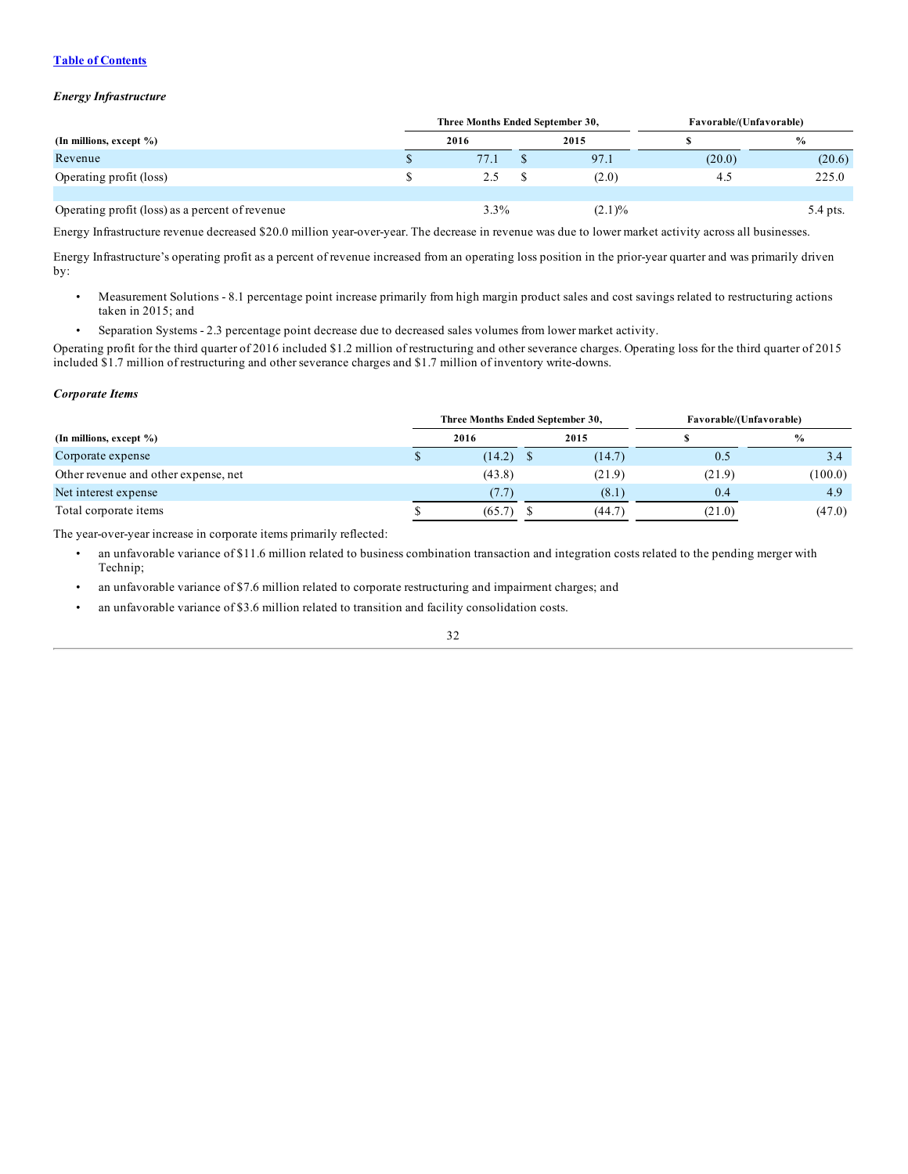## *Energy Infrastructure*

|                                                 | Three Months Ended September 30, |  | Favorable/(Unfavorable) |        |               |
|-------------------------------------------------|----------------------------------|--|-------------------------|--------|---------------|
| (In millions, except $\%$ )                     | 2016                             |  | 2015                    |        | $\frac{0}{0}$ |
| Revenue                                         | 77.1                             |  | 97.1                    | (20.0) | (20.6)        |
| Operating profit (loss)                         | 2.5                              |  | (2.0)                   | 4.5    | 225.0         |
|                                                 |                                  |  |                         |        |               |
| Operating profit (loss) as a percent of revenue | 3.3%                             |  | (2.1)%                  |        | 5.4 pts.      |

Energy Infrastructure revenue decreased \$20.0 million year-over-year. The decrease in revenue was due to lower market activity across all businesses.

Energy Infrastructure's operating profit as a percent of revenue increased from an operating loss position in the prior-year quarter and was primarily driven by:

- Measurement Solutions 8.1 percentage point increase primarily from high margin product sales and cost savings related to restructuring actions taken in 2015; and
- Separation Systems 2.3 percentage point decrease due to decreased sales volumes from lower market activity.

Operating profit for the third quarter of 2016 included \$1.2 million of restructuring and other severance charges. Operating loss for the third quarter of 2015 included \$1.7 million of restructuring and other severance charges and \$1.7 million of inventory write-downs.

## *Corporate Items*

|                                      | Three Months Ended September 30, |        | Favorable/(Unfavorable) |               |  |
|--------------------------------------|----------------------------------|--------|-------------------------|---------------|--|
| (In millions, except $\%$ )          | 2016                             | 2015   |                         | $\frac{0}{0}$ |  |
| Corporate expense                    | (14.2)                           | (14.7) | 0.5                     | 3.4           |  |
| Other revenue and other expense, net | (43.8)                           | (21.9) | (21.9)                  | (100.0)       |  |
| Net interest expense                 | (7.7)                            | (8.1)  | 0.4                     | 4.9           |  |
| Total corporate items                | (65.7)                           | (44.7) | (21.0)                  | (47.0)        |  |

The year-over-year increase in corporate items primarily reflected:

- an unfavorable variance of \$11.6 million related to business combination transaction and integration costs related to the pending merger with Technip;
- an unfavorable variance of \$7.6 million related to corporate restructuring and impairment charges; and
- an unfavorable variance of \$3.6 million related to transition and facility consolidation costs.

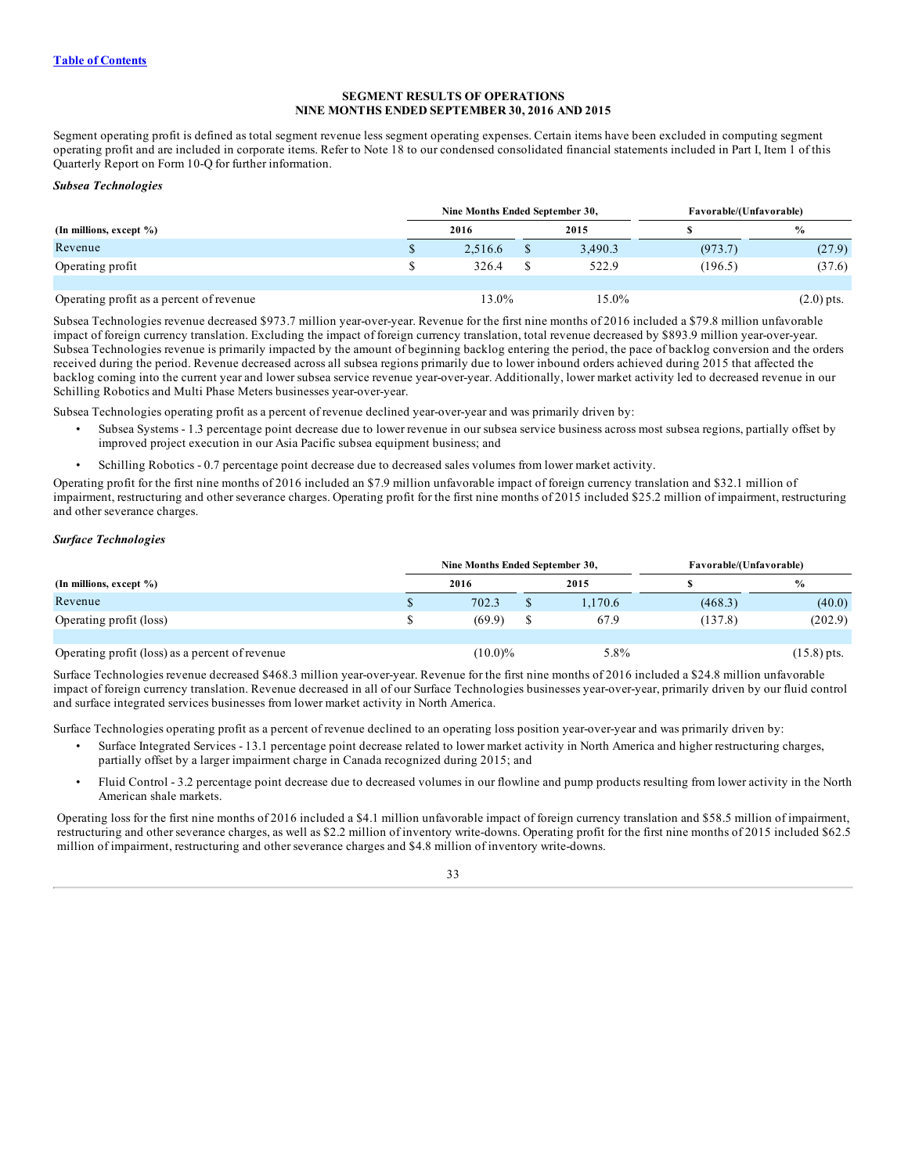## **SEGMENT RESULTS OF OPERATIONS NINE MONTHS ENDED SEPTEMBER 30, 2016 AND 2015**

Segment operating profit is defined as total segment revenue less segment operating expenses. Certain items have been excluded in computing segment operating profit and are included in corporate items. Refer to Note 18 to our condensed consolidated financial statements included in Part I, Item 1 of this Quarterly Report on Form 10-Q for further information.

#### *Subsea Technologies*

|                                          | Nine Months Ended September 30, | Favorable/(Unfavorable) |         |               |
|------------------------------------------|---------------------------------|-------------------------|---------|---------------|
| (In millions, except $\%$ )              | 2016                            | 2015                    |         | $\frac{6}{9}$ |
| Revenue                                  | 2.516.6                         | 3,490.3                 | (973.7) | (27.9)        |
| Operating profit                         | 326.4                           | 522.9                   | (196.5) | (37.6)        |
|                                          |                                 |                         |         |               |
| Operating profit as a percent of revenue | 13.0%                           | 15.0%                   |         | $(2.0)$ pts.  |

Subsea Technologies revenue decreased \$973.7 million year-over-year. Revenue for the first nine months of 2016 included a \$79.8 million unfavorable impact of foreign currency translation. Excluding the impact of foreign currency translation, total revenue decreased by \$893.9 million year-over-year. Subsea Technologies revenue is primarily impacted by the amount of beginning backlog entering the period, the pace of backlog conversion and the orders received during the period. Revenue decreased across all subsea regions primarily due to lower inbound orders achieved during 2015 that affected the backlog coming into the current year and lower subsea service revenue year-over-year. Additionally, lower market activity led to decreased revenue in our Schilling Robotics and Multi Phase Meters businesses year-over-year.

Subsea Technologies operating profit as a percent of revenue declined year-over-year and was primarily driven by:

- Subsea Systems 1.3 percentage point decrease due to lower revenue in our subsea service business across most subsea regions, partially offset by improved project execution in our Asia Pacific subsea equipment business; and
- Schilling Robotics 0.7 percentage point decrease due to decreased sales volumes from lower market activity.

Operating profit for the first nine months of 2016 included an \$7.9 million unfavorable impact of foreign currency translation and \$32.1 million of impairment, restructuring and other severance charges. Operating profit for the first nine months of 2015 included \$25.2 million of impairment, restructuring and other severance charges.

#### *Surface Technologies*

|                                                 |    | Nine Months Ended September 30, |  | Favorable/(Unfavorable) |         |               |
|-------------------------------------------------|----|---------------------------------|--|-------------------------|---------|---------------|
| (In millions, except $\%$ )                     |    | 2016                            |  | 2015                    |         | $\frac{6}{6}$ |
| Revenue                                         | ۰D | 702.3                           |  | 1.170.6                 | (468.3) | (40.0)        |
| Operating profit (loss)                         |    | (69.9)                          |  | 67.9                    | (137.8) | (202.9)       |
|                                                 |    |                                 |  |                         |         |               |
| Operating profit (loss) as a percent of revenue |    | $(10.0)\%$                      |  | 5.8%                    |         | $(15.8)$ pts. |

Surface Technologies revenue decreased \$468.3 million year-over-year. Revenue for the first nine months of 2016 included a \$24.8 million unfavorable impact of foreign currency translation. Revenue decreased in all of our Surface Technologies businesses year-over-year, primarily driven by our fluid control and surface integrated services businesses from lower market activity in North America.

Surface Technologies operating profit as a percent of revenue declined to an operating loss position year-over-year and was primarily driven by:

- Surface Integrated Services 13.1 percentage point decrease related to lower market activity in North America and higher restructuring charges, partially offset by a larger impairment charge in Canada recognized during 2015; and
- Fluid Control 3.2 percentage point decrease due to decreased volumes in our flowline and pump products resulting from lower activity in the North American shale markets.

Operating loss for the first nine months of 2016 included a \$4.1 million unfavorable impact of foreign currency translation and \$58.5 million of impairment, restructuring and other severance charges, as well as \$2.2 million of inventory write-downs. Operating profit for the first nine months of 2015 included \$62.5 million of impairment, restructuring and other severance charges and \$4.8 million of inventory write-downs.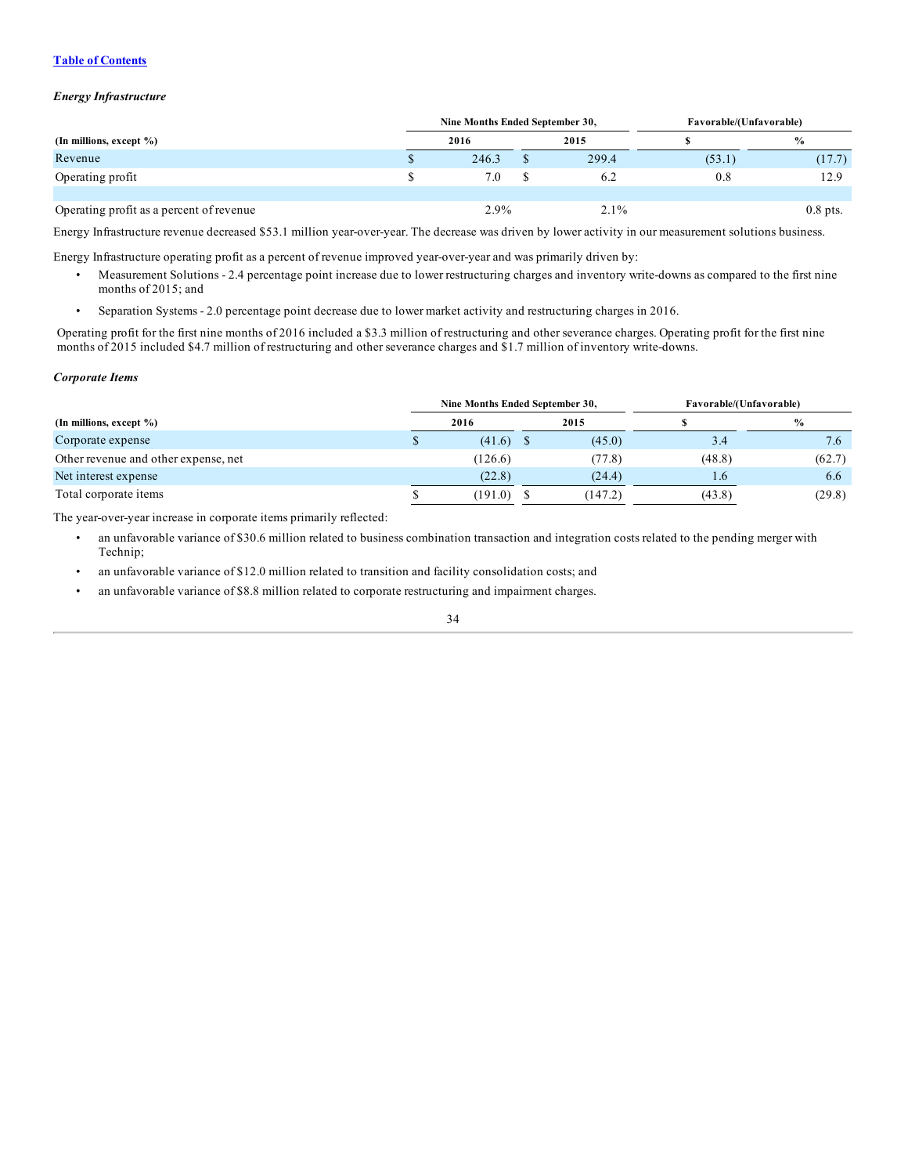## <span id="page-33-0"></span>*Energy Infrastructure*

|                                          | Nine Months Ended September 30, |         | Favorable/(Unfavorable) |               |  |  |
|------------------------------------------|---------------------------------|---------|-------------------------|---------------|--|--|
| (In millions, except $\%$ )              | 2016                            | 2015    |                         | $\frac{6}{6}$ |  |  |
| Revenue                                  | 246.3                           | 299.4   | (53.1)                  | (17.7)        |  |  |
| Operating profit                         | 7.0                             | 6.2     | 0.8                     | 12.9          |  |  |
| Operating profit as a percent of revenue | $2.9\%$                         | $2.1\%$ |                         | $0.8$ pts.    |  |  |

Energy Infrastructure revenue decreased \$53.1 million year-over-year. The decrease was driven by lower activity in our measurement solutions business.

Energy Infrastructure operating profit as a percent of revenue improved year-over-year and was primarily driven by:

- Measurement Solutions 2.4 percentage point increase due to lower restructuring charges and inventory write-downs as compared to the first nine months of 2015; and
- Separation Systems 2.0 percentage point decrease due to lower market activity and restructuring charges in 2016.

Operating profit for the first nine months of 2016 included a \$3.3 million of restructuring and other severance charges. Operating profit for the first nine months of 2015 included \$4.7 million of restructuring and other severance charges and \$1.7 million of inventory write-downs.

#### *Corporate Items*

|                                      | Nine Months Ended September 30, |         | Favorable/(Unfavorable) |               |  |  |
|--------------------------------------|---------------------------------|---------|-------------------------|---------------|--|--|
| (In millions, except $\%$ )          | 2016                            | 2015    |                         | $\frac{9}{6}$ |  |  |
| Corporate expense                    | (41.6)                          | (45.0)  | 3.4                     | 7.6           |  |  |
| Other revenue and other expense, net | (126.6)                         | (77.8)  | (48.8)                  | (62.7)        |  |  |
| Net interest expense                 | (22.8)                          | (24.4)  | 1.6                     | 6.6           |  |  |
| Total corporate items                | (191.0)                         | (147.2) | (43.8)                  | (29.8)        |  |  |

The year-over-year increase in corporate items primarily reflected:

- an unfavorable variance of \$30.6 million related to business combination transaction and integration costs related to the pending merger with Technip;
- an unfavorable variance of \$12.0 million related to transition and facility consolidation costs; and
- an unfavorable variance of \$8.8 million related to corporate restructuring and impairment charges.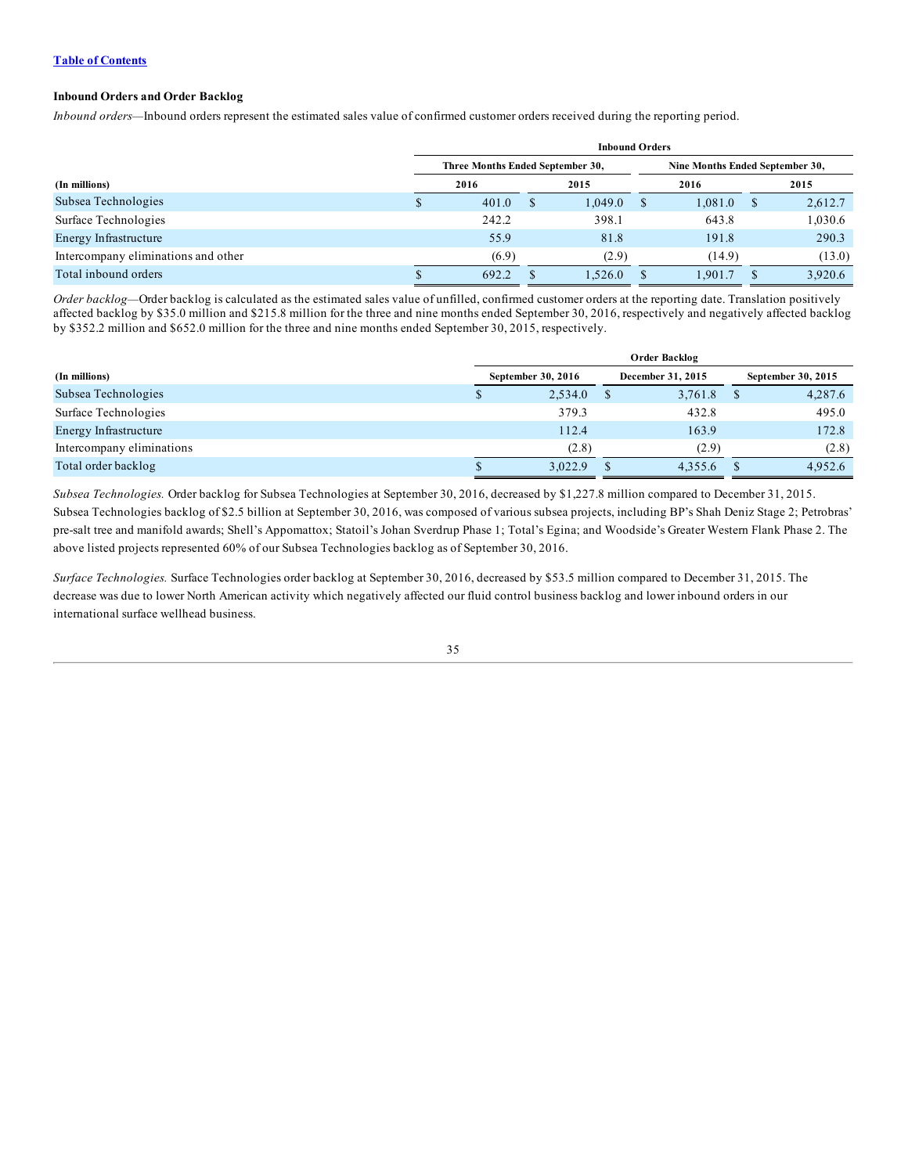## <span id="page-34-0"></span>**Inbound Orders and Order Backlog**

*Inbound orders—*Inbound orders represent the estimated sales value of confirmed customer orders received during the reporting period.

|                                     | <b>Inbound Orders</b>            |       |                                 |         |  |         |   |         |  |  |  |  |  |
|-------------------------------------|----------------------------------|-------|---------------------------------|---------|--|---------|---|---------|--|--|--|--|--|
|                                     | Three Months Ended September 30, |       | Nine Months Ended September 30, |         |  |         |   |         |  |  |  |  |  |
| (In millions)                       |                                  | 2016  |                                 | 2015    |  | 2016    |   | 2015    |  |  |  |  |  |
| Subsea Technologies                 | æ                                | 401.0 |                                 | 1,049.0 |  | 1,081.0 | S | 2,612.7 |  |  |  |  |  |
| Surface Technologies                |                                  | 242.2 |                                 | 398.1   |  | 643.8   |   | 1,030.6 |  |  |  |  |  |
| Energy Infrastructure               |                                  | 55.9  |                                 | 81.8    |  | 191.8   |   | 290.3   |  |  |  |  |  |
| Intercompany eliminations and other |                                  | (6.9) |                                 | (2.9)   |  | (14.9)  |   | (13.0)  |  |  |  |  |  |
| Total inbound orders                |                                  | 692.2 |                                 | 1,526.0 |  | .901.7  |   | 3,920.6 |  |  |  |  |  |

*Order backlog—*Order backlog is calculated as the estimated sales value of unfilled, confirmed customer orders at the reporting date. Translation positively affected backlog by \$35.0 million and \$215.8 million for the three and nine months ended September 30, 2016, respectively and negatively affected backlog by \$352.2 million and \$652.0 million for the three and nine months ended September 30, 2015, respectively.

|                           | Order Backlog |                    |  |                   |  |                    |  |  |  |
|---------------------------|---------------|--------------------|--|-------------------|--|--------------------|--|--|--|
| (In millions)             |               | September 30, 2016 |  | December 31, 2015 |  | September 30, 2015 |  |  |  |
| Subsea Technologies       |               | 2,534.0            |  | 3,761.8           |  | 4,287.6            |  |  |  |
| Surface Technologies      |               | 379.3              |  | 432.8             |  | 495.0              |  |  |  |
| Energy Infrastructure     |               | 112.4              |  | 163.9             |  | 172.8              |  |  |  |
| Intercompany eliminations |               | (2.8)              |  | (2.9)             |  | (2.8)              |  |  |  |
| Total order backlog       |               | 3,022.9            |  | 4,355.6           |  | 4,952.6            |  |  |  |

*Subsea Technologies.* Order backlog for Subsea Technologies at September 30, 2016, decreased by \$1,227.8 million compared to December 31, 2015. Subsea Technologies backlog of \$2.5 billion at September 30, 2016, was composed of various subsea projects, including BP's Shah Deniz Stage 2; Petrobras' pre-salt tree and manifold awards; Shell's Appomattox; Statoil's Johan Sverdrup Phase 1; Total's Egina; and Woodside's Greater Western Flank Phase 2. The above listed projects represented 60% of our Subsea Technologies backlog as of September 30, 2016.

*Surface Technologies.* Surface Technologies order backlog at September 30, 2016, decreased by \$53.5 million compared to December 31, 2015. The decrease was due to lower North American activity which negatively affected our fluid control business backlog and lower inbound orders in our international surface wellhead business.

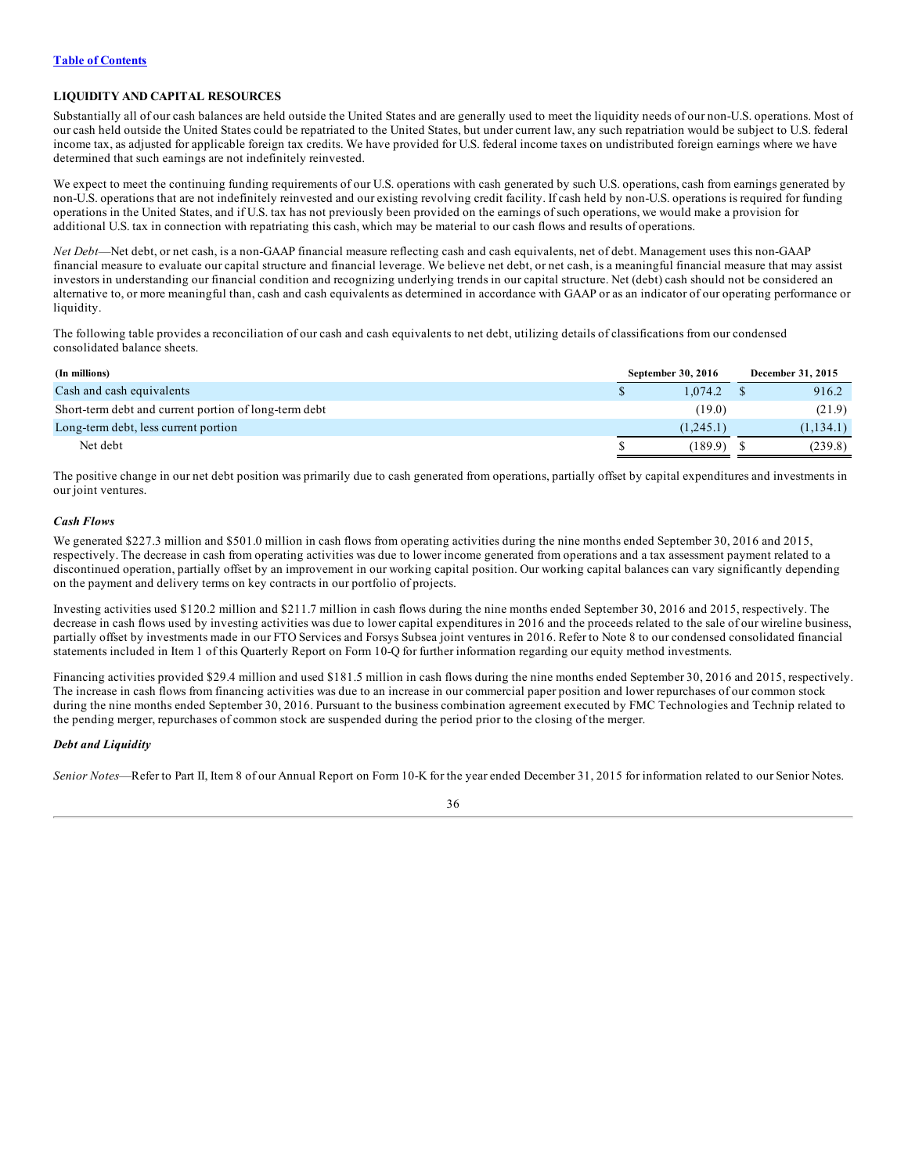## **LIQUIDITY AND CAPITAL RESOURCES**

Substantially all of our cash balances are held outside the United States and are generally used to meet the liquidity needs of our non-U.S. operations. Most of our cash held outside the United States could be repatriated to the United States, but under current law, any such repatriation would be subject to U.S. federal income tax, as adjusted for applicable foreign tax credits. We have provided for U.S. federal income taxes on undistributed foreign earnings where we have determined that such earnings are not indefinitely reinvested.

We expect to meet the continuing funding requirements of our U.S. operations with cash generated by such U.S. operations, cash from earnings generated by non-U.S. operations that are not indefinitely reinvested and our existing revolving credit facility. If cash held by non-U.S. operations is required for funding operations in the United States, and if U.S. tax has not previously been provided on the earnings of such operations, we would make a provision for additional U.S. tax in connection with repatriating this cash, which may be material to our cash flows and results of operations.

*Net Debt*—Net debt, or net cash, is a non-GAAP financial measure reflecting cash and cash equivalents, net of debt. Management uses this non-GAAP financial measure to evaluate our capital structure and financial leverage. We believe net debt, or net cash, is a meaningful financial measure that may assist investors in understanding our financial condition and recognizing underlying trends in our capital structure. Net (debt) cash should not be considered an alternative to, or more meaningful than, cash and cash equivalents as determined in accordance with GAAP or as an indicator of our operating performance or liquidity.

The following table provides a reconciliation of our cash and cash equivalents to net debt, utilizing details of classifications from our condensed consolidated balance sheets.

| (In millions)                                         | September 30, 2016 | December 31, 2015 |
|-------------------------------------------------------|--------------------|-------------------|
| Cash and cash equivalents                             | 1.074.2            | 916.2             |
| Short-term debt and current portion of long-term debt | (19.0)             | (21.9)            |
| Long-term debt, less current portion                  | (1,245.1)          | (1,134.1)         |
| Net debt                                              | (189.9)            | (239.8)           |

The positive change in our net debt position was primarily due to cash generated from operations, partially offset by capital expenditures and investments in our joint ventures.

## *Cash Flows*

We generated \$227.3 million and \$501.0 million in cash flows from operating activities during the nine months ended September 30, 2016 and 2015, respectively. The decrease in cash from operating activities was due to lower income generated from operations and a tax assessment payment related to a discontinued operation, partially offset by an improvement in our working capital position. Our working capital balances can vary significantly depending on the payment and delivery terms on key contracts in our portfolio of projects.

Investing activities used \$120.2 million and \$211.7 million in cash flows during the nine months ended September 30, 2016 and 2015, respectively. The decrease in cash flows used by investing activities was due to lower capital expenditures in 2016 and the proceeds related to the sale of our wireline business, partially offset by investments made in our FTO Services and Forsys Subsea joint ventures in 2016. Refer to Note 8 to our condensed consolidated financial statements included in Item 1 of this Quarterly Report on Form 10-Q for further information regarding our equity method investments.

Financing activities provided \$29.4 million and used \$181.5 million in cash flows during the nine months ended September 30, 2016 and 2015, respectively. The increase in cash flows from financing activities was due to an increase in our commercial paper position and lower repurchases of our common stock during the nine months ended September 30, 2016. Pursuant to the business combination agreement executed by FMC Technologies and Technip related to the pending merger, repurchases of common stock are suspended during the period prior to the closing of the merger.

#### *Debt and Liquidity*

*Senior Notes*—Refer to Part II, Item 8 of our Annual Report on Form 10-K for the year ended December 31, 2015 for information related to our Senior Notes.

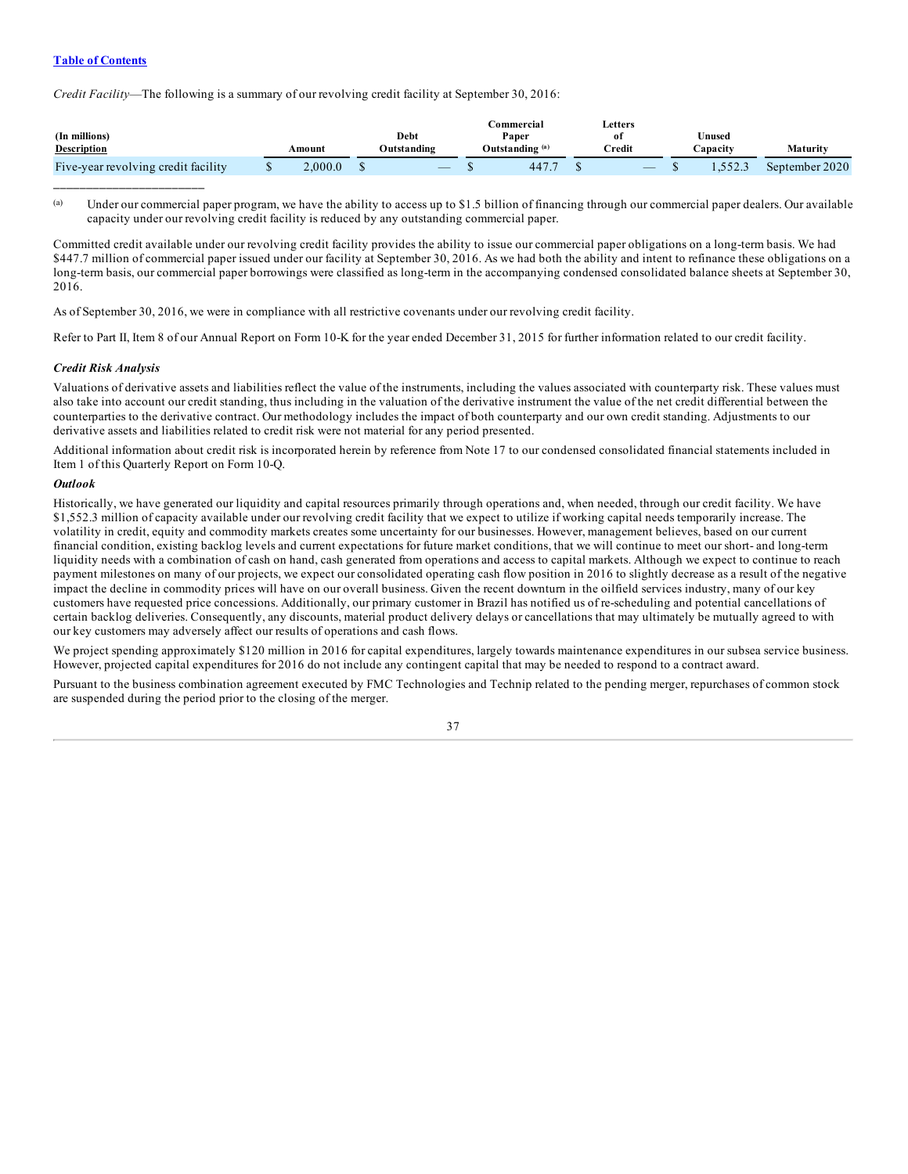*Credit Facility*—The following is a summary of our revolving credit facility at September 30, 2016:

| (In millions)                       |         | Debt        | Commercial<br>Paper | Letters<br>0Ť     | Unused          |                |
|-------------------------------------|---------|-------------|---------------------|-------------------|-----------------|----------------|
| <b>Description</b>                  | Amount  | Outstanding | Outstanding (a)     | ⊡redit            | <b>Capacity</b> | Maturity       |
| Five-year revolving credit facility | 2.000.0 |             | 447.7               | $\qquad \qquad -$ | 1.552.3         | September 2020 |
| _______________________             |         |             |                     |                   |                 |                |

(a) Under our commercial paper program, we have the ability to access up to \$1.5 billion of financing through our commercial paper dealers. Our available capacity under our revolving credit facility is reduced by any outstanding commercial paper.

Committed credit available under our revolving credit facility provides the ability to issue our commercial paper obligations on a long-term basis. We had \$447.7 million of commercial paper issued under our facility at September 30, 2016. As we had both the ability and intent to refinance these obligations on a long-term basis, our commercial paper borrowings were classified as long-term in the accompanying condensed consolidated balance sheets at September 30, 2016.

As of September 30, 2016, we were in compliance with all restrictive covenants under our revolving credit facility.

Refer to Part II, Item 8 of our Annual Report on Form 10-K for the year ended December 31, 2015 for further information related to our credit facility.

#### *Credit Risk Analysis*

Valuations of derivative assets and liabilities reflect the value of the instruments, including the values associated with counterparty risk. These values must also take into account our credit standing, thus including in the valuation of the derivative instrument the value of the net credit differential between the counterparties to the derivative contract. Our methodology includes the impact of both counterparty and our own credit standing. Adjustments to our derivative assets and liabilities related to credit risk were not material for any period presented.

Additional information about credit risk is incorporated herein by reference from Note 17 to our condensed consolidated financial statements included in Item 1 of this Quarterly Report on Form 10-Q.

#### *Outlook*

Historically, we have generated our liquidity and capital resources primarily through operations and, when needed, through our credit facility. We have \$1,552.3 million of capacity available under our revolving credit facility that we expect to utilize if working capital needs temporarily increase. The volatility in credit, equity and commodity markets creates some uncertainty for our businesses. However, management believes, based on our current financial condition, existing backlog levels and current expectations for future market conditions, that we will continue to meet our short- and long-term liquidity needs with a combination of cash on hand, cash generated from operations and access to capital markets. Although we expect to continue to reach payment milestones on many of our projects, we expect our consolidated operating cash flow position in 2016 to slightly decrease as a result of the negative impact the decline in commodity prices will have on our overall business. Given the recent downturn in the oilfield services industry, many of our key customers have requested price concessions. Additionally, our primary customer in Brazil has notified us of re-scheduling and potential cancellations of certain backlog deliveries. Consequently, any discounts, material product delivery delays or cancellations that may ultimately be mutually agreed to with our key customers may adversely affect our results of operations and cash flows.

We project spending approximately \$120 million in 2016 for capital expenditures, largely towards maintenance expenditures in our subsea service business. However, projected capital expenditures for 2016 do not include any contingent capital that may be needed to respond to a contract award.

Pursuant to the business combination agreement executed by FMC Technologies and Technip related to the pending merger, repurchases of common stock are suspended during the period prior to the closing of the merger.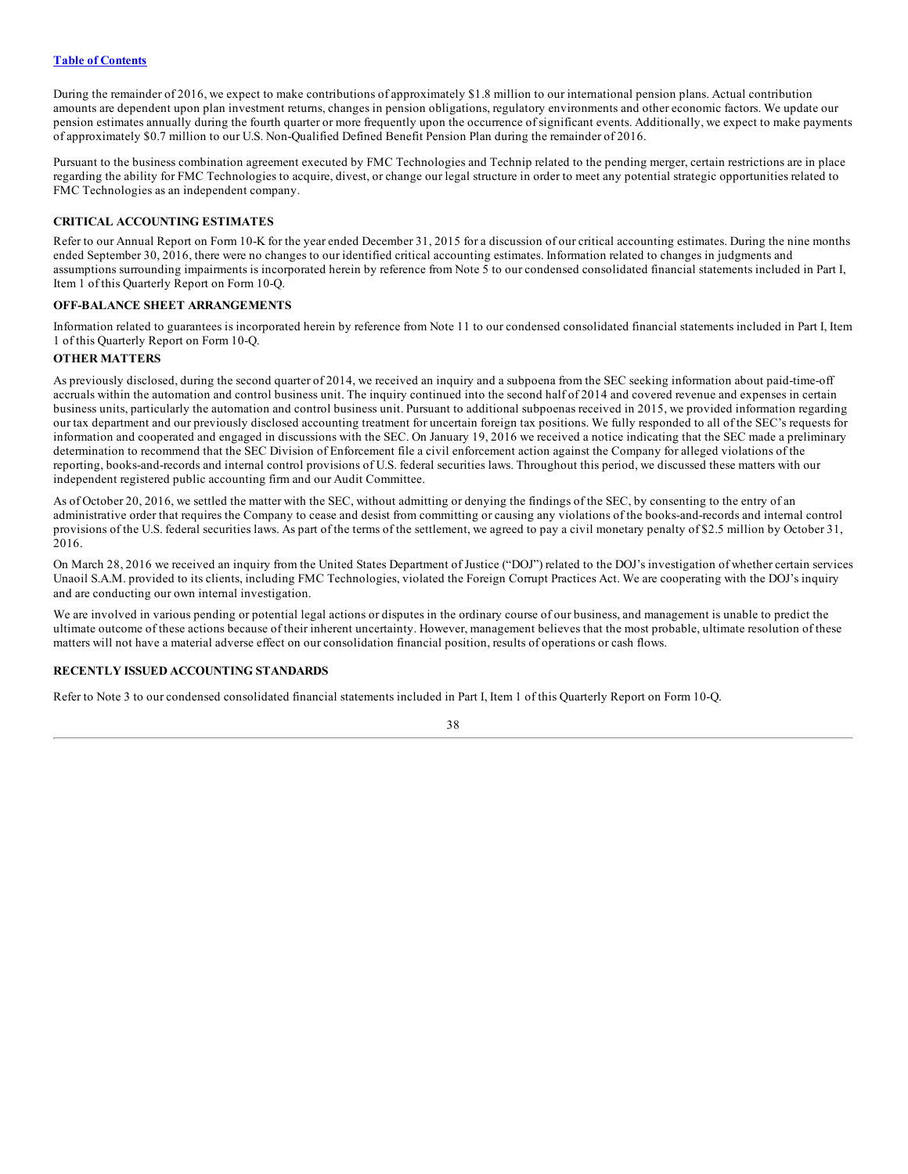<span id="page-37-0"></span>During the remainder of 2016, we expect to make contributions of approximately \$1.8 million to our international pension plans. Actual contribution amounts are dependent upon plan investment returns, changes in pension obligations, regulatory environments and other economic factors. We update our pension estimates annually during the fourth quarter or more frequently upon the occurrence of significant events. Additionally, we expect to make payments of approximately \$0.7 million to our U.S. Non-Qualified Defined Benefit Pension Plan during the remainder of 2016.

Pursuant to the business combination agreement executed by FMC Technologies and Technip related to the pending merger, certain restrictions are in place regarding the ability for FMC Technologies to acquire, divest, or change our legal structure in order to meet any potential strategic opportunities related to FMC Technologies as an independent company.

## **CRITICAL ACCOUNTING ESTIMATES**

Refer to our Annual Report on Form 10-K for the year ended December 31, 2015 for a discussion of our critical accounting estimates. During the nine months ended September 30, 2016, there were no changes to our identified critical accounting estimates. Information related to changes in judgments and assumptions surrounding impairments is incorporated herein by reference from Note 5 to our condensed consolidated financial statements included in Part I, Item 1 of this Quarterly Report on Form 10-Q.

#### **OFF-BALANCE SHEET ARRANGEMENTS**

Information related to guarantees is incorporated herein by reference from Note 11 to our condensed consolidated financial statements included in Part I, Item 1 of this Quarterly Report on Form 10-Q.

## **OTHER MATTERS**

As previously disclosed, during the second quarter of 2014, we received an inquiry and a subpoena from the SEC seeking information about paid-time-off accruals within the automation and control business unit. The inquiry continued into the second half of 2014 and covered revenue and expenses in certain business units, particularly the automation and control business unit. Pursuant to additional subpoenas received in 2015, we provided information regarding our tax department and our previously disclosed accounting treatment for uncertain foreign tax positions. We fully responded to all of the SEC's requests for information and cooperated and engaged in discussions with the SEC. On January 19, 2016 we received a notice indicating that the SEC made a preliminary determination to recommend that the SEC Division of Enforcement file a civil enforcement action against the Company for alleged violations of the reporting, books-and-records and internal control provisions of U.S. federal securities laws. Throughout this period, we discussed these matters with our independent registered public accounting firm and our Audit Committee.

As of October 20, 2016, we settled the matter with the SEC, without admitting or denying the findings of the SEC, by consenting to the entry of an administrative order that requires the Company to cease and desist from committing or causing any violations of the books-and-records and internal control provisions of the U.S. federal securities laws. As part of the terms of the settlement, we agreed to pay a civil monetary penalty of \$2.5 million by October 31, 2016.

On March 28, 2016 we received an inquiry from the United States Department of Justice ("DOJ") related to the DOJ's investigation of whether certain services Unaoil S.A.M. provided to its clients, including FMC Technologies, violated the Foreign Corrupt Practices Act. We are cooperating with the DOJ's inquiry and are conducting our own internal investigation.

We are involved in various pending or potential legal actions or disputes in the ordinary course of our business, and management is unable to predict the ultimate outcome of these actions because of their inherent uncertainty. However, management believes that the most probable, ultimate resolution of these matters will not have a material adverse effect on our consolidation financial position, results of operations or cash flows.

## **RECENTLY ISSUED ACCOUNTING STANDARDS**

Refer to Note 3 to our condensed consolidated financial statements included in Part I, Item 1 of this Quarterly Report on Form 10-Q.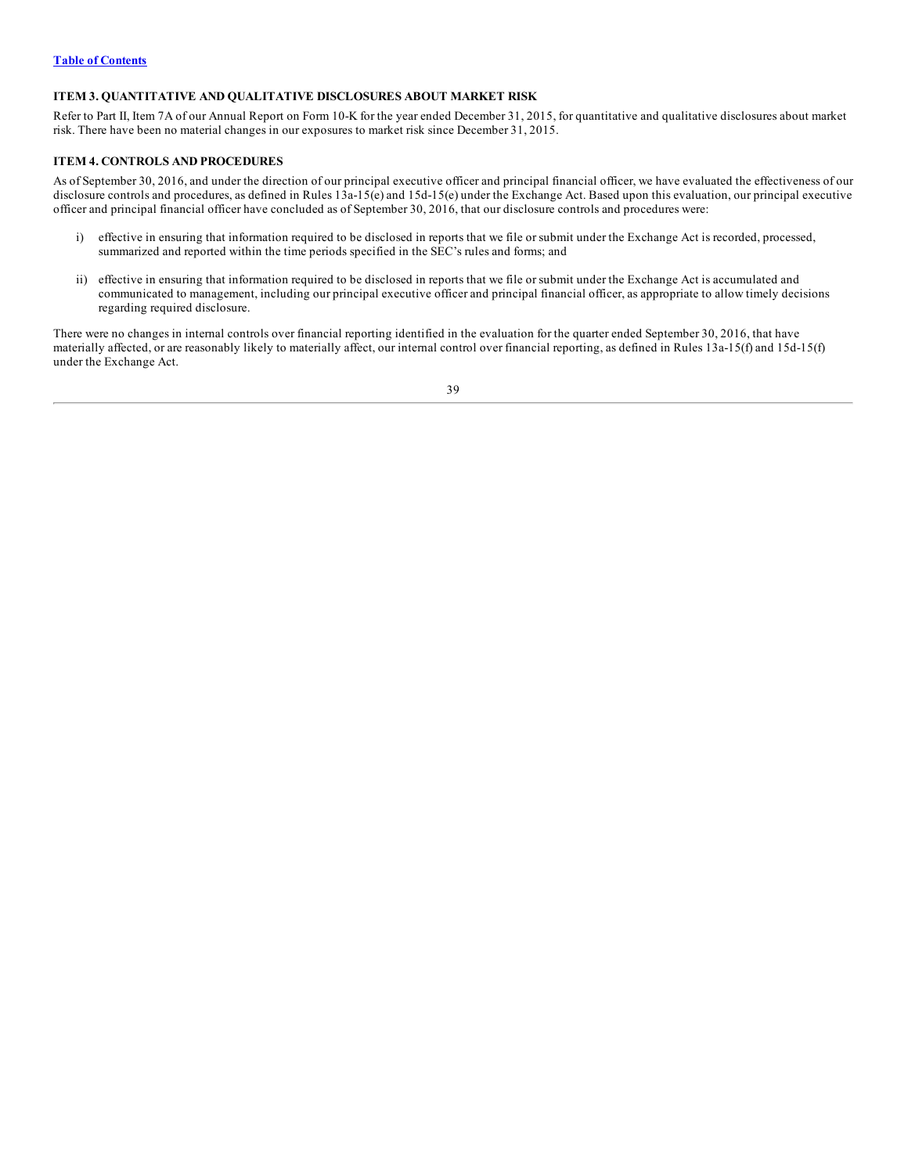## <span id="page-38-0"></span>**ITEM 3. QUANTITATIVE AND QUALITATIVE DISCLOSURES ABOUT MARKET RISK**

Refer to Part II, Item 7A of our Annual Report on Form 10-K for the year ended December 31, 2015, for quantitative and qualitative disclosures about market risk. There have been no material changes in our exposures to market risk since December 31, 2015.

## **ITEM 4. CONTROLS AND PROCEDURES**

As of September 30, 2016, and under the direction of our principal executive officer and principal financial officer, we have evaluated the effectiveness of our disclosure controls and procedures, as defined in Rules 13a-15(e) and 15d-15(e) under the Exchange Act. Based upon this evaluation, our principal executive officer and principal financial officer have concluded as of September 30, 2016, that our disclosure controls and procedures were:

- i) effective in ensuring that information required to be disclosed in reports that we file or submit under the Exchange Act is recorded, processed, summarized and reported within the time periods specified in the SEC's rules and forms; and
- ii) effective in ensuring that information required to be disclosed in reports that we file or submit under the Exchange Act is accumulated and communicated to management, including our principal executive officer and principal financial officer, as appropriate to allow timely decisions regarding required disclosure.

There were no changes in internal controls over financial reporting identified in the evaluation for the quarter ended September 30, 2016, that have materially affected, or are reasonably likely to materially affect, our internal control over financial reporting, as defined in Rules 13a-15(f) and 15d-15(f) under the Exchange Act.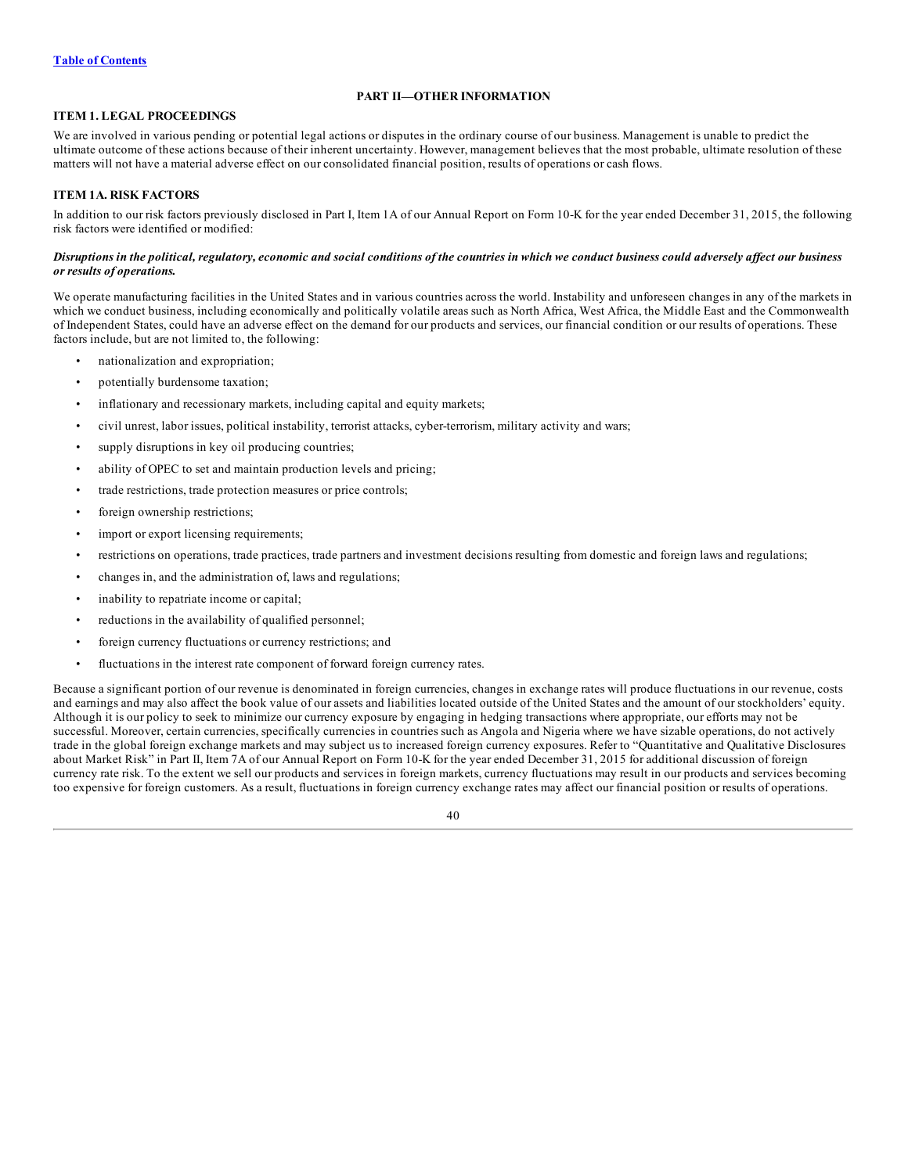## **PART II—OTHER INFORMATION**

## <span id="page-39-0"></span>**ITEM 1. LEGAL PROCEEDINGS**

We are involved in various pending or potential legal actions or disputes in the ordinary course of our business. Management is unable to predict the ultimate outcome of these actions because of their inherent uncertainty. However, management believes that the most probable, ultimate resolution of these matters will not have a material adverse effect on our consolidated financial position, results of operations or cash flows.

#### **ITEM 1A. RISK FACTORS**

In addition to our risk factors previously disclosed in Part I, Item 1A of our Annual Report on Form 10-K for the year ended December 31, 2015, the following risk factors were identified or modified:

#### Disruptions in the political, regulatory, economic and social conditions of the countries in which we conduct business could adversely affect our business *or results of operations.*

We operate manufacturing facilities in the United States and in various countries across the world. Instability and unforeseen changes in any of the markets in which we conduct business, including economically and politically volatile areas such as North Africa, West Africa, the Middle East and the Commonwealth of Independent States, could have an adverse effect on the demand for our products and services, our financial condition or our results of operations. These factors include, but are not limited to, the following:

- nationalization and expropriation;
- potentially burdensome taxation;
- inflationary and recessionary markets, including capital and equity markets;
- civil unrest, labor issues, political instability, terrorist attacks, cyber-terrorism, military activity and wars;
- supply disruptions in key oil producing countries;
- ability of OPEC to set and maintain production levels and pricing;
- trade restrictions, trade protection measures or price controls;
- foreign ownership restrictions;
- import or export licensing requirements;
- restrictions on operations, trade practices, trade partners and investment decisions resulting from domestic and foreign laws and regulations;
- changes in, and the administration of, laws and regulations;
- inability to repatriate income or capital;
- reductions in the availability of qualified personnel;
- foreign currency fluctuations or currency restrictions; and
- fluctuations in the interest rate component of forward foreign currency rates.

Because a significant portion of our revenue is denominated in foreign currencies, changes in exchange rates will produce fluctuations in our revenue, costs and earnings and may also affect the book value of our assets and liabilities located outside of the United States and the amount of our stockholders' equity. Although it is our policy to seek to minimize our currency exposure by engaging in hedging transactions where appropriate, our efforts may not be successful. Moreover, certain currencies, specifically currencies in countries such as Angola and Nigeria where we have sizable operations, do not actively trade in the global foreign exchange markets and may subject us to increased foreign currency exposures. Refer to "Quantitative and Qualitative Disclosures about Market Risk" in Part II, Item 7A of our Annual Report on Form 10-K for the year ended December 31, 2015 for additional discussion of foreign currency rate risk. To the extent we sell our products and services in foreign markets, currency fluctuations may result in our products and services becoming too expensive for foreign customers. As a result, fluctuations in foreign currency exchange rates may affect our financial position or results of operations.

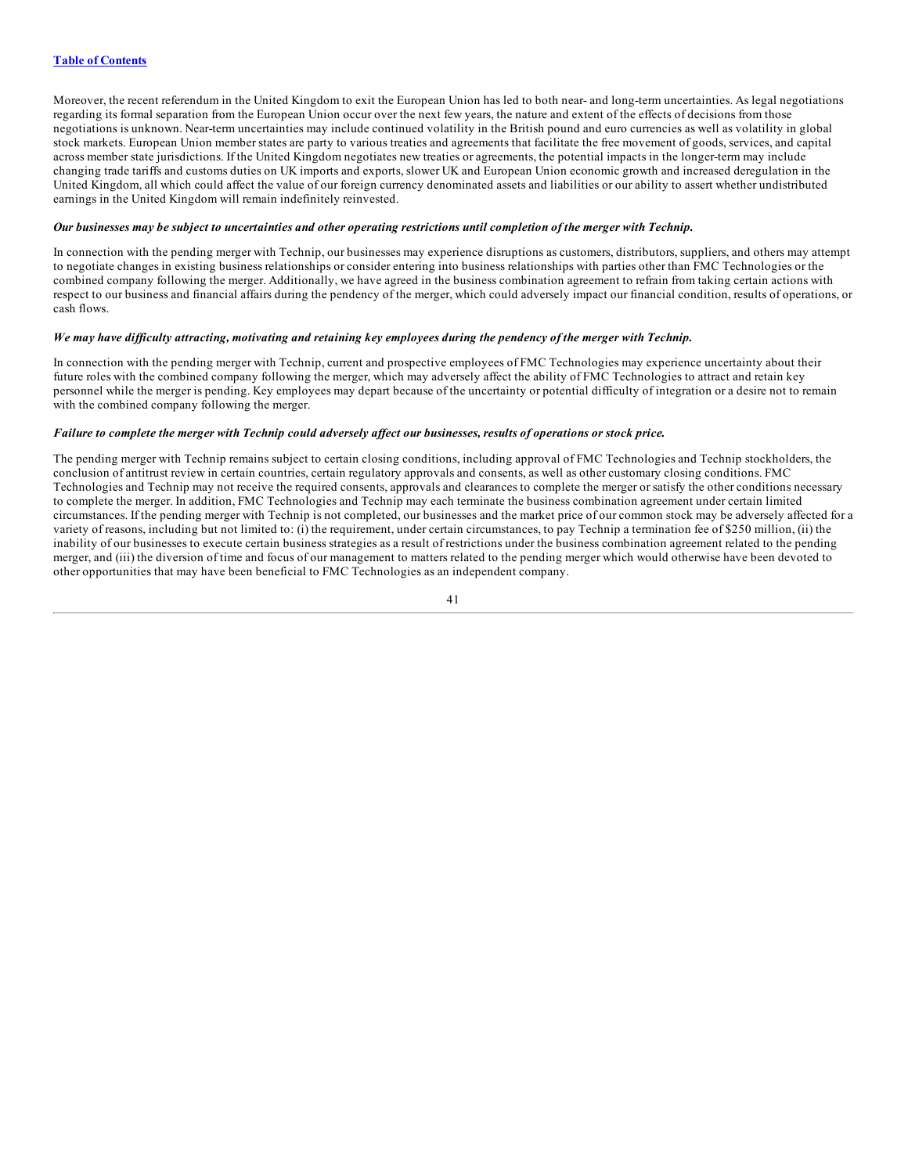<span id="page-40-0"></span>Moreover, the recent referendum in the United Kingdom to exit the European Union has led to both near- and long-term uncertainties. As legal negotiations regarding its formal separation from the European Union occur over the next few years, the nature and extent of the effects of decisions from those negotiations is unknown. Near-term uncertainties may include continued volatility in the British pound and euro currencies as well as volatility in global stock markets. European Union member states are party to various treaties and agreements that facilitate the free movement of goods, services, and capital across member state jurisdictions. If the United Kingdom negotiates new treaties or agreements, the potential impacts in the longer-term may include changing trade tariffs and customs duties on UK imports and exports, slower UK and European Union economic growth and increased deregulation in the United Kingdom, all which could affect the value of our foreign currency denominated assets and liabilities or our ability to assert whether undistributed earnings in the United Kingdom will remain indefinitely reinvested.

## Our businesses may be subject to uncertainties and other operating restrictions until completion of the merger with Technip.

In connection with the pending merger with Technip, our businesses may experience disruptions as customers, distributors, suppliers, and others may attempt to negotiate changes in existing business relationships or consider entering into business relationships with parties other than FMC Technologies or the combined company following the merger. Additionally, we have agreed in the business combination agreement to refrain from taking certain actions with respect to our business and financial affairs during the pendency of the merger, which could adversely impact our financial condition, results of operations, or cash flows.

## We may have difficulty attracting, motivating and retaining key employees during the pendency of the merger with Technip.

In connection with the pending merger with Technip, current and prospective employees of FMC Technologies may experience uncertainty about their future roles with the combined company following the merger, which may adversely affect the ability of FMC Technologies to attract and retain key personnel while the merger is pending. Key employees may depart because of the uncertainty or potential difficulty of integration or a desire not to remain with the combined company following the merger.

## Failure to complete the merger with Technip could adversely affect our businesses, results of operations or stock price.

The pending merger with Technip remains subject to certain closing conditions, including approval of FMC Technologies and Technip stockholders, the conclusion of antitrust review in certain countries, certain regulatory approvals and consents, as well as other customary closing conditions. FMC Technologies and Technip may not receive the required consents, approvals and clearances to complete the merger or satisfy the other conditions necessary to complete the merger. In addition, FMC Technologies and Technip may each terminate the business combination agreement under certain limited circumstances. If the pending merger with Technip is not completed, our businesses and the market price of our common stock may be adversely affected for a variety of reasons, including but not limited to: (i) the requirement, under certain circumstances, to pay Technip a termination fee of \$250 million, (ii) the inability of our businesses to execute certain business strategies as a result of restrictions under the business combination agreement related to the pending merger, and (iii) the diversion of time and focus of our management to matters related to the pending merger which would otherwise have been devoted to other opportunities that may have been beneficial to FMC Technologies as an independent company.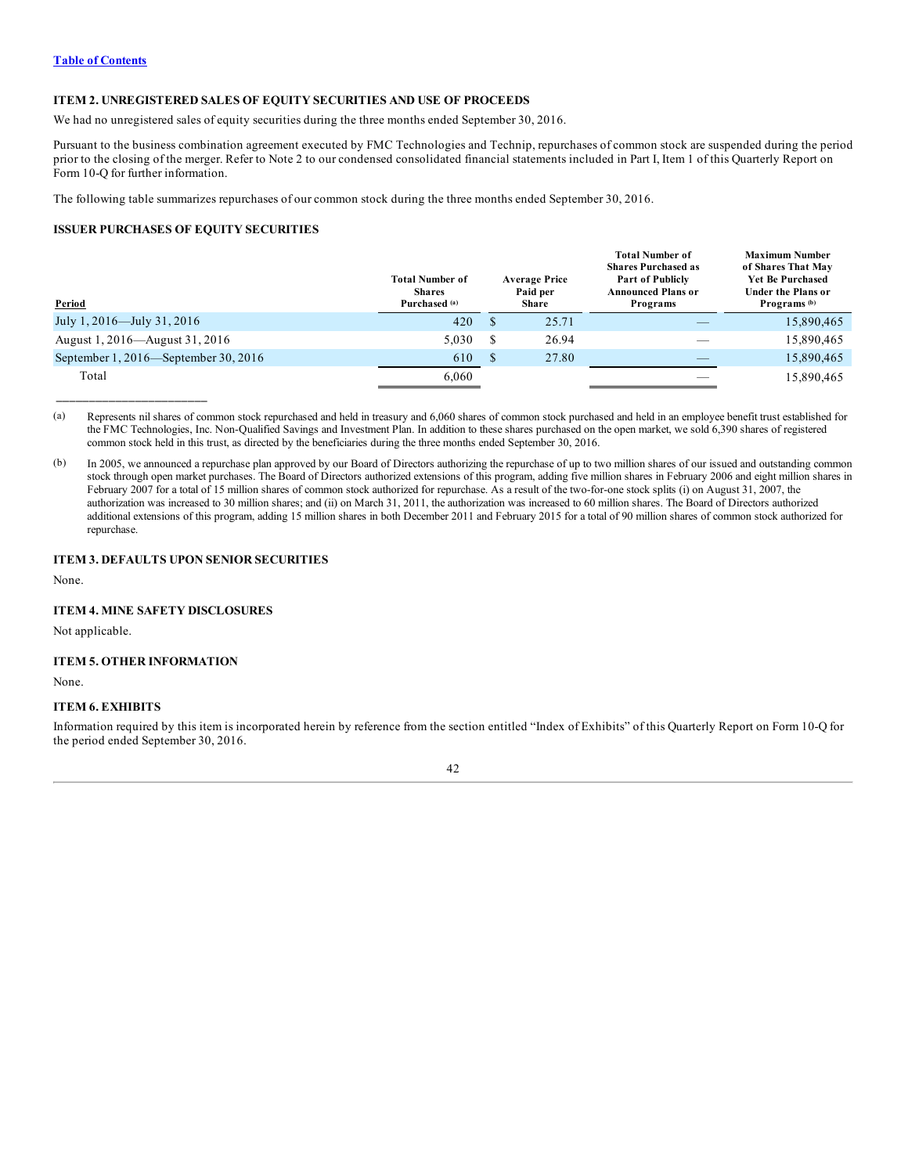#### <span id="page-41-0"></span>**ITEM 2. UNREGISTERED SALES OF EQUITY SECURITIES AND USE OF PROCEEDS**

We had no unregistered sales of equity securities during the three months ended September 30, 2016.

Pursuant to the business combination agreement executed by FMC Technologies and Technip, repurchases of common stock are suspended during the period prior to the closing of the merger. Refer to Note 2 to our condensed consolidated financial statements included in Part I, Item 1 of this Quarterly Report on Form 10-Q for further information.

The following table summarizes repurchases of our common stock during the three months ended September 30, 2016.

## **ISSUER PURCHASES OF EQUITY SECURITIES**

| Period                               | <b>Total Number of</b><br><b>Shares</b><br>Purchased <sup>(a)</sup> |               | <b>Average Price</b><br>Paid per<br><b>Share</b> | <b>Total Number of</b><br><b>Shares Purchased as</b><br><b>Part of Publicly</b><br>Announced Plans or<br>Programs | <b>Maximum Number</b><br>of Shares That May<br><b>Yet Be Purchased</b><br>Under the Plans or<br>Programs <sup>(b)</sup> |
|--------------------------------------|---------------------------------------------------------------------|---------------|--------------------------------------------------|-------------------------------------------------------------------------------------------------------------------|-------------------------------------------------------------------------------------------------------------------------|
| July 1, 2016—July 31, 2016           | 420                                                                 | <sup>\$</sup> | 25.71                                            |                                                                                                                   | 15,890,465                                                                                                              |
| August 1, 2016—August 31, 2016       | 5,030                                                               | S             | 26.94                                            |                                                                                                                   | 15,890,465                                                                                                              |
| September 1, 2016—September 30, 2016 | 610                                                                 | S             | 27.80                                            |                                                                                                                   | 15,890,465                                                                                                              |
| Total                                | 6.060                                                               |               |                                                  |                                                                                                                   | 15,890,465                                                                                                              |

(a) Represents nil shares of common stock repurchased and held in treasury and 6,060 shares of common stock purchased and held in an employee benefit trust established for the FMC Technologies, Inc. Non-Qualified Savings and Investment Plan. In addition to these shares purchased on the open market, we sold 6,390 shares of registered common stock held in this trust, as directed by the beneficiaries during the three months ended September 30, 2016.

(b) In 2005, we announced a repurchase plan approved by our Board of Directors authorizing the repurchase of up to two million shares of our issued and outstanding common stock through open market purchases. The Board of Directors authorized extensions of this program, adding five million shares in February 2006 and eight million shares in February 2007 for a total of 15 million shares of common stock authorized for repurchase. As a result of the two-for-one stock splits (i) on August 31, 2007, the authorization was increased to 30 million shares; and (ii) on March 31, 2011, the authorization was increased to 60 million shares. The Board of Directors authorized additional extensions of this program, adding 15 million shares in both December 2011 and February 2015 for a total of 90 million shares of common stock authorized for repurchase.

## **ITEM 3. DEFAULTS UPON SENIOR SECURITIES**

None.

## **ITEM 4. MINE SAFETY DISCLOSURES**

Not applicable.

## **ITEM 5. OTHER INFORMATION**

**\_\_\_\_\_\_\_\_\_\_\_\_\_\_\_\_\_\_\_\_\_\_\_**

None.

## **ITEM 6. EXHIBITS**

Information required by this item is incorporated herein by reference from the section entitled "Index of Exhibits" of this Quarterly Report on Form 10-Q for the period ended September 30, 2016.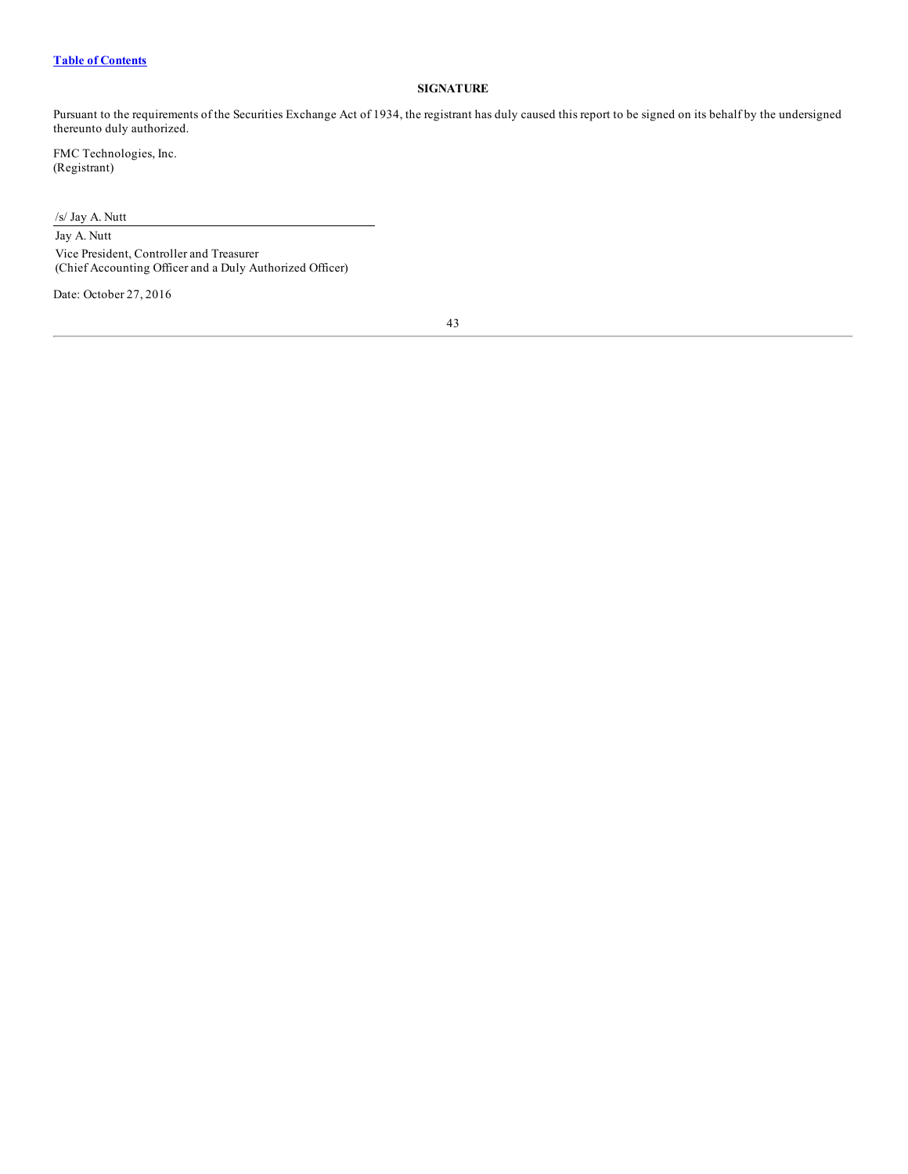## **SIGNATURE**

Pursuant to the requirements of the Securities Exchange Act of 1934, the registrant has duly caused this report to be signed on its behalf by the undersigned thereunto duly authorized.

FMC Technologies, Inc. (Registrant)

/s/ Jay A. Nutt

Jay A. Nutt Vice President, Controller and Treasurer (Chief Accounting Officer and a Duly Authorized Officer)

Date: October 27, 2016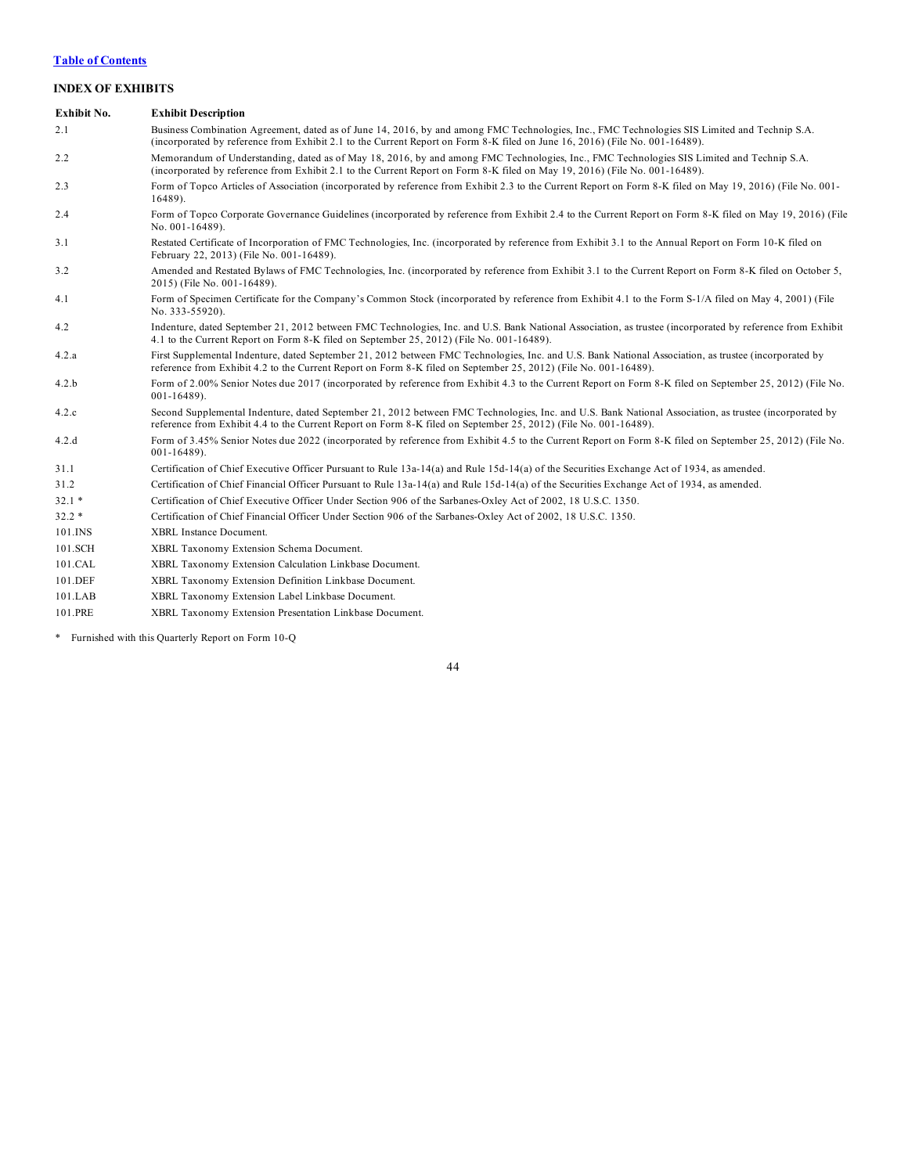## **INDEX OF EXHIBITS**

| Exhibit No. | <b>Exhibit Description</b>                                                                                                                                                                                                                                                   |
|-------------|------------------------------------------------------------------------------------------------------------------------------------------------------------------------------------------------------------------------------------------------------------------------------|
| 2.1         | Business Combination Agreement, dated as of June 14, 2016, by and among FMC Technologies, Inc., FMC Technologies SIS Limited and Technip S.A.<br>(incorporated by reference from Exhibit 2.1 to the Current Report on Form 8-K filed on June 16, 2016) (File No. 001-16489). |
| 2.2         | Memorandum of Understanding, dated as of May 18, 2016, by and among FMC Technologies, Inc., FMC Technologies SIS Limited and Technip S.A.<br>(incorporated by reference from Exhibit 2.1 to the Current Report on Form 8-K filed on May 19, 2016) (File No. 001-16489).      |
| 2.3         | Form of Topco Articles of Association (incorporated by reference from Exhibit 2.3 to the Current Report on Form 8-K filed on May 19, 2016) (File No. 001-<br>$16489$ ).                                                                                                      |
| 2.4         | Form of Topco Corporate Governance Guidelines (incorporated by reference from Exhibit 2.4 to the Current Report on Form 8-K filed on May 19, 2016) (File<br>No. 001-16489).                                                                                                  |
| 3.1         | Restated Certificate of Incorporation of FMC Technologies, Inc. (incorporated by reference from Exhibit 3.1 to the Annual Report on Form 10-K filed on<br>February 22, 2013) (File No. 001-16489).                                                                           |
| 3.2         | Amended and Restated Bylaws of FMC Technologies, Inc. (incorporated by reference from Exhibit 3.1 to the Current Report on Form 8-K filed on October 5,<br>2015) (File No. 001-16489).                                                                                       |
| 4.1         | Form of Specimen Certificate for the Company's Common Stock (incorporated by reference from Exhibit 4.1 to the Form S-1/A filed on May 4, 2001) (File<br>No. 333-55920).                                                                                                     |
| 4.2         | Indenture, dated September 21, 2012 between FMC Technologies, Inc. and U.S. Bank National Association, as trustee (incorporated by reference from Exhibit<br>4.1 to the Current Report on Form 8-K filed on September 25, 2012) (File No. 001-16489).                        |
| 4.2.a       | First Supplemental Indenture, dated September 21, 2012 between FMC Technologies, Inc. and U.S. Bank National Association, as trustee (incorporated by<br>reference from Exhibit 4.2 to the Current Report on Form 8-K filed on September 25, 2012) (File No. 001-16489).     |
| 4.2.b       | Form of 2.00% Senior Notes due 2017 (incorporated by reference from Exhibit 4.3 to the Current Report on Form 8-K filed on September 25, 2012) (File No.<br>$001 - 16489$ .                                                                                                  |
| 4.2.c       | Second Supplemental Indenture, dated September 21, 2012 between FMC Technologies, Inc. and U.S. Bank National Association, as trustee (incorporated by<br>reference from Exhibit 4.4 to the Current Report on Form 8-K filed on September 25, 2012) (File No. 001-16489).    |
| 4.2.d       | Form of 3.45% Senior Notes due 2022 (incorporated by reference from Exhibit 4.5 to the Current Report on Form 8-K filed on September 25, 2012) (File No.<br>$001 - 16489$ .                                                                                                  |
| 31.1        | Certification of Chief Executive Officer Pursuant to Rule 13a-14(a) and Rule 15d-14(a) of the Securities Exchange Act of 1934, as amended.                                                                                                                                   |
| 31.2        | Certification of Chief Financial Officer Pursuant to Rule 13a-14(a) and Rule 15d-14(a) of the Securities Exchange Act of 1934, as amended.                                                                                                                                   |
| $32.1*$     | Certification of Chief Executive Officer Under Section 906 of the Sarbanes-Oxley Act of 2002, 18 U.S.C. 1350.                                                                                                                                                                |
| $32.2*$     | Certification of Chief Financial Officer Under Section 906 of the Sarbanes-Oxley Act of 2002, 18 U.S.C. 1350.                                                                                                                                                                |
| 101.INS     | XBRL Instance Document.                                                                                                                                                                                                                                                      |
| 101.SCH     | XBRL Taxonomy Extension Schema Document.                                                                                                                                                                                                                                     |
| 101.CAL     | XBRL Taxonomy Extension Calculation Linkbase Document.                                                                                                                                                                                                                       |
| 101.DEF     | XBRL Taxonomy Extension Definition Linkbase Document.                                                                                                                                                                                                                        |
| 101.LAB     | XBRL Taxonomy Extension Label Linkbase Document.                                                                                                                                                                                                                             |
| 101.PRE     | XBRL Taxonomy Extension Presentation Linkbase Document.                                                                                                                                                                                                                      |

44

\* Furnished with this Quarterly Report on Form 10-Q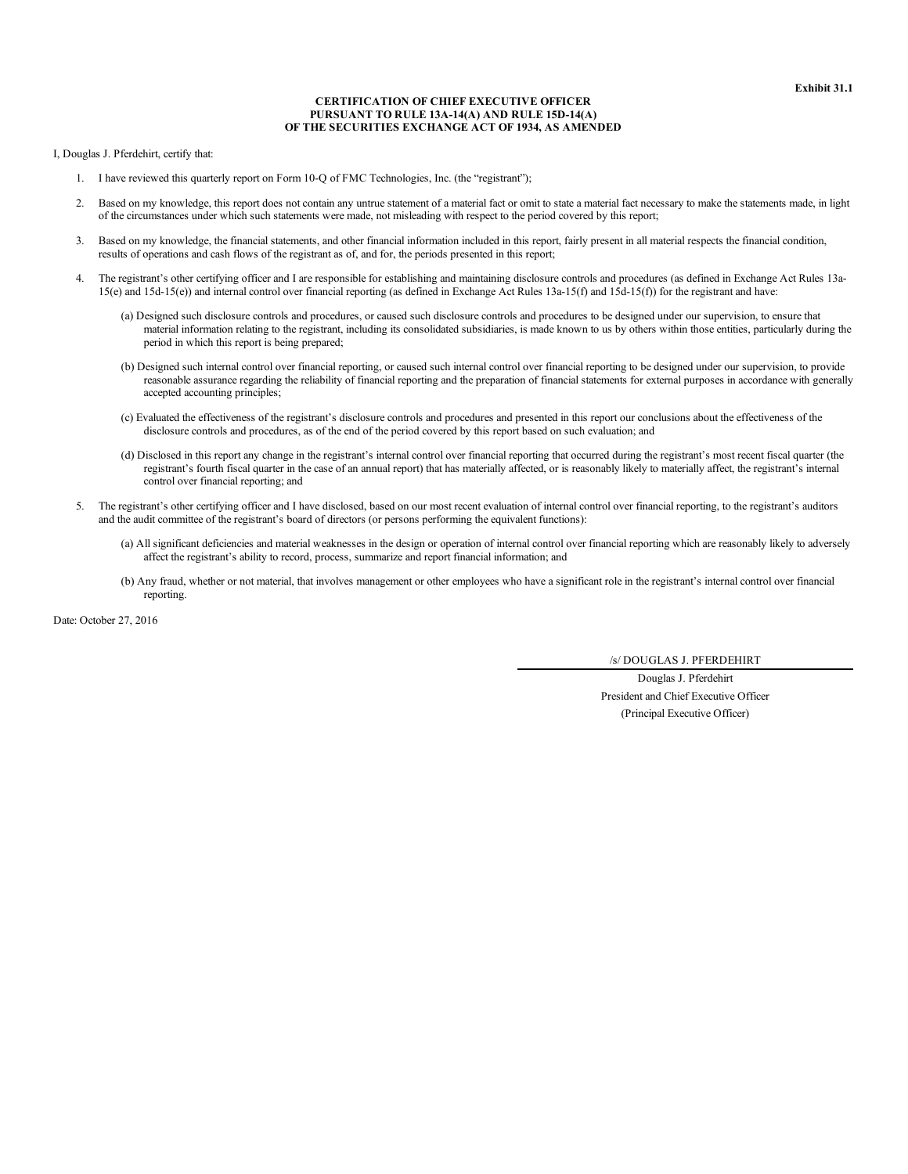#### **CERTIFICATION OF CHIEF EXECUTIVE OFFICER PURSUANT TO RULE 13A-14(A) AND RULE 15D-14(A) OF THE SECURITIES EXCHANGE ACT OF 1934, AS AMENDED**

I, Douglas J. Pferdehirt, certify that:

- 1. I have reviewed this quarterly report on Form 10-Q of FMC Technologies, Inc. (the "registrant");
- 2. Based on my knowledge, this report does not contain any untrue statement of a material fact or omit to state a material fact necessary to make the statements made, in light of the circumstances under which such statements were made, not misleading with respect to the period covered by this report;
- 3. Based on my knowledge, the financial statements, and other financial information included in this report, fairly present in all material respects the financial condition, results of operations and cash flows of the registrant as of, and for, the periods presented in this report;
- 4. The registrant's other certifying officer and I are responsible for establishing and maintaining disclosure controls and procedures (as defined in Exchange Act Rules 13a-15(e) and 15d-15(e)) and internal control over financial reporting (as defined in Exchange Act Rules 13a-15(f) and 15d-15(f)) for the registrant and have:
	- (a) Designed such disclosure controls and procedures, or caused such disclosure controls and procedures to be designed under our supervision, to ensure that material information relating to the registrant, including its consolidated subsidiaries, is made known to us by others within those entities, particularly during the period in which this report is being prepared;
	- (b) Designed such internal control over financial reporting, or caused such internal control over financial reporting to be designed under our supervision, to provide reasonable assurance regarding the reliability of financial reporting and the preparation of financial statements for external purposes in accordance with generally accepted accounting principles;
	- (c) Evaluated the effectiveness of the registrant's disclosure controls and procedures and presented in this report our conclusions about the effectiveness of the disclosure controls and procedures, as of the end of the period covered by this report based on such evaluation; and
	- (d) Disclosed in this report any change in the registrant's internal control over financial reporting that occurred during the registrant's most recent fiscal quarter (the registrant's fourth fiscal quarter in the case of an annual report) that has materially affected, or is reasonably likely to materially affect, the registrant's internal control over financial reporting; and
- 5. The registrant's other certifying officer and I have disclosed, based on our most recent evaluation of internal control over financial reporting, to the registrant's auditors and the audit committee of the registrant's board of directors (or persons performing the equivalent functions):
	- (a) All significant deficiencies and material weaknesses in the design or operation of internal control over financial reporting which are reasonably likely to adversely affect the registrant's ability to record, process, summarize and report financial information; and
	- (b) Any fraud, whether or not material, that involves management or other employees who have a significant role in the registrant's internal control over financial reporting.

Date: October 27, 2016

/s/ DOUGLAS J. PFERDEHIRT

Douglas J. Pferdehirt President and Chief Executive Officer (Principal Executive Officer)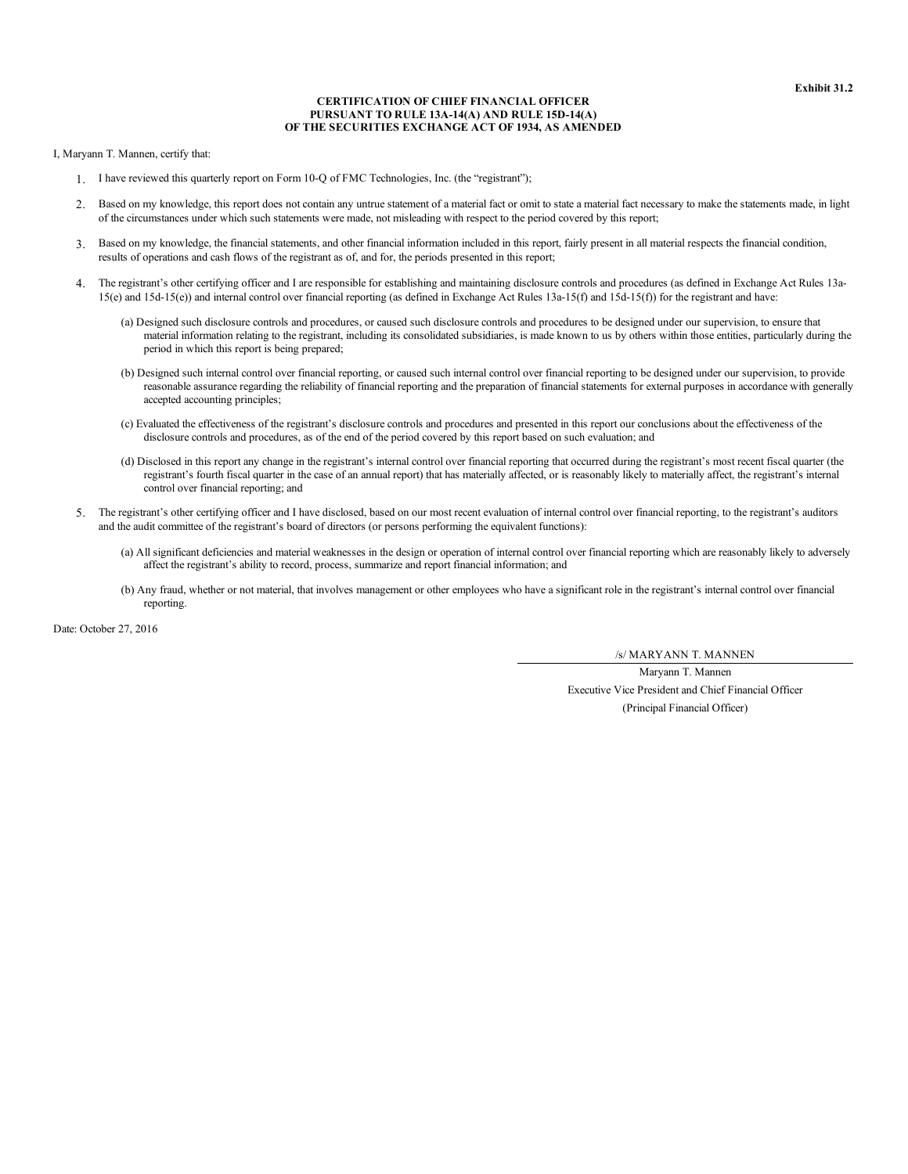#### **CERTIFICATION OF CHIEF FINANCIAL OFFICER PURSUANT TO RULE 13A-14(A) AND RULE 15D-14(A) OF THE SECURITIES EXCHANGE ACT OF 1934, AS AMENDED**

I, Maryann T. Mannen, certify that:

- 1. I have reviewed this quarterly report on Form 10-Q of FMC Technologies, Inc. (the "registrant");
- 2. Based on my knowledge, this report does not contain any untrue statement of a material fact or omit to state a material fact necessary to make the statements made, in light of the circumstances under which such statements were made, not misleading with respect to the period covered by this report;
- 3. Based on my knowledge, the financial statements, and other financial information included in this report, fairly present in all material respects the financial condition, results of operations and cash flows of the registrant as of, and for, the periods presented in this report;
- 4. The registrant's other certifying officer and I are responsible for establishing and maintaining disclosure controls and procedures (as defined in Exchange Act Rules 13a-15(e) and 15d-15(e)) and internal control over financial reporting (as defined in Exchange Act Rules 13a-15(f) and 15d-15(f)) for the registrant and have:
	- (a) Designed such disclosure controls and procedures, or caused such disclosure controls and procedures to be designed under our supervision, to ensure that material information relating to the registrant, including its consolidated subsidiaries, is made known to us by others within those entities, particularly during the period in which this report is being prepared;
	- (b) Designed such internal control over financial reporting, or caused such internal control over financial reporting to be designed under our supervision, to provide reasonable assurance regarding the reliability of financial reporting and the preparation of financial statements for external purposes in accordance with generally accepted accounting principles;
	- (c) Evaluated the effectiveness of the registrant's disclosure controls and procedures and presented in this report our conclusions about the effectiveness of the disclosure controls and procedures, as of the end of the period covered by this report based on such evaluation; and
	- (d) Disclosed in this report any change in the registrant's internal control over financial reporting that occurred during the registrant's most recent fiscal quarter (the registrant's fourth fiscal quarter in the case of an annual report) that has materially affected, or is reasonably likely to materially affect, the registrant's internal control over financial reporting; and
- 5. The registrant's other certifying officer and I have disclosed, based on our most recent evaluation of internal control over financial reporting, to the registrant's auditors and the audit committee of the registrant's board of directors (or persons performing the equivalent functions):
	- (a) All significant deficiencies and material weaknesses in the design or operation of internal control over financial reporting which are reasonably likely to adversely affect the registrant's ability to record, process, summarize and report financial information; and
	- (b) Any fraud, whether or not material, that involves management or other employees who have a significant role in the registrant's internal control over financial reporting.

Date: October 27, 2016

/s/ MARYANN T. MANNEN

Maryann T. Mannen Executive Vice President and Chief Financial Officer (Principal Financial Officer)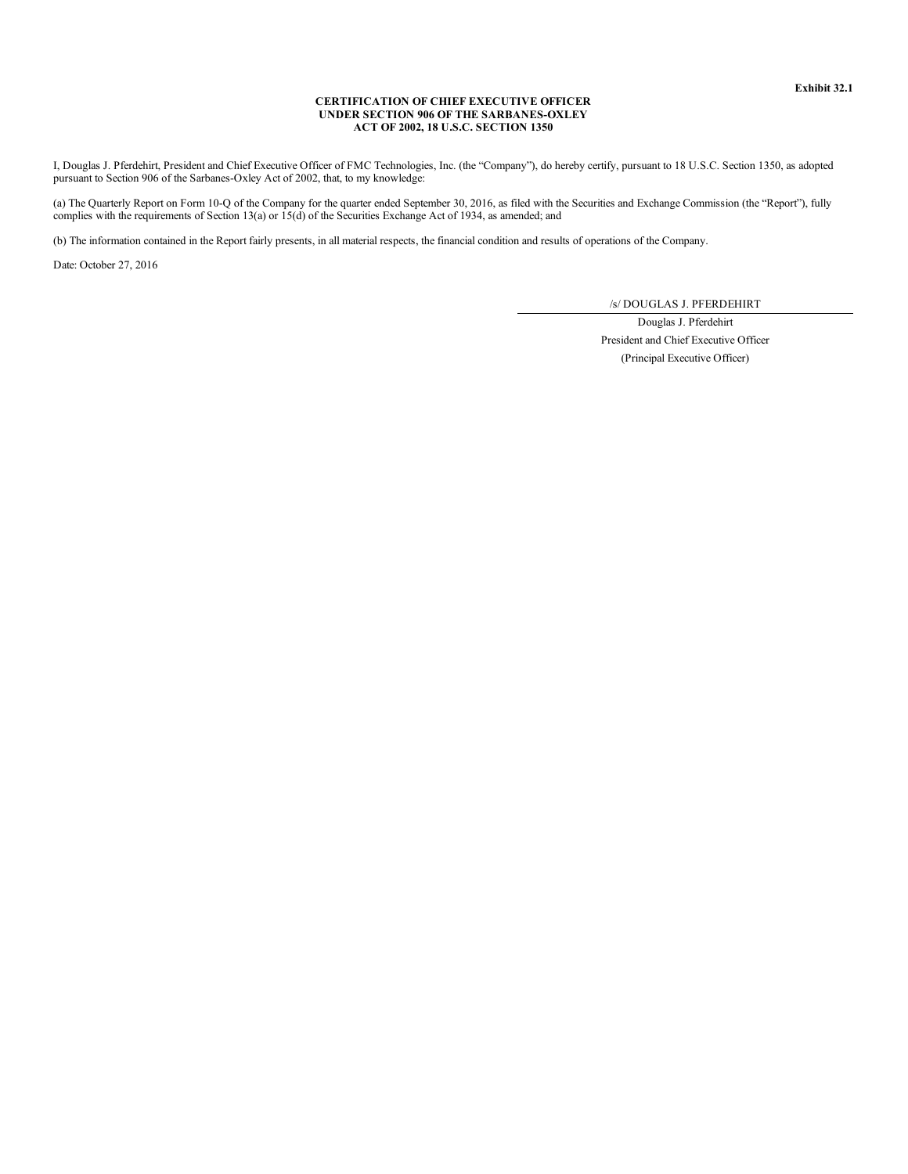#### **CERTIFICATION OF CHIEF EXECUTIVE OFFICER UNDER SECTION 906 OF THE SARBANES-OXLEY ACT OF 2002, 18 U.S.C. SECTION 1350**

I, Douglas J. Pferdehirt, President and Chief Executive Officer of FMC Technologies, Inc. (the "Company"), do hereby certify, pursuant to 18 U.S.C. Section 1350, as adopted pursuant to Section 906 of the Sarbanes-Oxley Act of 2002, that, to my knowledge:

(a) The Quarterly Report on Form 10-Q of the Company for the quarter ended September 30, 2016, as filed with the Securities and Exchange Commission (the "Report"), fully complies with the requirements of Section 13(a) or 15(d) of the Securities Exchange Act of 1934, as amended; and

(b) The information contained in the Report fairly presents, in all material respects, the financial condition and results of operations of the Company.

Date: October 27, 2016

/s/ DOUGLAS J. PFERDEHIRT

Douglas J. Pferdehirt President and Chief Executive Officer (Principal Executive Officer)